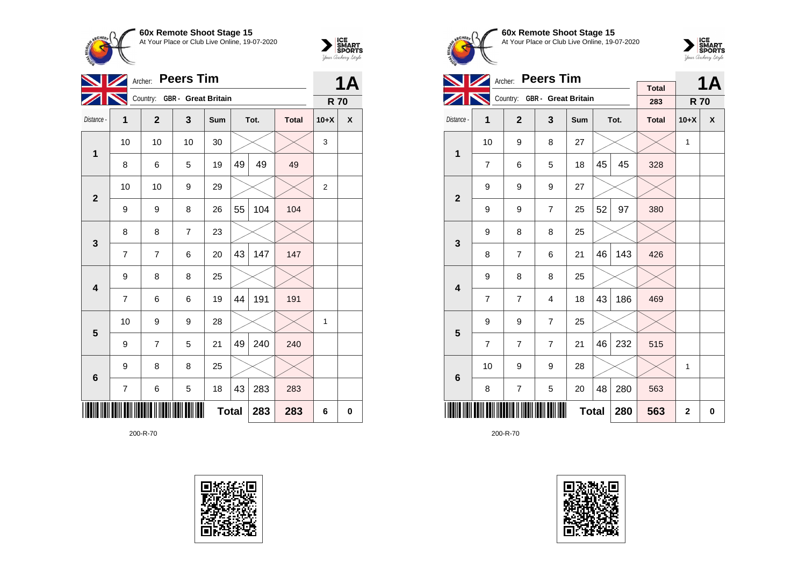



|                 | Archer:        |                              |                | <b>1A</b>    |    |      |              |                |          |
|-----------------|----------------|------------------------------|----------------|--------------|----|------|--------------|----------------|----------|
|                 |                | Country: GBR - Great Britain |                |              |    |      |              | <b>R70</b>     |          |
| Distance -      | 1              | $\overline{2}$               | 3              | Sum          |    | Tot. | <b>Total</b> | $10+X$         | X        |
| 1               | 10             | 10                           | 10             | 30           |    |      |              | 3              |          |
|                 | 8              | 6                            | 5              | 19           | 49 | 49   | 49           |                |          |
| $\overline{2}$  | 10             | 10                           | 9              | 29           |    |      |              | $\overline{2}$ |          |
|                 | 9              | 9                            | 8              | 26           | 55 | 104  | 104          |                |          |
| $\mathbf{3}$    | 8              | 8                            | $\overline{7}$ | 23           |    |      |              |                |          |
|                 | $\overline{7}$ | $\overline{7}$               | 6              | 20           | 43 | 147  | 147          |                |          |
| 4               | 9              | 8                            | 8              | 25           |    |      |              |                |          |
|                 | 7              | 6                            | 6              | 19           | 44 | 191  | 191          |                |          |
| 5               | 10             | 9                            | 9              | 28           |    |      |              | 1              |          |
|                 | 9              | $\overline{7}$               | 5              | 21           | 49 | 240  | 240          |                |          |
| $6\phantom{1}6$ | 9              | 8                            | 8              | 25           |    |      |              |                |          |
|                 | 7              | 6                            | 5              | 18           | 43 | 283  | 283          |                |          |
|                 |                |                              |                | <b>Total</b> |    | 283  | 283          | 6              | $\bf{0}$ |

200-R-70









|                         |                | <b>Peers Tim</b><br>Archer: |                              |              |    | <b>1A</b> |                     |                |   |
|-------------------------|----------------|-----------------------------|------------------------------|--------------|----|-----------|---------------------|----------------|---|
|                         |                |                             | Country: GBR - Great Britain |              |    |           | <b>Total</b><br>283 | <b>R70</b>     |   |
| Distance -              | 1              | $\mathbf{2}$                | 3                            | Sum          |    | Tot.      | <b>Total</b>        | $10+X$         | X |
| $\mathbf{1}$            | 10             | 9                           | 8                            | 27           |    |           |                     | 1              |   |
|                         | $\overline{7}$ | 6                           | 5                            | 18           | 45 | 45        | 328                 |                |   |
| $\overline{2}$          | 9              | 9                           | 9                            | 27           |    |           |                     |                |   |
|                         | 9              | 9                           | $\overline{7}$               | 25           | 52 | 97        | 380                 |                |   |
| 3                       | 9              | 8                           | 8                            | 25           |    |           |                     |                |   |
|                         | 8              | $\overline{7}$              | 6                            | 21           | 46 | 143       | 426                 |                |   |
| $\overline{\mathbf{4}}$ | 9              | 8                           | 8                            | 25           |    |           |                     |                |   |
|                         | $\overline{7}$ | $\overline{7}$              | 4                            | 18           | 43 | 186       | 469                 |                |   |
| 5                       | 9              | 9                           | $\overline{7}$               | 25           |    |           |                     |                |   |
|                         | $\overline{7}$ | $\overline{7}$              | $\overline{7}$               | 21           | 46 | 232       | 515                 |                |   |
| $6\phantom{1}6$         | 10             | 9                           | 9                            | 28           |    |           |                     | 1              |   |
|                         | 8              | $\overline{7}$              | 5                            | 20           | 48 | 280       | 563                 |                |   |
|                         |                |                             |                              | <b>Total</b> |    | 280       | 563                 | $\overline{2}$ | 0 |

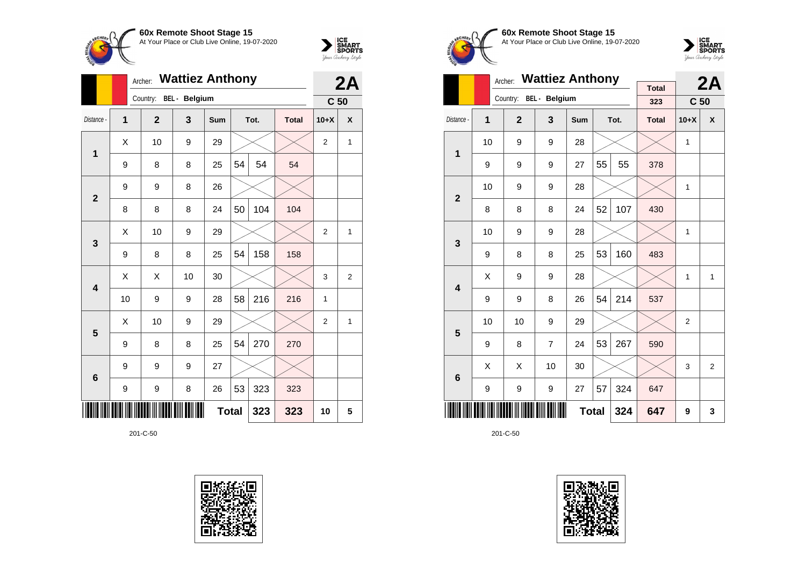



|                 |                | <b>Wattiez Anthony</b><br>Archer: |               |              | 2A |      |              |                 |                |
|-----------------|----------------|-----------------------------------|---------------|--------------|----|------|--------------|-----------------|----------------|
|                 |                | Country:                          | BEL - Belgium |              |    |      |              | C <sub>50</sub> |                |
| Distance -      | $\overline{1}$ | $\overline{2}$                    | 3             | <b>Sum</b>   |    | Tot. | <b>Total</b> | $10+X$          | X              |
| 1               | X              | 10                                | 9             | 29           |    |      |              | $\overline{2}$  | 1              |
|                 | 9              | 8                                 | 8             | 25           | 54 | 54   | 54           |                 |                |
| $\overline{2}$  | 9              | 9                                 | 8             | 26           |    |      |              |                 |                |
|                 | 8              | 8                                 | 8             | 24           | 50 | 104  | 104          |                 |                |
| 3               | Χ              | 10                                | 9             | 29           |    |      |              | $\overline{2}$  | 1              |
|                 | 9              | 8                                 | 8             | 25           | 54 | 158  | 158          |                 |                |
| 4               | Χ              | X                                 | 10            | 30           |    |      |              | 3               | $\overline{2}$ |
|                 | 10             | 9                                 | 9             | 28           | 58 | 216  | 216          | 1               |                |
| 5               | Χ              | 10                                | 9             | 29           |    |      |              | $\overline{2}$  | 1              |
|                 | 9              | 8                                 | 8             | 25           | 54 | 270  | 270          |                 |                |
| $6\phantom{1}6$ | 9              | 9                                 | 9             | 27           |    |      |              |                 |                |
|                 | 9              | 9                                 | 8             | 26           | 53 | 323  | 323          |                 |                |
|                 |                |                                   |               | <b>Total</b> |    | 323  | 323          | 10              | 5              |









|                         |    | <b>Wattiez Anthony</b><br>Archer: |                | <b>Total</b> |    | 2A   |              |                 |                  |
|-------------------------|----|-----------------------------------|----------------|--------------|----|------|--------------|-----------------|------------------|
|                         |    | Country:                          | BEL - Belgium  |              |    |      | 323          | C <sub>50</sub> |                  |
| Distance -              | 1  | $\overline{2}$                    | 3              | <b>Sum</b>   |    | Tot. | <b>Total</b> | $10+X$          | $\boldsymbol{x}$ |
| 1                       | 10 | 9                                 | 9              | 28           |    |      |              | 1               |                  |
|                         | 9  | 9                                 | 9              | 27           | 55 | 55   | 378          |                 |                  |
| $\overline{2}$          | 10 | 9                                 | 9              | 28           |    |      |              | 1               |                  |
|                         | 8  | 8                                 | 8              | 24           | 52 | 107  | 430          |                 |                  |
| 3                       | 10 | 9                                 | 9              | 28           |    |      |              | 1               |                  |
|                         | 9  | 8                                 | 8              | 25           | 53 | 160  | 483          |                 |                  |
| $\overline{\mathbf{4}}$ | Χ  | 9                                 | 9              | 28           |    |      |              | 1               | 1                |
|                         | 9  | 9                                 | 8              | 26           | 54 | 214  | 537          |                 |                  |
| 5                       | 10 | 10                                | 9              | 29           |    |      |              | $\overline{2}$  |                  |
|                         | 9  | 8                                 | $\overline{7}$ | 24           | 53 | 267  | 590          |                 |                  |
| $6\phantom{1}6$         | X  | X                                 | 10             | 30           |    |      |              | 3               | $\overline{2}$   |
|                         | 9  | 9                                 | 9              | 27           | 57 | 324  | 647          |                 |                  |
|                         |    |                                   |                | <b>Total</b> |    | 324  | 647          | 9               | 3                |

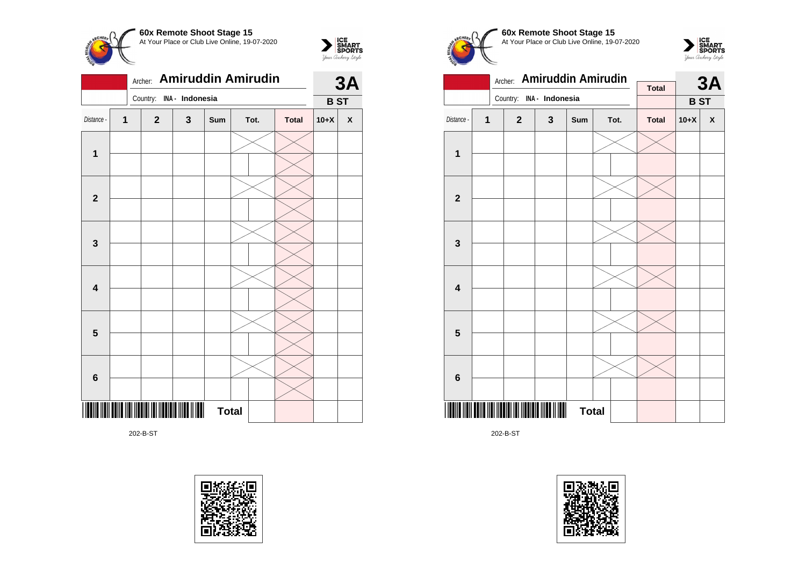



202-B-ST





 $\sum_{\text{S$ **MART** $<br>$ *Your Archary Style* 

**60x Remote Shoot Stage 15** At Your Place or Club Live Online, 19-07-2020





202-B-ST

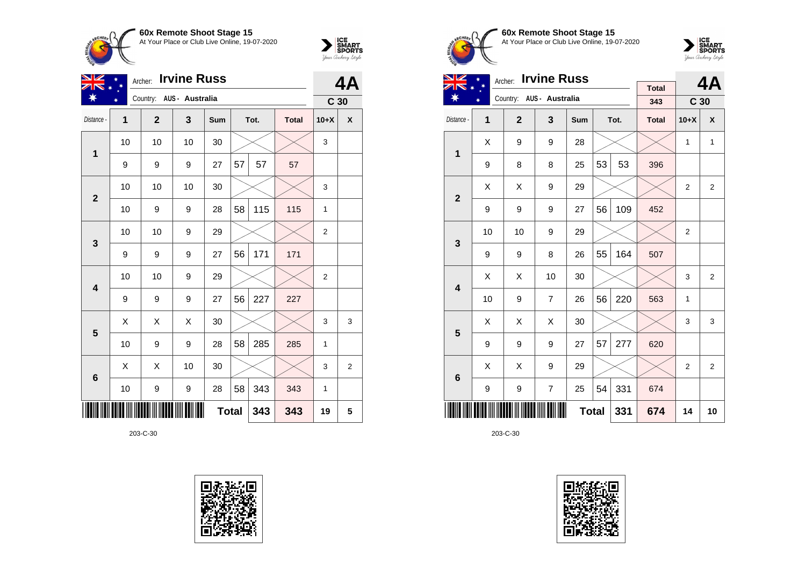



| NZ                      |    | <b>Irvine Russ</b><br>Archer: |                          |              | 4A |      |              |                 |                    |
|-------------------------|----|-------------------------------|--------------------------|--------------|----|------|--------------|-----------------|--------------------|
|                         |    |                               | Country: AUS - Australia |              |    |      |              | C <sub>30</sub> |                    |
| Distance -              | 1  | $\mathbf{2}$                  | 3                        | Sum          |    | Tot. | <b>Total</b> | $10+X$          | $\pmb{\mathsf{X}}$ |
| 1                       | 10 | 10                            | 10                       | 30           |    |      |              | 3               |                    |
|                         | 9  | 9                             | 9                        | 27           | 57 | 57   | 57           |                 |                    |
| $\overline{2}$          | 10 | 10                            | 10                       | 30           |    |      |              | 3               |                    |
|                         | 10 | 9                             | 9                        | 28           | 58 | 115  | 115          | 1               |                    |
| 3                       | 10 | 10                            | 9                        | 29           |    |      |              | 2               |                    |
|                         | 9  | 9                             | 9                        | 27           | 56 | 171  | 171          |                 |                    |
| $\overline{\mathbf{4}}$ | 10 | 10                            | 9                        | 29           |    |      |              | 2               |                    |
|                         | 9  | 9                             | 9                        | 27           | 56 | 227  | 227          |                 |                    |
| 5                       | X  | Χ                             | Χ                        | 30           |    |      |              | 3               | 3                  |
|                         | 10 | 9                             | 9                        | 28           | 58 | 285  | 285          | $\mathbf{1}$    |                    |
| $6\phantom{1}6$         | X  | X                             | 10                       | 30           |    |      |              | 3               | $\overline{2}$     |
|                         | 10 | $\boldsymbol{9}$              | $\boldsymbol{9}$         | 28           | 58 | 343  | 343          | 1               |                    |
|                         |    |                               |                          | <b>Total</b> |    | 343  | 343          | 19              | 5                  |





**60x Remote Shoot Stage 15** At Your Place or Club Live Online, 19-07-2020



| NZ                      |    | <b>Irvine Russ</b><br>Archer: |                          |              |    | 4Δ   |              |                 |              |
|-------------------------|----|-------------------------------|--------------------------|--------------|----|------|--------------|-----------------|--------------|
| ☀                       |    |                               | Country: AUS - Australia |              |    |      | <b>Total</b> |                 |              |
|                         |    |                               |                          |              |    |      | 343          | C <sub>30</sub> |              |
| Distance -              | 1  | $\overline{2}$                | 3                        | Sum          |    | Tot. | <b>Total</b> | $10+X$          | X            |
| $\overline{1}$          | X  | 9                             | 9                        | 28           |    |      |              | $\mathbf{1}$    | $\mathbf{1}$ |
|                         | 9  | 8                             | 8                        | 25           | 53 | 53   | 396          |                 |              |
| $\overline{2}$          | X  | X                             | 9                        | 29           |    |      |              | $\overline{2}$  | 2            |
|                         | 9  | 9                             | 9                        | 27           | 56 | 109  | 452          |                 |              |
| 3                       | 10 | 10                            | 9                        | 29           |    |      |              | $\overline{2}$  |              |
|                         | 9  | 9                             | 8                        | 26           | 55 | 164  | 507          |                 |              |
| $\overline{\mathbf{4}}$ | X  | X                             | 10                       | 30           |    |      |              | 3               | 2            |
|                         | 10 | 9                             | $\overline{7}$           | 26           | 56 | 220  | 563          | 1               |              |
| 5                       | X  | X                             | X                        | 30           |    |      |              | 3               | 3            |
|                         | 9  | 9                             | 9                        | 27           | 57 | 277  | 620          |                 |              |
| 6                       | X  | X                             | 9                        | 29           |    |      |              | 2               | 2            |
|                         | 9  | 9                             | $\overline{7}$           | 25           | 54 | 331  | 674          |                 |              |
|                         |    |                               |                          | <b>Total</b> |    | 331  | 674          | 14              | 10           |

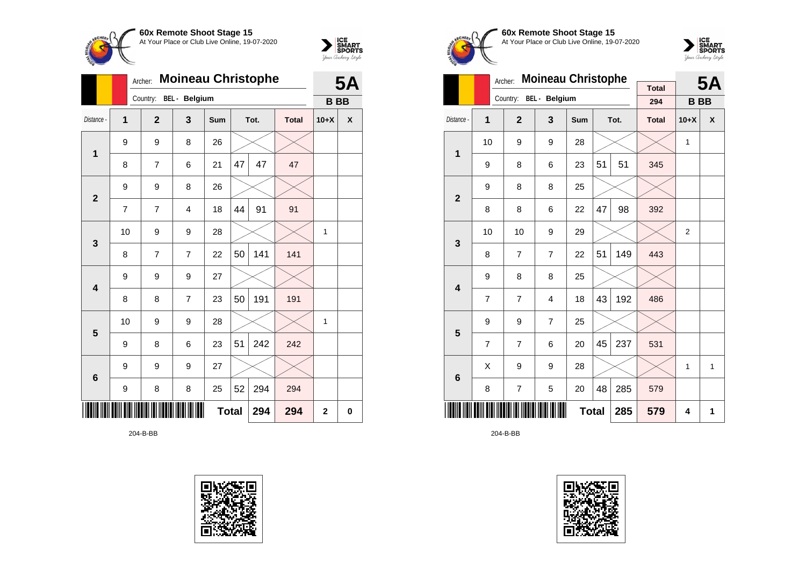



|                         |    | <b>Moineau Christophe</b><br>Archer: |                      |     | <b>5A</b>    |      |              |                |   |
|-------------------------|----|--------------------------------------|----------------------|-----|--------------|------|--------------|----------------|---|
|                         |    | Country:                             | <b>BEL</b> - Belgium |     |              |      |              | <b>BB</b>      |   |
| Distance -              | 1  | $\mathbf{2}$                         | 3                    | Sum |              | Tot. | <b>Total</b> | $10+X$         | X |
| $\mathbf{1}$            | 9  | 9                                    | 8                    | 26  |              |      |              |                |   |
|                         | 8  | $\overline{7}$                       | 6                    | 21  | 47           | 47   | 47           |                |   |
| $\mathbf{2}$            | 9  | 9                                    | 8                    | 26  |              |      |              |                |   |
|                         | 7  | 7                                    | 4                    | 18  | 44           | 91   | 91           |                |   |
| 3                       | 10 | 9                                    | 9                    | 28  |              |      |              | 1              |   |
|                         | 8  | $\overline{7}$                       | $\overline{7}$       | 22  | 50           | 141  | 141          |                |   |
| $\overline{\mathbf{4}}$ | 9  | 9                                    | 9                    | 27  |              |      |              |                |   |
|                         | 8  | 8                                    | $\overline{7}$       | 23  | 50           | 191  | 191          |                |   |
| 5                       | 10 | 9                                    | 9                    | 28  |              |      |              | 1              |   |
|                         | 9  | 8                                    | 6                    | 23  | 51           | 242  | 242          |                |   |
| $6\phantom{1}6$         | 9  | 9                                    | 9                    | 27  |              |      |              |                |   |
|                         | 9  | 8                                    | 8                    | 25  | 52           | 294  | 294          |                |   |
|                         |    |                                      |                      |     | <b>Total</b> | 294  | 294          | $\overline{2}$ | 0 |

204-B-BB





**60x Remote Shoot Stage 15** At Your Place or Club Live Online, 19-07-2020



|                         |                | Archer:        | <b>Moineau Christophe</b> |              |    |      |                     | <b>5A</b> |   |
|-------------------------|----------------|----------------|---------------------------|--------------|----|------|---------------------|-----------|---|
|                         |                | Country:       | BEL - Belgium             |              |    |      | <b>Total</b><br>294 | <b>BB</b> |   |
| Distance -              | 1              | $\overline{2}$ | 3                         | <b>Sum</b>   |    | Tot. | <b>Total</b>        | $10+X$    | X |
| 1                       | 10             | 9              | 9                         | 28           |    |      |                     | 1         |   |
|                         | 9              | 8              | 6                         | 23           | 51 | 51   | 345                 |           |   |
| $\overline{2}$          | 9              | 8              | 8                         | 25           |    |      |                     |           |   |
|                         | 8              | 8              | 6                         | 22           | 47 | 98   | 392                 |           |   |
| 3                       | 10             | 10             | 9                         | 29           |    |      |                     | 2         |   |
|                         | 8              | $\overline{7}$ | $\overline{7}$            | 22           | 51 | 149  | 443                 |           |   |
| $\overline{\mathbf{4}}$ | 9              | 8              | 8                         | 25           |    |      |                     |           |   |
|                         | $\overline{7}$ | $\overline{7}$ | 4                         | 18           | 43 | 192  | 486                 |           |   |
| 5                       | 9              | 9              | $\overline{7}$            | 25           |    |      |                     |           |   |
|                         | 7              | 7              | 6                         | 20           | 45 | 237  | 531                 |           |   |
| $6\phantom{1}6$         | X              | 9              | 9                         | 28           |    |      |                     | 1         | 1 |
|                         | 8              | 7              | 5                         | 20           | 48 | 285  | 579                 |           |   |
|                         |                |                |                           | <b>Total</b> |    | 285  | 579                 | 4         | 1 |

204-B-BB

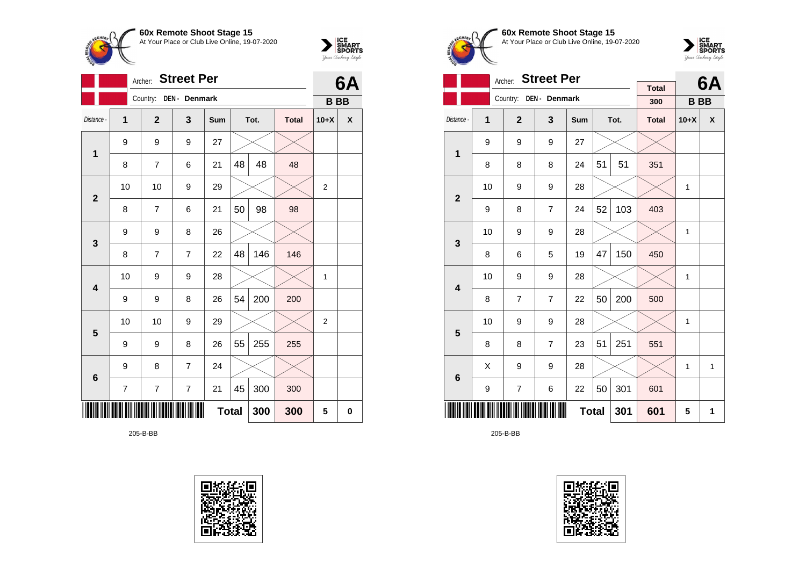



|              |                | Archer:        | <b>Street Per</b> |              |    |      |              | 6A             |   |  |
|--------------|----------------|----------------|-------------------|--------------|----|------|--------------|----------------|---|--|
|              |                | Country:       | DEN - Denmark     |              |    |      |              | <b>BB</b>      |   |  |
| Distance -   | $\overline{1}$ | $\mathbf{2}$   | 3                 | Sum          |    | Tot. | <b>Total</b> | $10+X$         | X |  |
| $\mathbf 1$  | 9              | 9              | 9                 | 27           |    |      |              |                |   |  |
|              | 8              | $\overline{7}$ | 6                 | 21           | 48 | 48   | 48           |                |   |  |
| $\mathbf{2}$ | 10             | 10             | 9                 | 29           |    |      |              | $\overline{2}$ |   |  |
|              | 8              | 7              | 6                 | 21           | 50 | 98   | 98           |                |   |  |
| 3            | 9              | 9              | 8                 | 26           |    |      |              |                |   |  |
|              | 8              | $\overline{7}$ | $\overline{7}$    | 22           | 48 | 146  | 146          |                |   |  |
| 4            | 10             | 9              | 9                 | 28           |    |      |              | 1              |   |  |
|              | 9              | 9              | 8                 | 26           | 54 | 200  | 200          |                |   |  |
| 5            | 10             | 10             | 9                 | 29           |    |      |              | $\overline{2}$ |   |  |
|              | 9              | 9              | 8                 | 26           | 55 | 255  | 255          |                |   |  |
| 6            | 9              | 8              | 7                 | 24           |    |      |              |                |   |  |
|              | 7              | 7              | $\overline{7}$    | 21           | 45 | 300  | 300          |                |   |  |
|              |                |                |                   | <b>Total</b> |    | 300  | 300          | 5              | 0 |  |

205-B-BB





**60x Remote Shoot Stage 15** At Your Place or Club Live Online, 19-07-2020



|                         | Archer: |                |                |              | 6A |      |                     |              |              |
|-------------------------|---------|----------------|----------------|--------------|----|------|---------------------|--------------|--------------|
|                         |         | Country:       | DEN - Denmark  |              |    |      | <b>Total</b><br>300 | <b>BB</b>    |              |
| Distance -              | 1       | $\overline{2}$ | 3              | <b>Sum</b>   |    | Tot. | <b>Total</b>        | $10+X$       | X            |
| $\overline{\mathbf{1}}$ | 9       | 9              | 9              | 27           |    |      |                     |              |              |
|                         | 8       | 8              | 8              | 24           | 51 | 51   | 351                 |              |              |
| $\overline{2}$          | 10      | 9              | 9              | 28           |    |      |                     | $\mathbf{1}$ |              |
|                         | 9       | 8              | $\overline{7}$ | 24           | 52 | 103  | 403                 |              |              |
| 3                       | 10      | 9              | 9              | 28           |    |      |                     | 1            |              |
|                         | 8       | 6              | 5              | 19           | 47 | 150  | 450                 |              |              |
| $\overline{\mathbf{4}}$ | 10      | 9              | 9              | 28           |    |      |                     | $\mathbf{1}$ |              |
|                         | 8       | $\overline{7}$ | $\overline{7}$ | 22           | 50 | 200  | 500                 |              |              |
| 5                       | 10      | 9              | 9              | 28           |    |      |                     | 1            |              |
|                         | 8       | 8              | $\overline{7}$ | 23           | 51 | 251  | 551                 |              |              |
| 6                       | X       | 9              | 9              | 28           |    |      |                     | 1            | $\mathbf{1}$ |
|                         | 9       | $\overline{7}$ | 6              | 22           | 50 | 301  | 601                 |              |              |
|                         |         |                |                | <b>Total</b> |    | 301  | 601                 | 5            | 1            |

205-B-BB

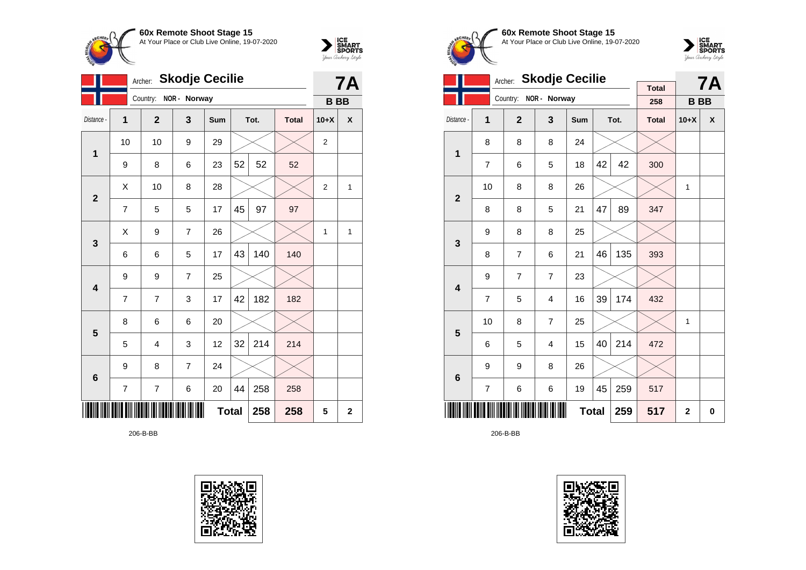



|                         |    | Archer:        | <b>Skodje Cecilie</b> |              |    |      |              |                | <b>7A</b>   |
|-------------------------|----|----------------|-----------------------|--------------|----|------|--------------|----------------|-------------|
|                         |    |                | Country: NOR - Norway |              |    |      |              | <b>BB</b>      |             |
| Distance -              | 1  | $\overline{2}$ | 3                     | Sum          |    | Tot. | <b>Total</b> | $10+X$         | X           |
| 1                       | 10 | 10             | 9                     | 29           |    |      |              | $\overline{2}$ |             |
|                         | 9  | 8              | 6                     | 23           | 52 | 52   | 52           |                |             |
| $\overline{2}$          | X  | 10             | 8                     | 28           |    |      |              | $\overline{2}$ | 1           |
|                         | 7  | 5              | 5                     | 17           | 45 | 97   | 97           |                |             |
| $\mathbf{3}$            | X  | 9              | $\overline{7}$        | 26           |    |      |              | $\mathbf{1}$   | 1           |
|                         | 6  | 6              | 5                     | 17           | 43 | 140  | 140          |                |             |
| 4                       | 9  | 9              | $\overline{7}$        | 25           |    |      |              |                |             |
|                         | 7  | $\overline{7}$ | 3                     | 17           | 42 | 182  | 182          |                |             |
| $\overline{\mathbf{5}}$ | 8  | 6              | 6                     | 20           |    |      |              |                |             |
|                         | 5  | 4              | 3                     | 12           | 32 | 214  | 214          |                |             |
| $6\phantom{1}6$         | 9  | 8              | $\overline{7}$        | 24           |    |      |              |                |             |
|                         | 7  | 7              | 6                     | 20           | 44 | 258  | 258          |                |             |
|                         |    |                |                       | <b>Total</b> |    | 258  | 258          | 5              | $\mathbf 2$ |

206-B-BB





**60x Remote Shoot Stage 15** At Your Place or Club Live Online, 19-07-2020



|                         |                     | <b>Skodje Cecilie</b><br>Archer: |                |     |    | <b>7A</b> |                     |              |   |
|-------------------------|---------------------|----------------------------------|----------------|-----|----|-----------|---------------------|--------------|---|
|                         |                     | Country:                         | NOR - Norway   |     |    |           | <b>Total</b><br>258 | <b>BB</b>    |   |
| Distance -              | 1                   | $\overline{2}$                   | 3              | Sum |    | Tot.      | <b>Total</b>        | $10+X$       | X |
| 1                       | 8                   | 8                                | 8              | 24  |    |           |                     |              |   |
|                         | $\overline{7}$      | 6                                | 5              | 18  | 42 | 42        | 300                 |              |   |
| $\overline{2}$          | 10                  | 8                                | 8              | 26  |    |           |                     | 1            |   |
|                         | 8                   | 8                                | 5              | 21  | 47 | 89        | 347                 |              |   |
| 3                       | 9                   | 8                                | 8              | 25  |    |           |                     |              |   |
|                         | 8                   | $\overline{7}$                   | 6              | 21  | 46 | 135       | 393                 |              |   |
| $\overline{\mathbf{4}}$ | 9                   | $\overline{7}$                   | $\overline{7}$ | 23  |    |           |                     |              |   |
|                         | $\overline{7}$      | 5                                | $\overline{4}$ | 16  | 39 | 174       | 432                 |              |   |
| 5                       | 10                  | 8                                | $\overline{7}$ | 25  |    |           |                     | 1            |   |
|                         | 6                   | 5                                | 4              | 15  | 40 | 214       | 472                 |              |   |
| 6                       | 9                   | 9                                | 8              | 26  |    |           |                     |              |   |
|                         | 7                   | 6                                | 6              | 19  | 45 | 259       | 517                 |              |   |
|                         | <b>Total</b><br>259 |                                  |                |     |    |           |                     | $\mathbf{2}$ | 0 |

206-B-BB

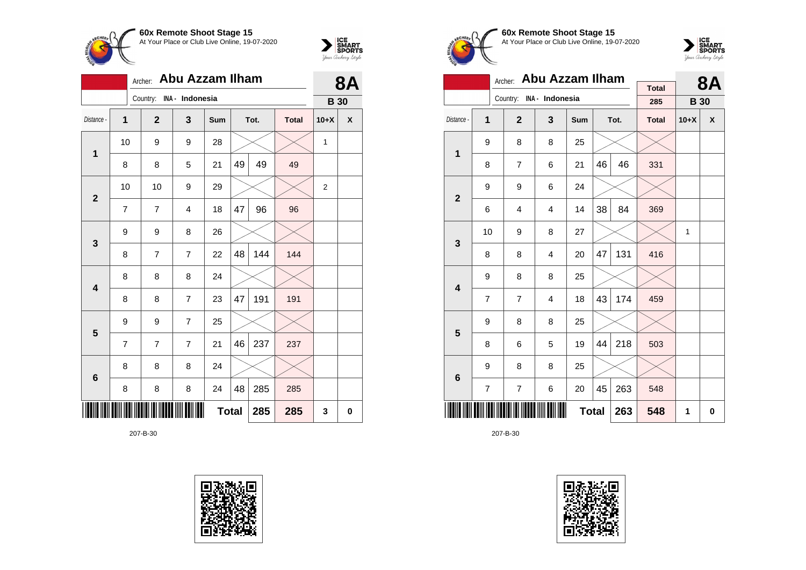



|                         |    | Archer: Abu Azzam Ilham  |                |     |              |      |              |                | <b>8A</b> |
|-------------------------|----|--------------------------|----------------|-----|--------------|------|--------------|----------------|-----------|
|                         |    | Country: INA - Indonesia |                |     |              |      |              | <b>B</b> 30    |           |
| Distance -              | 1  | $\mathbf{2}$             | 3              | Sum |              | Tot. | <b>Total</b> | $10+X$         | χ         |
| $\mathbf 1$             | 10 | 9                        | 9              | 28  |              |      |              | 1              |           |
|                         | 8  | 8                        | 5              | 21  | 49           | 49   | 49           |                |           |
| $\mathbf{2}$            | 10 | 10                       | 9              | 29  |              |      |              | $\overline{2}$ |           |
|                         | 7  | 7                        | $\overline{4}$ | 18  | 47           | 96   | 96           |                |           |
| $\mathbf{3}$            | 9  | 9                        | 8              | 26  |              |      |              |                |           |
|                         | 8  | $\overline{7}$           | $\overline{7}$ | 22  | 48           | 144  | 144          |                |           |
| $\overline{\mathbf{4}}$ | 8  | 8                        | 8              | 24  |              |      |              |                |           |
|                         | 8  | 8                        | $\overline{7}$ | 23  | 47           | 191  | 191          |                |           |
| 5                       | 9  | 9                        | $\overline{7}$ | 25  |              |      |              |                |           |
|                         | 7  | $\overline{7}$           | $\overline{7}$ | 21  | 46           | 237  | 237          |                |           |
| $\bf 6$                 | 8  | 8                        | 8              | 24  |              |      |              |                |           |
|                         | 8  | 8                        | 8              | 24  | 48           | 285  | 285          |                |           |
|                         |    |                          |                |     | <b>Total</b> | 285  | 285          | 3              | 0         |

207-B-30





**60x Remote Shoot Stage 15** At Your Place or Club Live Online, 19-07-2020



|                         |    | Archer:      | <b>Abu Azzam Ilham</b>   |     |    | <b>8A</b> |              |             |   |
|-------------------------|----|--------------|--------------------------|-----|----|-----------|--------------|-------------|---|
|                         |    |              | Country: INA - Indonesia |     |    |           | <b>Total</b> |             |   |
|                         |    |              |                          |     |    |           | 285          | <b>B</b> 30 |   |
| Distance -              | 1  | $\mathbf{2}$ | 3                        | Sum |    | Tot.      | <b>Total</b> | $10+X$      | X |
| 1                       | 9  | 8            | 8                        | 25  |    |           |              |             |   |
|                         | 8  | 7            | 6                        | 21  | 46 | 46        | 331          |             |   |
| $\overline{2}$          | 9  | 9            |                          |     |    |           |              |             |   |
|                         | 6  | 4            | 4                        | 14  | 38 | 84        | 369          |             |   |
| 3                       | 10 | 9            | 8                        | 27  |    |           |              | 1           |   |
|                         | 8  | 8            | 4                        | 20  | 47 | 131       | 416          |             |   |
| $\overline{\mathbf{4}}$ | 9  | 8            | 8                        | 25  |    |           |              |             |   |
|                         | 7  | 7            | 4                        | 18  | 43 | 174       | 459          |             |   |
| 5                       | 9  | 8            | 8                        | 25  |    |           |              |             |   |
|                         | 8  | 6            | 5                        | 19  | 44 | 218       | 503          |             |   |
| 6                       | 9  | 8            | 8                        | 25  |    |           |              |             |   |
|                         | 7  | 7            | 263                      | 548 |    |           |              |             |   |
|                         |    |              | 263                      | 548 | 1  | 0         |              |             |   |

207-B-30

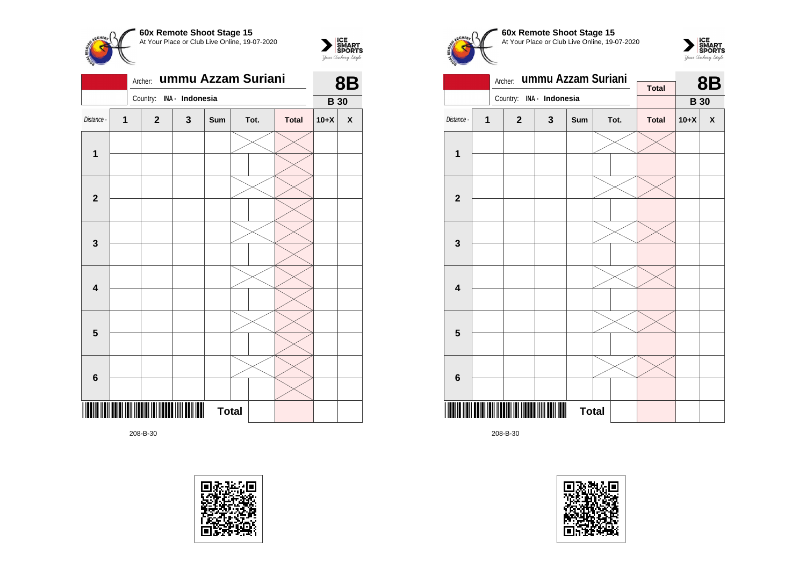



|                         | Country: INA - Indonesia |              | <b>B</b> 30  |              |      |              |        |                    |
|-------------------------|--------------------------|--------------|--------------|--------------|------|--------------|--------|--------------------|
| Distance -              | $\mathbf 1$              | $\mathbf{2}$ | $\mathbf{3}$ | Sum          | Tot. | <b>Total</b> | $10+X$ | $\pmb{\mathsf{X}}$ |
|                         |                          |              |              |              |      |              |        |                    |
| $\mathbf 1$             |                          |              |              |              |      |              |        |                    |
|                         |                          |              |              |              |      |              |        |                    |
| $\mathbf{2}$            |                          |              |              |              |      |              |        |                    |
|                         |                          |              |              |              |      |              |        |                    |
| $\mathbf 3$             |                          |              |              |              |      |              |        |                    |
|                         |                          |              |              |              |      |              |        |                    |
| $\overline{\mathbf{4}}$ |                          |              |              |              |      |              |        |                    |
|                         |                          |              |              |              |      |              |        |                    |
| $\overline{\mathbf{5}}$ |                          |              |              |              |      |              |        |                    |
|                         |                          |              |              |              |      |              |        |                    |
| $\bf 6$                 |                          |              |              |              |      |              |        |                    |
|                         |                          |              | ∥            | <b>Total</b> |      |              |        |                    |

208-B-30









|                         |   | Archer:                  | ummu Azzam Suriani | <b>Total</b> |  | <b>8B</b> |              |             |   |
|-------------------------|---|--------------------------|--------------------|--------------|--|-----------|--------------|-------------|---|
|                         |   | Country: INA - Indonesia |                    |              |  |           |              | <b>B</b> 30 |   |
| Distance -              | 1 | $\mathbf{2}$             | $\mathbf{3}$       | Sum          |  | Tot.      | <b>Total</b> | $10+X$      | X |
|                         |   |                          |                    |              |  |           |              |             |   |
| 1                       |   |                          |                    |              |  |           |              |             |   |
|                         |   |                          |                    |              |  |           |              |             |   |
| $\overline{\mathbf{2}}$ |   |                          |                    |              |  |           |              |             |   |
|                         |   |                          |                    |              |  |           |              |             |   |
| 3                       |   |                          |                    |              |  |           |              |             |   |
|                         |   |                          |                    |              |  |           |              |             |   |
| $\overline{\mathbf{4}}$ |   |                          |                    |              |  |           |              |             |   |
|                         |   |                          |                    |              |  |           |              |             |   |
| 5                       |   |                          |                    |              |  |           |              |             |   |
|                         |   |                          |                    |              |  |           |              |             |   |
| $6\phantom{1}$          |   |                          |                    |              |  |           |              |             |   |
|                         |   |                          | III                | <b>Total</b> |  |           |              |             |   |

208-B-30

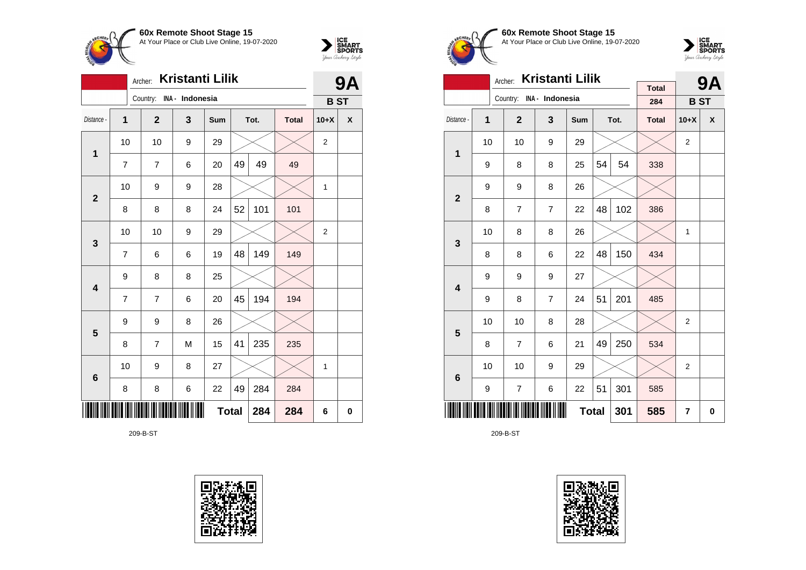



|                         | Kristanti Lilik<br>Archer: |  |                |                          |              |    |      |              |                | <b>9A</b>  |  |
|-------------------------|----------------------------|--|----------------|--------------------------|--------------|----|------|--------------|----------------|------------|--|
|                         |                            |  |                | Country: INA - Indonesia |              |    |      |              |                | <b>BST</b> |  |
| Distance -              | $\overline{1}$             |  | $\mathbf{2}$   | 3                        | Sum          |    | Tot. | <b>Total</b> | $10+X$         | X          |  |
| $\mathbf 1$             | 10                         |  | 10             | 9                        | 29           |    |      |              | $\overline{2}$ |            |  |
|                         | 7                          |  | 7              | 6                        | 20           | 49 | 49   | 49           |                |            |  |
| $\mathbf{2}$            | 10                         |  | 9              | 9                        | 28           |    |      |              | 1              |            |  |
|                         | 8                          |  | 8              | 8                        | 24           | 52 | 101  | 101          |                |            |  |
| 3                       | 10                         |  | 10             | 9                        | 29           |    |      |              | $\overline{2}$ |            |  |
|                         | 7                          |  | 6              | 6                        | 19           | 48 | 149  | 149          |                |            |  |
| $\overline{\mathbf{4}}$ | 9                          |  | 8              | 8                        | 25           |    |      |              |                |            |  |
|                         | $\overline{7}$             |  | $\overline{7}$ | 6                        | 20           | 45 | 194  | 194          |                |            |  |
| 5                       | 9                          |  | 9              | 8                        | 26           |    |      |              |                |            |  |
|                         | 8                          |  | 7              | M                        | 15           | 41 | 235  | 235          |                |            |  |
| $6\phantom{1}6$         | 10                         |  | 9              | 8                        | 27           |    |      |              | 1              |            |  |
|                         | 8                          |  | 8              | 6                        | 22           | 49 | 284  | 284          |                |            |  |
|                         |                            |  |                |                          | <b>Total</b> |    | 284  | 284          | 6              | 0          |  |

209-B-ST





**60x Remote Shoot Stage 15** At Your Place or Club Live Online, 19-07-2020



|                         |                                | <b>Kristanti Lilik</b><br>Archer: |                          |     |    | <b>9A</b> |                     |                |   |
|-------------------------|--------------------------------|-----------------------------------|--------------------------|-----|----|-----------|---------------------|----------------|---|
|                         |                                |                                   | Country: INA - Indonesia |     |    |           | <b>Total</b><br>284 | <b>BST</b>     |   |
| Distance -              | 1                              | $\mathbf{2}$                      | 3                        | Sum |    | Tot.      | <b>Total</b>        | $10+X$         | X |
| $\mathbf{1}$            | 10                             | 10                                | 9                        | 29  |    |           |                     | $\overline{2}$ |   |
|                         | 9                              | 8                                 | 8                        | 25  | 54 | 54        | 338                 |                |   |
| $\overline{2}$          | 9                              | 9                                 | 8                        | 26  |    |           |                     |                |   |
|                         | 8                              | 7                                 | $\overline{7}$           | 22  | 48 | 102       | 386                 |                |   |
| 3                       | 10                             | 8                                 | 8                        | 26  |    |           |                     | 1              |   |
|                         | 8                              | 8                                 | 6                        | 22  | 48 | 150       | 434                 |                |   |
| $\overline{\mathbf{4}}$ | 9                              | 9                                 | 9                        | 27  |    |           |                     |                |   |
|                         | 9                              | 8                                 | 7                        | 24  | 51 | 201       | 485                 |                |   |
| 5                       | 10                             | 10                                | 8                        | 28  |    |           |                     | $\overline{2}$ |   |
|                         | 8                              | 7                                 | 6                        | 21  | 49 | 250       | 534                 |                |   |
| 6                       | 10                             | 10                                | 9                        | 29  |    |           |                     | $\overline{2}$ |   |
|                         | 51<br>301<br>9<br>7<br>6<br>22 |                                   |                          |     |    |           |                     |                |   |
|                         |                                |                                   | 301                      | 585 | 7  | 0         |                     |                |   |

209-B-ST

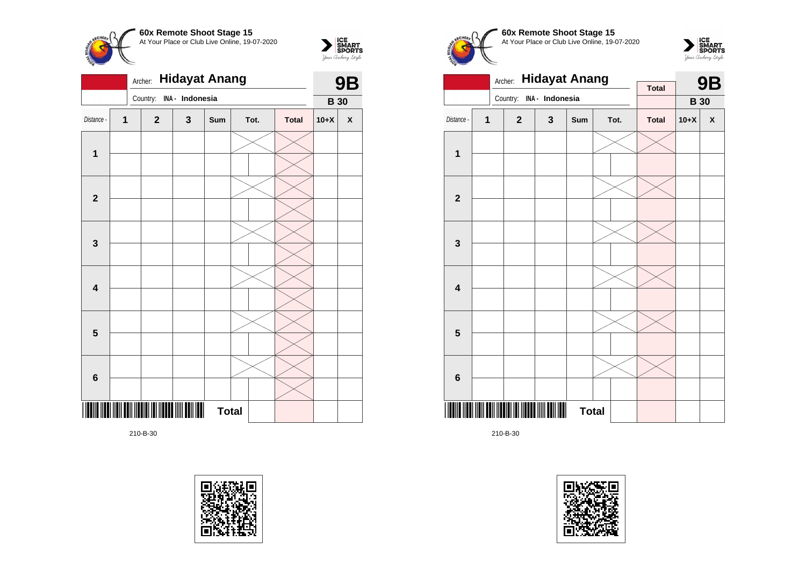



|              |   | <b>9B</b>    |                 |              |      |              |             |   |
|--------------|---|--------------|-----------------|--------------|------|--------------|-------------|---|
|              |   | Country:     | INA - Indonesia |              |      |              | <b>B</b> 30 |   |
| Distance -   | 1 | $\mathbf{2}$ | $\mathbf 3$     | Sum          | Tot. | <b>Total</b> | $10+X$      | X |
| 1            |   |              |                 |              |      |              |             |   |
|              |   |              |                 |              |      |              |             |   |
| $\mathbf{2}$ |   |              |                 |              |      |              |             |   |
|              |   |              |                 |              |      |              |             |   |
| $\mathbf{3}$ |   |              |                 |              |      |              |             |   |
|              |   |              |                 |              |      |              |             |   |
| 4            |   |              |                 |              |      |              |             |   |
|              |   |              |                 |              |      |              |             |   |
| 5            |   |              |                 |              |      |              |             |   |
|              |   |              |                 |              |      |              |             |   |
| 6            |   |              |                 |              |      |              |             |   |
|              |   |              |                 |              |      |              |             |   |
| $\parallel$  |   |              |                 | <b>Total</b> |      |              |             |   |

210-B-30









|                         |   | <b>Hidayat Anang</b><br>Archer: |                 | <b>Total</b> |  | <b>9B</b> |              |             |   |
|-------------------------|---|---------------------------------|-----------------|--------------|--|-----------|--------------|-------------|---|
|                         |   | Country:                        | INA - Indonesia |              |  |           |              | <b>B</b> 30 |   |
| Distance -              | 1 | $\mathbf{2}$                    | $\mathbf 3$     | <b>Sum</b>   |  | Tot.      | <b>Total</b> | $10+X$      | X |
|                         |   |                                 |                 |              |  |           |              |             |   |
| 1                       |   |                                 |                 |              |  |           |              |             |   |
|                         |   |                                 |                 |              |  |           |              |             |   |
| $\mathbf{2}$            |   |                                 |                 |              |  |           |              |             |   |
|                         |   |                                 |                 |              |  |           |              |             |   |
| 3                       |   |                                 |                 |              |  |           |              |             |   |
|                         |   |                                 |                 |              |  |           |              |             |   |
| $\overline{\mathbf{4}}$ |   |                                 |                 |              |  |           |              |             |   |
| 5                       |   |                                 |                 |              |  |           |              |             |   |
|                         |   |                                 |                 |              |  |           |              |             |   |
| $\bf 6$                 |   |                                 |                 |              |  |           |              |             |   |
|                         |   |                                 |                 |              |  |           |              |             |   |
|                         |   |                                 | ║               | <b>Total</b> |  |           |              |             |   |

210-B-30

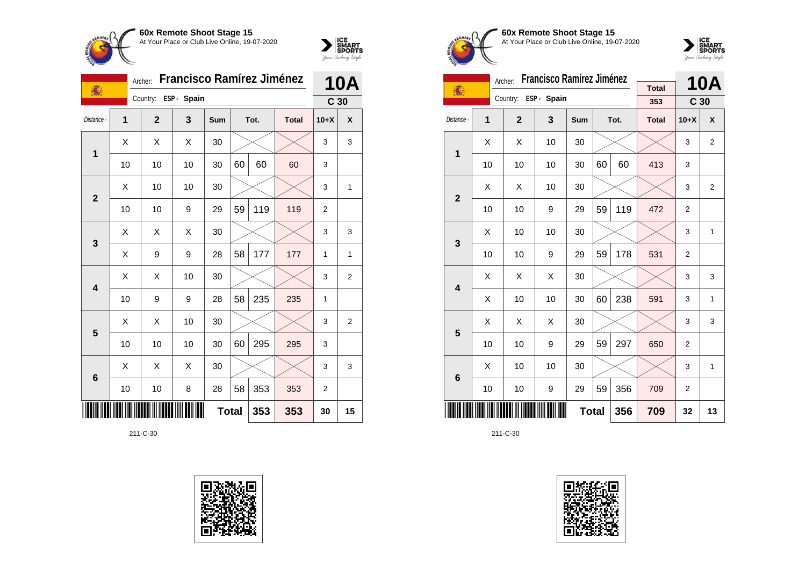



|                         | Francisco Ramírez Jiménez<br>Archer:<br>瀛 |  |                |             |            |              |      |              |                 | <b>10A</b>       |  |
|-------------------------|-------------------------------------------|--|----------------|-------------|------------|--------------|------|--------------|-----------------|------------------|--|
|                         |                                           |  | Country:       | ESP - Spain |            |              |      |              | C <sub>30</sub> |                  |  |
| Distance -              | 1                                         |  | $\overline{2}$ | 3           | <b>Sum</b> |              | Tot. | <b>Total</b> | $10+X$          | X                |  |
| 1                       | X                                         |  | Χ              | X           | 30         |              |      |              | 3               | 3                |  |
|                         | 10                                        |  | 10             | 10          | 30         | 60           | 60   | 60           | 3               |                  |  |
| $\overline{2}$          | X                                         |  | 10             | 10          | 30         |              |      |              | 3               | 1                |  |
|                         | 10                                        |  | 10             | 9           | 29         | 59           | 119  | 119          | $\overline{2}$  |                  |  |
| 3                       | X                                         |  | Χ              | X           | 30         |              |      |              | 3               | 3                |  |
|                         | X                                         |  | 9              | 9           | 28         | 58           | 177  | 177          | 1               | 1                |  |
| $\overline{\mathbf{4}}$ | X                                         |  | X              | 10          | 30         |              |      |              | 3               | $\boldsymbol{2}$ |  |
|                         | 10                                        |  | 9              | 9           | 28         | 58           | 235  | 235          | 1               |                  |  |
| $5\phantom{1}$          | X                                         |  | X              | 10          | 30         |              |      |              | 3               | 2                |  |
|                         | 10                                        |  | 10             | 10          | 30         | 60           | 295  | 295          | 3               |                  |  |
| $6\phantom{1}$          | X                                         |  | Χ              | X           | 30         |              |      |              | 3               | 3                |  |
|                         | 10                                        |  | 10             | 8           | 28         | 58           | 353  | 353          | 2               |                  |  |
|                         |                                           |  |                |             |            | <b>Total</b> | 353  | 353          | 30              | 15               |  |





**60x Remote Shoot Stage 15** At Your Place or Club Live Online, 19-07-2020



|                         | <b>Francisco Ramírez Jiménez</b><br>Archer: |                |                      |     |     |      |                     |                 | 10A            |
|-------------------------|---------------------------------------------|----------------|----------------------|-----|-----|------|---------------------|-----------------|----------------|
| 16                      |                                             |                | Country: ESP - Spain |     |     |      | <b>Total</b><br>353 | C <sub>30</sub> |                |
| Distance -              | 1                                           | $\overline{2}$ | 3                    | Sum |     | Tot. | <b>Total</b>        | $10+X$          | X              |
| 1                       | X                                           | X              | 10                   | 30  |     |      |                     | 3               | $\overline{2}$ |
|                         | 10                                          | 10             | 10                   | 30  | 60  | 60   | 413                 | 3               |                |
| $\overline{2}$          | X                                           | X              | 10                   | 30  |     |      |                     | 3               | $\overline{2}$ |
|                         | 10                                          | 10             | 9                    | 29  | 59  | 119  | 472                 | 2               |                |
| 3                       | Χ                                           | 10             | 10                   | 30  |     |      |                     | 3               | 1              |
|                         | 10                                          | 10             | 9                    | 29  | 59  | 178  | 531                 | 2               |                |
| $\overline{\mathbf{4}}$ | X                                           | X              | X                    | 30  |     |      |                     | 3               | 3              |
|                         | Χ                                           | 10             | 10                   | 30  | 60  | 238  | 591                 | 3               | 1              |
| 5                       | X                                           | X              | X                    | 30  |     |      |                     | 3               | 3              |
|                         | 10                                          | 10             | 9                    | 29  | 59  | 297  | 650                 | $\overline{2}$  |                |
| 6                       | Χ                                           | 10             | 10                   | 30  |     |      |                     | 3               | 1              |
|                         | 10                                          | 9              | 29                   | 59  | 356 | 709  | $\overline{2}$      |                 |                |
|                         | <b>Total</b><br>356                         |                |                      |     |     |      |                     | 32              | 13             |

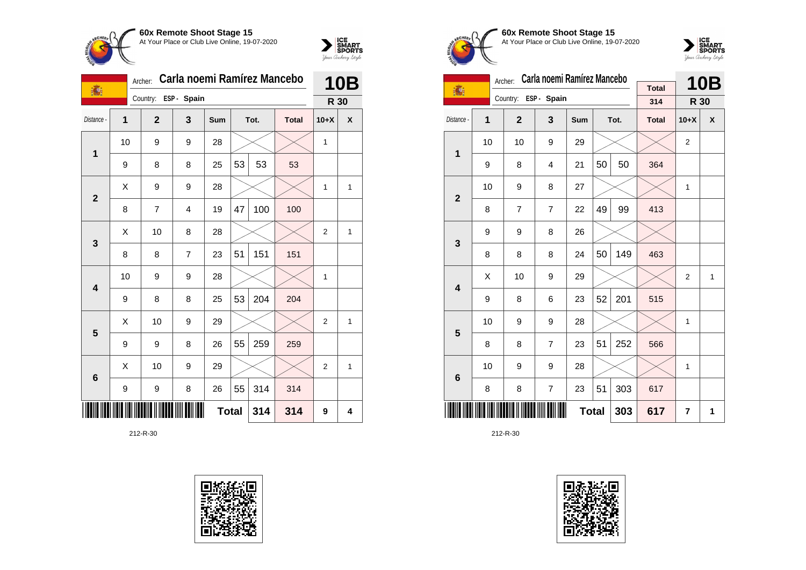



| 1              |    | Archer:  | Carla noemi Ramirez Mancebo | <b>10B</b>  |     |              |      |              |                |              |
|----------------|----|----------|-----------------------------|-------------|-----|--------------|------|--------------|----------------|--------------|
|                |    | Country: |                             | ESP - Spain |     |              |      |              | R 30           |              |
| Distance -     | 1  |          | $\overline{2}$              | 3           | Sum |              | Tot. | <b>Total</b> | $10+X$         | X            |
| 1              | 10 |          | 9                           | 9           | 28  |              |      |              | 1              |              |
|                | 9  |          | 8                           | 8           | 25  | 53           | 53   | 53           |                |              |
| $\overline{2}$ | Χ  |          | 9                           | 9           | 28  |              |      |              | $\mathbf{1}$   | 1            |
|                | 8  |          | $\overline{7}$              | 4           | 19  | 47           | 100  | 100          |                |              |
| 3              | X  |          | 10                          | 8           | 28  |              |      |              | $\overline{2}$ | $\mathbf{1}$ |
|                | 8  |          | 8                           | 7           | 23  | 51           | 151  | 151          |                |              |
| 4              | 10 |          | 9                           | 9           | 28  |              |      |              | $\mathbf{1}$   |              |
|                | 9  |          | 8                           | 8           | 25  | 53           | 204  | 204          |                |              |
| 5              | X  |          | 10                          | 9           | 29  |              |      |              | $\overline{2}$ | $\mathbf{1}$ |
|                | 9  |          | 9                           | 8           | 26  | 55           | 259  | 259          |                |              |
| 6              | X  |          | 10                          | 9           | 29  |              |      |              | $\overline{2}$ | $\mathbf{1}$ |
|                | 9  |          | 9                           | 8           | 26  | 55           | 314  | 314          |                |              |
|                |    |          |                             |             |     | <b>Total</b> | 314  | 314          | 9              | 4            |





**60x Remote Shoot Stage 15** At Your Place or Club Live Online, 19-07-2020



|                         | Carla noemi Ramírez Mancebo<br>Archer: |                |                      |     |     |      |                     |        | <b>10B</b> |
|-------------------------|----------------------------------------|----------------|----------------------|-----|-----|------|---------------------|--------|------------|
| 漏!                      |                                        |                | Country: ESP - Spain |     |     |      | <b>Total</b><br>314 | R 30   |            |
| Distance -              | 1                                      | $\overline{2}$ | 3                    | Sum |     | Tot. | <b>Total</b>        | $10+X$ | X          |
| 1                       | 10                                     | 10             | 9                    | 29  |     |      |                     | 2      |            |
|                         | 9                                      | 8              | 4                    | 21  | 50  | 50   | 364                 |        |            |
| $\overline{2}$          | 10                                     | 9              | 8                    | 27  |     |      |                     | 1      |            |
|                         | 8                                      | $\overline{7}$ | $\overline{7}$       | 22  | 49  | 99   | 413                 |        |            |
| 3                       | 9                                      | 9              | 8                    | 26  |     |      |                     |        |            |
|                         | 8                                      | 8              | 8                    | 24  | 50  | 149  | 463                 |        |            |
| $\overline{\mathbf{4}}$ | Χ                                      | 10             | 9                    | 29  |     |      |                     | 2      | 1          |
|                         | 9                                      | 8              | 6                    | 23  | 52  | 201  | 515                 |        |            |
| 5                       | 10                                     | 9              | 9                    | 28  |     |      |                     | 1      |            |
|                         | 8                                      | 8              | $\overline{7}$       | 23  | 51  | 252  | 566                 |        |            |
| 6                       | 10                                     | 9              | 9                    | 28  |     |      |                     | 1      |            |
|                         | 8                                      | 7              | 23                   | 51  | 303 | 617  |                     |        |            |
|                         | <b>Total</b><br>303                    |                |                      |     |     |      |                     | 7      | 1          |

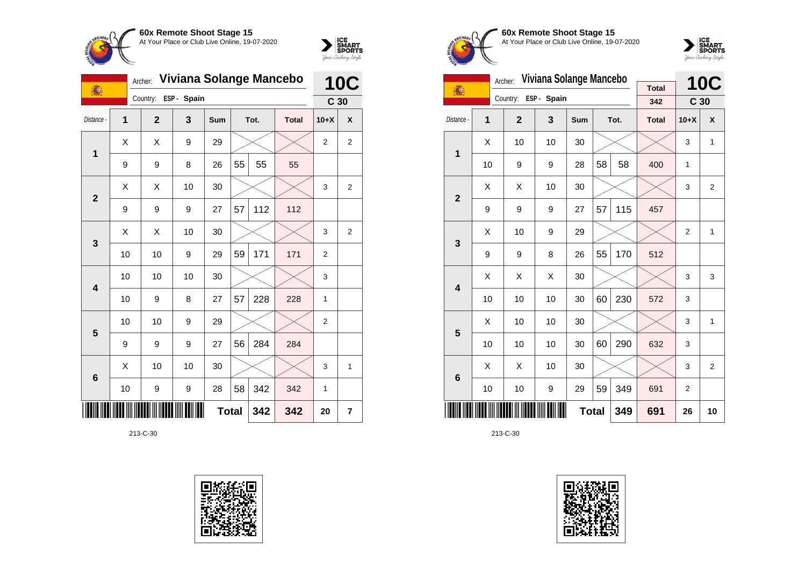



|                | Viviana Solange Mancebo<br>Archer:<br>16 |              |             |     |              |      |              |                 | <b>10C</b>              |  |
|----------------|------------------------------------------|--------------|-------------|-----|--------------|------|--------------|-----------------|-------------------------|--|
|                |                                          | Country:     | ESP - Spain |     |              |      |              | C <sub>30</sub> |                         |  |
| Distance -     | 1                                        | $\mathbf{2}$ | 3           | Sum |              | Tot. | <b>Total</b> | $10+X$          | X                       |  |
| 1              | X                                        | Χ            | 9           | 29  |              |      |              | 2               | $\overline{\mathbf{c}}$ |  |
|                | 9                                        | 9            | 8           | 26  | 55           | 55   | 55           |                 |                         |  |
| $\overline{2}$ | X                                        | X            | 10          | 30  |              |      |              | 3               | $\boldsymbol{2}$        |  |
|                | 9                                        | 9            | 9           | 27  | 57           | 112  | 112          |                 |                         |  |
| 3              | X                                        | Χ            | 10          | 30  |              |      |              | 3               | $\overline{2}$          |  |
|                | 10                                       | 10           | 9           | 29  | 59           | 171  | 171          | $\overline{2}$  |                         |  |
| 4              | 10                                       | 10           | 10          | 30  |              |      |              | 3               |                         |  |
|                | 10                                       | 9            | 8           | 27  | 57           | 228  | 228          | $\mathbf{1}$    |                         |  |
| 5              | 10                                       | 10           | 9           | 29  |              |      |              | $\overline{2}$  |                         |  |
|                | 9                                        | 9            | 9           | 27  | 56           | 284  | 284          |                 |                         |  |
| 6              | X                                        | 10           | 10          | 30  |              |      |              | 3               | 1                       |  |
|                | 10                                       | 9            | 9           | 28  | 58           | 342  | 342          | 1               |                         |  |
|                |                                          |              |             |     | <b>Total</b> | 342  | 342          | 20              | 7                       |  |





**60x Remote Shoot Stage 15** At Your Place or Club Live Online, 19-07-2020



|                         | Archer: | Viviana Solange Mancebo |            |              | <b>10C</b> |      |                     |                 |                |
|-------------------------|---------|-------------------------|------------|--------------|------------|------|---------------------|-----------------|----------------|
| 1                       |         | Country:                | ESP- Spain |              |            |      | <b>Total</b><br>342 | C <sub>30</sub> |                |
| Distance -              | 1       | $\overline{2}$          | 3          | <b>Sum</b>   |            | Tot. | <b>Total</b>        | $10+X$          | X              |
| 1                       | X       | 10                      | 10         | 30           |            |      |                     | 3               | 1              |
|                         | 10      | 9                       | 9          | 28           | 58         | 58   | 400                 | 1               |                |
| $\overline{2}$          | X       | Χ                       | 10         | 30           |            |      |                     | 3               | $\overline{2}$ |
|                         | 9       | 9                       | 9          | 27           | 57         | 115  | 457                 |                 |                |
| 3                       | X       | 10                      | 9          | 29           |            |      |                     | 2               | 1              |
|                         | 9       | 9                       | 8          | 26           | 55         | 170  | 512                 |                 |                |
| $\overline{\mathbf{4}}$ | Χ       | Χ                       | Χ          | 30           |            |      |                     | 3               | 3              |
|                         | 10      | 10                      | 10         | 30           | 60         | 230  | 572                 | 3               |                |
| 5                       | X       | 10                      | 10         | 30           |            |      |                     | 3               | 1              |
|                         | 10      | 10                      | 10         | 30           | 60         | 290  | 632                 | 3               |                |
| 6                       | X       | X                       | 10         | 30           |            |      |                     | 3               | 2              |
|                         | 10      | 10                      | 9          | 29           | 59         | 349  | 691                 | 2               |                |
|                         |         |                         |            | <b>Total</b> |            | 349  | 691                 | 26              | 10             |

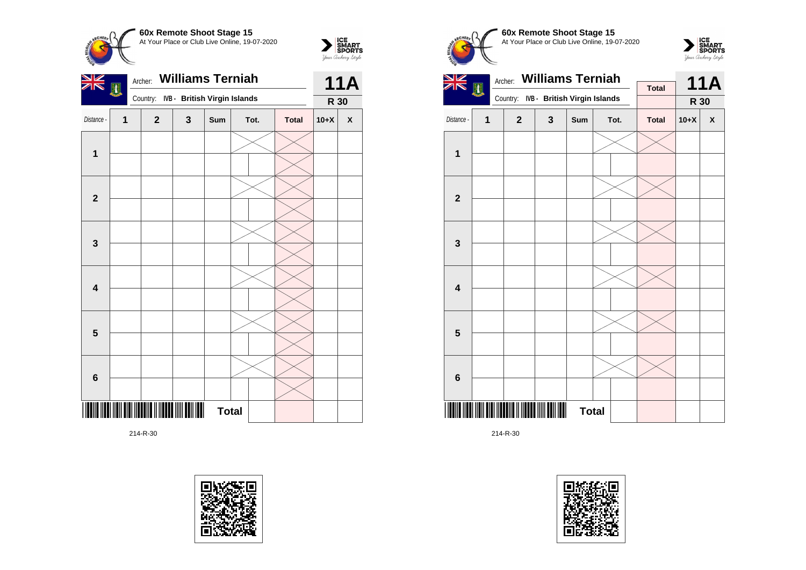

**1**

**2**

**3**

**4**

**5**

**6**



 $\sum_{\text{S$ **MART** $<br>$ *Your Archary Style* 

**60x Remote Shoot Stage 15** At Your Place or Club Live Online, 19-07-2020





214-R-30





\*214-R-30\*

214-R-30



**Total**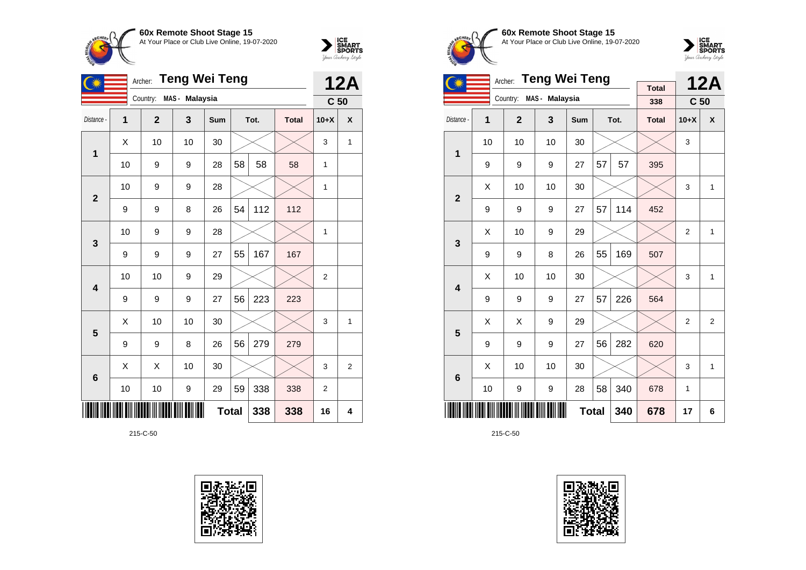



|                | <b>Teng Wei Teng</b><br>Archer: |                |                  |              |    |      |              | <b>12A</b>      |                |
|----------------|---------------------------------|----------------|------------------|--------------|----|------|--------------|-----------------|----------------|
|                |                                 | Country:       | MAS - Malaysia   |              |    |      |              | C <sub>50</sub> |                |
| Distance -     | 1                               | $\overline{2}$ | 3                | <b>Sum</b>   |    | Tot. | <b>Total</b> | $10+X$          | X              |
| 1              | X                               | 10             | 10               | 30           |    |      |              | 3               | 1              |
|                | 10                              | 9              | 9                | 28           | 58 | 58   | 58           | 1               |                |
| $\overline{2}$ | 10                              | 9              | 9                | 28           |    |      |              | $\mathbf{1}$    |                |
|                | 9                               | 9              | 8                | 26           | 54 | 112  | 112          |                 |                |
| 3              | 10                              | 9              | 9                | 28           |    |      |              | $\mathbf{1}$    |                |
|                | 9                               | 9              | 9                | 27           | 55 | 167  | 167          |                 |                |
| 4              | 10                              | 10             | 9                | 29           |    |      |              | $\overline{2}$  |                |
|                | 9                               | 9              | 9                | 27           | 56 | 223  | 223          |                 |                |
| 5              | X                               | 10             | 10               | 30           |    |      |              | 3               | 1              |
|                | 9                               | 9              | 8                | 26           | 56 | 279  | 279          |                 |                |
| $6\phantom{1}$ | X                               | X              | 10               | 30           |    |      |              | 3               | $\overline{2}$ |
|                | 10                              | 10             | $\boldsymbol{9}$ | 29           | 59 | 338  | 338          | $\overline{2}$  |                |
|                |                                 |                |                  | <b>Total</b> |    | 338  | 338          | 16              | 4              |

215-C-50





**60x Remote Shoot Stage 15** At Your Place or Club Live Online, 19-07-2020



|                         |    | <b>Teng Wei Teng</b><br>Archer: |                |            |    | <b>12A</b> |                     |                 |                |
|-------------------------|----|---------------------------------|----------------|------------|----|------------|---------------------|-----------------|----------------|
|                         |    | Country:                        | MAS - Malaysia |            |    |            | <b>Total</b><br>338 | C <sub>50</sub> |                |
| Distance -              | 1  | $\overline{2}$                  | 3              | <b>Sum</b> |    | Tot.       | <b>Total</b>        | $10+X$          | X              |
| 1                       | 10 | 10                              | 10             | 30         |    |            |                     | 3               |                |
|                         | 9  | 9                               | 9              | 27         | 57 | 57         | 395                 |                 |                |
| $\overline{2}$          | X  | 10                              | 10             | 30         |    |            |                     | 3               | 1              |
|                         | 9  | 9                               | 9              | 27         | 57 | 114        | 452                 |                 |                |
| 3                       | X  | 10                              | 9              | 29         |    |            |                     | $\overline{2}$  | 1              |
|                         | 9  | 9                               | 8              | 26         | 55 | 169        | 507                 |                 |                |
| $\overline{\mathbf{4}}$ | X  | 10                              | 10             | 30         |    |            |                     | 3               | 1              |
|                         | 9  | 9                               | 9              | 27         | 57 | 226        | 564                 |                 |                |
| 5                       | X  | X                               | 9              | 29         |    |            |                     | $\overline{2}$  | $\overline{2}$ |
|                         | 9  | 9                               | 9              | 27         | 56 | 282        | 620                 |                 |                |
| 6                       | X  | 10                              | 10             | 30         |    |            |                     | 3               | 1              |
|                         | 10 | 9                               | 9              | 28         | 58 | 340        | 678                 | 1               |                |
|                         |    |                                 | 678            | 17         | 6  |            |                     |                 |                |

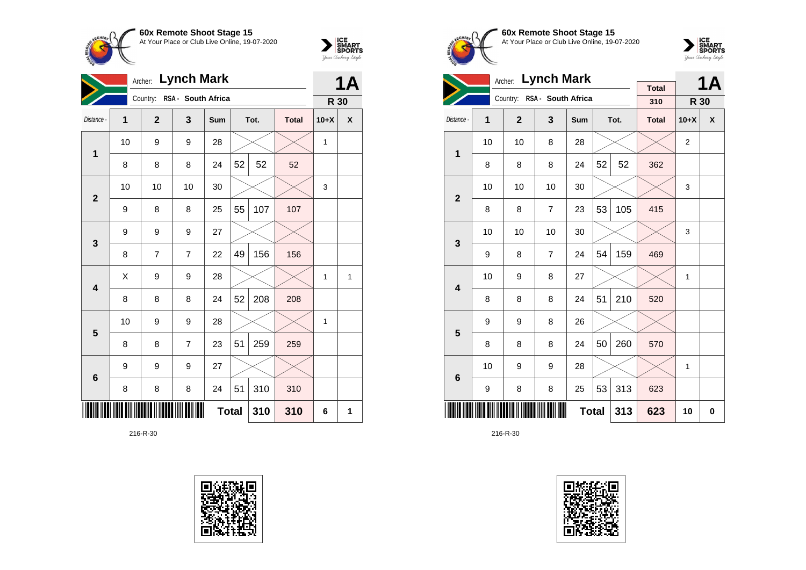



|                         |    | Archer:      | <b>Lynch Mark</b>           |              |    |      |              |        | <b>1A</b>          |
|-------------------------|----|--------------|-----------------------------|--------------|----|------|--------------|--------|--------------------|
|                         |    |              | Country: RSA - South Africa |              |    |      |              | R 30   |                    |
| Distance -              | 1  | $\mathbf{2}$ | 3                           | Sum          |    | Tot. | <b>Total</b> | $10+X$ | $\pmb{\mathsf{X}}$ |
| $\mathbf 1$             | 10 | 9            | 9                           | 28           |    |      |              | 1      |                    |
|                         | 8  | 8            | 8                           | 24           | 52 | 52   | 52           |        |                    |
| $\overline{2}$          | 10 | 10           | 10                          | 30           |    |      |              | 3      |                    |
|                         | 9  | 8            | 8                           | 25           | 55 | 107  | 107          |        |                    |
| 3                       | 9  | 9            | 9                           | 27           |    |      |              |        |                    |
|                         | 8  | 7            | $\overline{7}$              | 22           | 49 | 156  | 156          |        |                    |
| $\overline{\mathbf{4}}$ | X  | 9            | 9                           | 28           |    |      |              | 1      | 1                  |
|                         | 8  | 8            | 8                           | 24           | 52 | 208  | 208          |        |                    |
| $\overline{\mathbf{5}}$ | 10 | 9            | 9                           | 28           |    |      |              | 1      |                    |
|                         | 8  | 8            | $\overline{7}$              | 23           | 51 | 259  | 259          |        |                    |
| $6\phantom{1}6$         | 9  | 9            | 9                           | 27           |    |      |              |        |                    |
|                         | 8  | 8            | 8                           | 24           | 51 | 310  | 310          |        |                    |
|                         |    |              |                             | <b>Total</b> |    | 310  | 310          | 6      | 1                  |









|                         |    | <b>Lynch Mark</b><br>Archer: |                             |              |    | <b>1A</b> |                     |                |   |
|-------------------------|----|------------------------------|-----------------------------|--------------|----|-----------|---------------------|----------------|---|
|                         |    |                              | Country: RSA - South Africa |              |    |           | <b>Total</b><br>310 | R 30           |   |
| Distance -              | 1  | $\mathbf{2}$                 | 3                           | Sum          |    | Tot.      | <b>Total</b>        | $10+X$         | X |
| $\mathbf 1$             | 10 | 10                           | 8                           | 28           |    |           |                     | $\overline{2}$ |   |
|                         | 8  | 8                            | 8                           | 24           | 52 | 52        | 362                 |                |   |
| $\overline{2}$          | 10 | 10                           | 10                          | 30           |    |           |                     | 3              |   |
|                         | 8  | 8                            | $\overline{7}$              | 23           | 53 | 105       | 415                 |                |   |
| 3                       | 10 | 10                           | 10                          | 30           |    |           |                     | 3              |   |
|                         | 9  | 8                            | $\overline{7}$              | 24           | 54 | 159       | 469                 |                |   |
| $\overline{\mathbf{4}}$ | 10 | 9                            | 8                           | 27           |    |           |                     | 1              |   |
|                         | 8  | 8                            | 8                           | 24           | 51 | 210       | 520                 |                |   |
| 5                       | 9  | 9                            | 8                           | 26           |    |           |                     |                |   |
|                         | 8  | 8                            | 8                           | 24           | 50 | 260       | 570                 |                |   |
| 6                       | 10 | 9                            | 9                           | 28           |    |           |                     | 1              |   |
|                         | 9  | 8                            | 8                           | 25           | 53 | 313       | 623                 |                |   |
|                         |    |                              |                             | <b>Total</b> |    | 313       | 623                 | 10             | 0 |

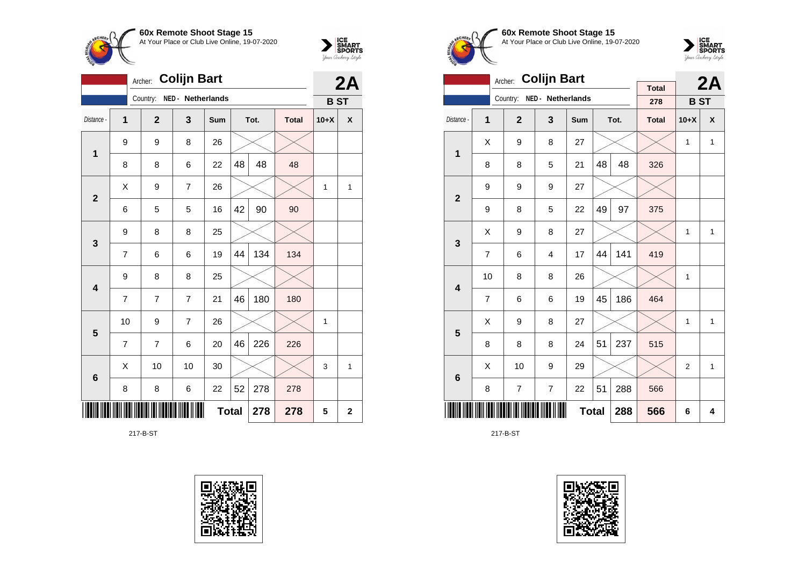



|                 |                | 2A             |                   |              |    |      |              |            |              |
|-----------------|----------------|----------------|-------------------|--------------|----|------|--------------|------------|--------------|
|                 |                | Country:       | NED - Netherlands |              |    |      |              | <b>BST</b> |              |
| Distance -      | 1              | $\overline{2}$ | 3                 | Sum          |    | Tot. | <b>Total</b> | $10+X$     | X            |
| 1               | 9              | 9              | 8                 | 26           |    |      |              |            |              |
|                 | 8              | 8              | 6                 | 22           | 48 | 48   | 48           |            |              |
| $\mathbf{2}$    | Χ              | 9              | 7                 | 26           |    |      |              | 1          | 1            |
|                 | 6              | 5              | 5                 | 16           | 42 | 90   | 90           |            |              |
| 3               | 9              | 8              | 8                 | 25           |    |      |              |            |              |
|                 | $\overline{7}$ | 6              | 6                 | 19           | 44 | 134  | 134          |            |              |
| 4               | 9              | 8              | 8                 | 25           |    |      |              |            |              |
|                 | $\overline{7}$ | 7              | 7                 | 21           | 46 | 180  | 180          |            |              |
| 5               | 10             | 9              | 7                 | 26           |    |      |              | 1          |              |
|                 | $\overline{7}$ | 7              | 6                 | 20           | 46 | 226  | 226          |            |              |
| $6\phantom{1}6$ | Χ              | 10             | 10                | 30           |    |      |              | 3          | 1            |
|                 | 8              | 8              | 6                 | 22           | 52 | 278  | 278          |            |              |
|                 |                |                |                   | <b>Total</b> |    | 278  | 278          | 5          | $\mathbf{2}$ |

217-B-ST





**60x Remote Shoot Stage 15** At Your Place or Club Live Online, 19-07-2020



|                         |                | <b>Colijn Bart</b><br>Archer: |                   |              |    | 2A   |                     |                |                    |
|-------------------------|----------------|-------------------------------|-------------------|--------------|----|------|---------------------|----------------|--------------------|
|                         |                | Country:                      | NED - Netherlands |              |    |      | <b>Total</b><br>278 | <b>BST</b>     |                    |
| Distance -              | 1              | $\overline{2}$                | 3                 | Sum          |    | Tot. | <b>Total</b>        | $10+X$         | $\pmb{\mathsf{X}}$ |
|                         |                |                               |                   |              |    |      |                     |                |                    |
| 1                       | X              | 9                             | 8                 | 27           |    |      |                     | $\mathbf{1}$   | $\mathbf{1}$       |
|                         | 8              | 8                             | 5                 | 21           | 48 | 48   | 326                 |                |                    |
| $\overline{2}$          | 9              | 9                             | 9                 | 27           |    |      |                     |                |                    |
|                         | 9              | 8                             | 5                 | 22           | 49 | 97   | 375                 |                |                    |
| 3                       | X              | 9                             | 8                 | 27           |    |      |                     | 1              | $\mathbf{1}$       |
|                         | $\overline{7}$ | 6                             | 4                 | 17           | 44 | 141  | 419                 |                |                    |
| $\overline{\mathbf{4}}$ | 10             | 8                             | 8                 | 26           |    |      |                     | 1              |                    |
|                         | $\overline{7}$ | 6                             | 6                 | 19           | 45 | 186  | 464                 |                |                    |
| 5                       | X              | 9                             | 8                 | 27           |    |      |                     | 1              | $\mathbf{1}$       |
|                         | 8              | 8                             | 8                 | 24           | 51 | 237  | 515                 |                |                    |
| $\bf 6$                 | X              | 10                            | 9                 | 29           |    |      |                     | $\overline{2}$ | 1                  |
|                         | 8              | 7                             | $\overline{7}$    | 22           | 51 | 288  | 566                 |                |                    |
|                         |                |                               |                   | <b>Total</b> |    | 288  | 566                 | 6              | 4                  |

217-B-ST

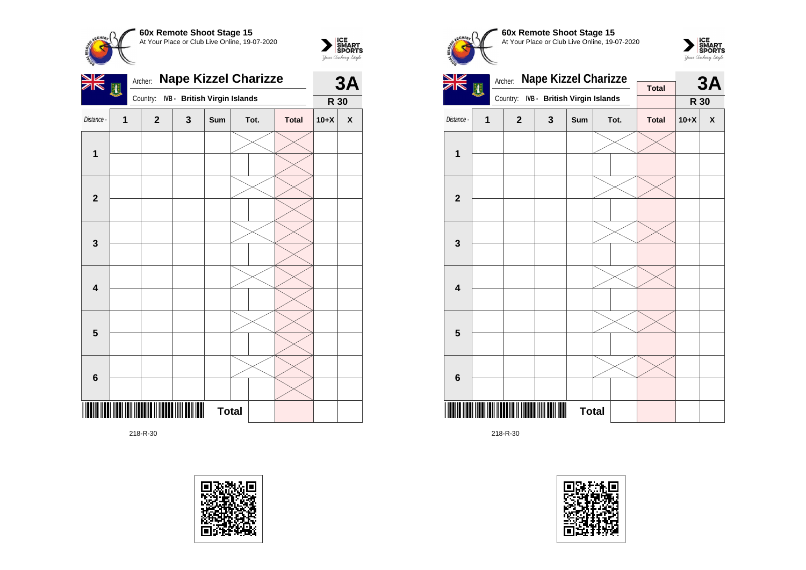

 $\sum_{\text{S$ **MART** $<br>$ *Your Archary Style* 



218-R-30









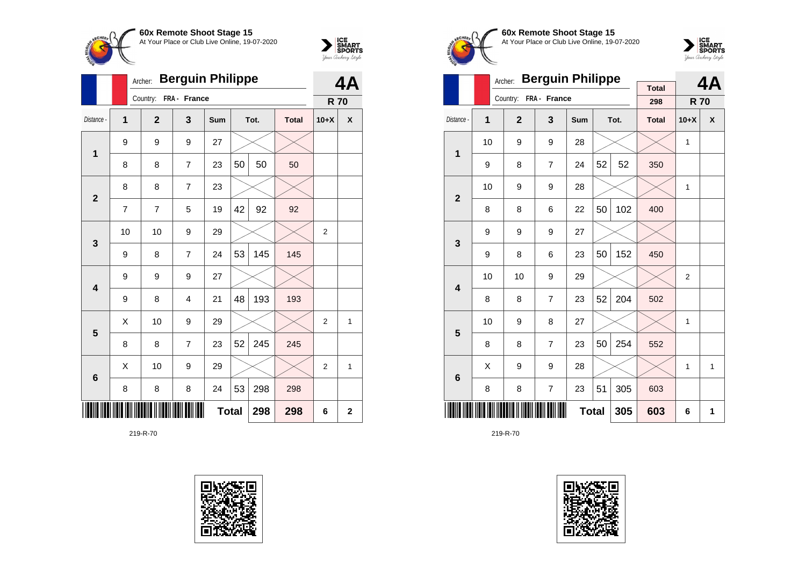



|                         |                | <b>Berguin Philippe</b><br>Archer: |                | 4A           |    |      |              |                |              |
|-------------------------|----------------|------------------------------------|----------------|--------------|----|------|--------------|----------------|--------------|
|                         |                | Country:                           | FRA - France   |              |    |      |              | <b>R70</b>     |              |
| Distance -              | 1              | $\overline{2}$                     | 3              | <b>Sum</b>   |    | Tot. | <b>Total</b> | $10+X$         | X            |
| $\mathbf 1$             | 9              | 9                                  | 9              | 27           |    |      |              |                |              |
|                         | 8              | 8                                  | $\overline{7}$ | 23           | 50 | 50   | 50           |                |              |
| $\overline{2}$          | 8              | 8                                  | 7              | 23           |    |      |              |                |              |
|                         | $\overline{7}$ | 7                                  | 5              | 19           | 42 | 92   | 92           |                |              |
| 3                       | 10             | 10                                 | 9              | 29           |    |      |              | $\overline{2}$ |              |
|                         | 9              | 8                                  | 7              | 24           | 53 | 145  | 145          |                |              |
| $\overline{\mathbf{4}}$ | 9              | 9                                  | 9              | 27           |    |      |              |                |              |
|                         | 9              | 8                                  | 4              | 21           | 48 | 193  | 193          |                |              |
| 5                       | X              | 10                                 | 9              | 29           |    |      |              | $\overline{2}$ | 1            |
|                         | 8              | 8                                  | 7              | 23           | 52 | 245  | 245          |                |              |
| $6\phantom{1}6$         | X              | 10                                 | 9              | 29           |    |      |              | $\overline{2}$ | 1            |
|                         | 8              | 8                                  | 8              | 24           | 53 | 298  | 298          |                |              |
|                         |                |                                    |                | <b>Total</b> |    | 298  | 298          | 6              | $\mathbf{2}$ |





**60x Remote Shoot Stage 15** At Your Place or Club Live Online, 19-07-2020



|                         |    | <b>Berguin Philippe</b><br>Archer: |                       | <b>Total</b> |    | 4A   |              |                |   |
|-------------------------|----|------------------------------------|-----------------------|--------------|----|------|--------------|----------------|---|
|                         |    |                                    | Country: FRA - France |              |    |      | 298          | <b>R70</b>     |   |
| Distance -              | 1  | $\mathbf{2}$                       | 3                     | <b>Sum</b>   |    | Tot. | <b>Total</b> | $10+X$         | X |
| 1                       | 10 | 9                                  | 9                     | 28           |    |      |              | 1              |   |
|                         | 9  | 8                                  | $\overline{7}$        | 24           | 52 | 52   | 350          |                |   |
| $\overline{2}$          | 10 | 9                                  | 9                     | 28           |    |      |              | 1              |   |
|                         | 8  | 8                                  | 6                     | 22           | 50 | 102  | 400          |                |   |
| 3                       | 9  | 9                                  | 9                     | 27           |    |      |              |                |   |
|                         | 9  | 8                                  | 6                     | 23           | 50 | 152  | 450          |                |   |
| $\overline{\mathbf{4}}$ | 10 | 10                                 | 9                     | 29           |    |      |              | $\overline{2}$ |   |
|                         | 8  | 8                                  | $\overline{7}$        | 23           | 52 | 204  | 502          |                |   |
| 5                       | 10 | 9                                  | 8                     | 27           |    |      |              | 1              |   |
|                         | 8  | 8                                  | $\overline{7}$        | 23           | 50 | 254  | 552          |                |   |
| $6\phantom{1}6$         | Χ  | 9                                  | 9                     | 28           |    |      |              | 1              | 1 |
|                         | 8  | 8                                  | $\overline{7}$        | 23           | 51 | 305  | 603          |                |   |
|                         |    |                                    |                       | <b>Total</b> |    | 305  | 603          | 6              | 1 |

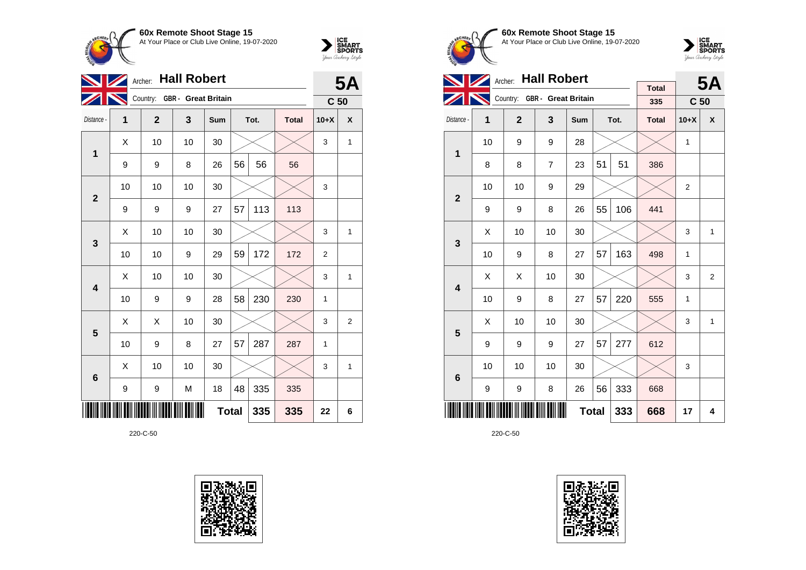



|                         |    | <b>5A</b>                    |    |              |    |      |              |                 |              |
|-------------------------|----|------------------------------|----|--------------|----|------|--------------|-----------------|--------------|
|                         |    | Country: GBR - Great Britain |    |              |    |      |              | C <sub>50</sub> |              |
| Distance -              | 1  | $\overline{2}$               | 3  | Sum          |    | Tot. | <b>Total</b> | $10+X$          | X            |
| 1                       | Χ  | 10                           | 10 | 30           |    |      |              | 3               | $\mathbf{1}$ |
|                         | 9  | 9                            | 8  | 26           | 56 | 56   | 56           |                 |              |
| $\overline{\mathbf{2}}$ | 10 | 10                           | 10 | 30           |    |      |              | 3               |              |
|                         | 9  | 9                            | 9  | 27           | 57 | 113  | 113          |                 |              |
| 3                       | X  | 10                           | 10 | 30           |    |      |              | 3               | $\mathbf{1}$ |
|                         | 10 | 10                           | 9  | 29           | 59 | 172  | 172          | 2               |              |
| 4                       | X  | 10                           | 10 | 30           |    |      |              | 3               | $\mathbf{1}$ |
|                         | 10 | 9                            | 9  | 28           | 58 | 230  | 230          | 1               |              |
| 5                       | Χ  | Χ                            | 10 | 30           |    |      |              | 3               | 2            |
|                         | 10 | 9                            | 8  | 27           | 57 | 287  | 287          | 1               |              |
| $6\phantom{1}6$         | X  | 10                           | 10 | 30           |    |      |              | 3               | $\mathbf{1}$ |
|                         | 9  | 9                            | M  | 18           | 48 | 335  | 335          |                 |              |
|                         |    |                              |    | <b>Total</b> |    | 335  | 335          | 22              | 6            |

220-C-50





**60x Remote Shoot Stage 15** At Your Place or Club Live Online, 19-07-2020



|                         |    | Archer: Hall Robert |                              |              |    | <b>5A</b> |                     |                 |                |
|-------------------------|----|---------------------|------------------------------|--------------|----|-----------|---------------------|-----------------|----------------|
|                         |    |                     | Country: GBR - Great Britain |              |    |           | <b>Total</b><br>335 | C <sub>50</sub> |                |
|                         |    |                     |                              |              |    |           |                     |                 |                |
| Distance -              | 1  | $\mathbf{2}$        | 3                            | Sum          |    | Tot.      | <b>Total</b>        | $10+X$          | X              |
| 1                       | 10 | 9                   | 9                            | 28           |    |           |                     | 1               |                |
|                         | 8  | 8                   | $\overline{7}$               | 23           | 51 | 51        | 386                 |                 |                |
| $\overline{2}$          | 10 | 10                  | 9                            | 29           |    |           |                     | $\overline{2}$  |                |
|                         | 9  | 9                   | 8                            | 26           | 55 | 106       | 441                 |                 |                |
| 3                       | X  | 10                  | 10                           | 30           |    |           |                     | 3               | $\mathbf{1}$   |
|                         | 10 | 9                   | 8                            | 27           | 57 | 163       | 498                 | $\mathbf{1}$    |                |
| $\overline{\mathbf{4}}$ | X  | X                   | 10                           | 30           |    |           |                     | 3               | $\overline{2}$ |
|                         | 10 | 9                   | 8                            | 27           | 57 | 220       | 555                 | 1               |                |
| 5                       | X  | 10                  | 10                           | 30           |    |           |                     | 3               | $\mathbf{1}$   |
|                         | 9  | 9                   | 9                            | 27           | 57 | 277       | 612                 |                 |                |
| $6\phantom{1}$          | 10 | 10                  | 10                           | 30           |    |           |                     | 3               |                |
|                         | 9  | 9                   | 8                            | 26           | 56 | 333       | 668                 |                 |                |
|                         |    |                     |                              | <b>Total</b> |    | 333       | 668                 | 17              | 4              |

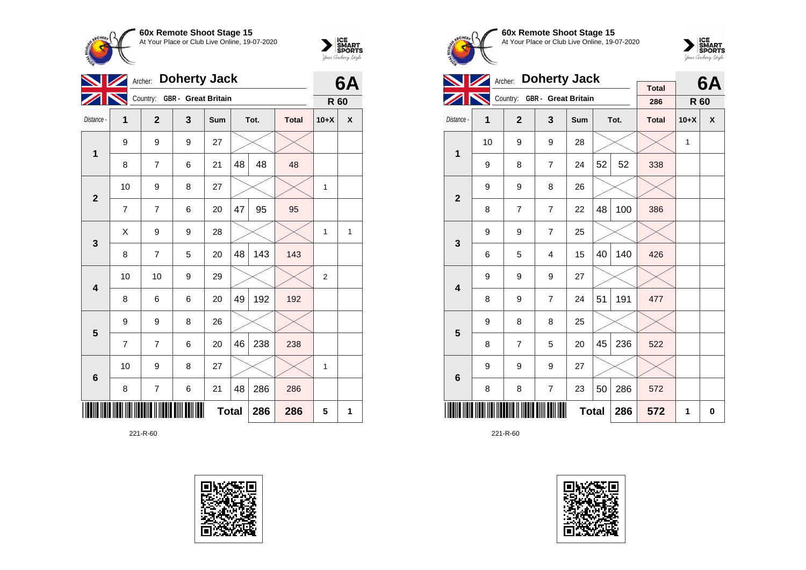



|                         | <b>Doherty Jack</b><br>Archer: |                |                              |     |    |      |              |                |   |  |
|-------------------------|--------------------------------|----------------|------------------------------|-----|----|------|--------------|----------------|---|--|
|                         |                                |                | Country: GBR - Great Britain |     |    |      |              | R 60           |   |  |
| Distance -              | 1                              | $\overline{2}$ | 3                            | Sum |    | Tot. | <b>Total</b> | $10+X$         | X |  |
| 1                       | 9                              | 9              | 9                            | 27  |    |      |              |                |   |  |
|                         | 8                              | $\overline{7}$ | 6                            | 21  | 48 | 48   | 48           |                |   |  |
| $\mathbf{2}$            | 10                             | 9              | 8                            | 27  |    |      |              | 1              |   |  |
|                         | 7                              | $\overline{7}$ | 6                            | 20  | 47 | 95   | 95           |                |   |  |
| 3                       | Χ                              | 9              | 9                            | 28  |    |      |              | 1              | 1 |  |
|                         | 8                              | 7              | 5                            | 20  | 48 | 143  | 143          |                |   |  |
| $\overline{\mathbf{4}}$ | 10                             | 10             | 9                            | 29  |    |      |              | $\overline{2}$ |   |  |
|                         | 8                              | 6              | 6                            | 20  | 49 | 192  | 192          |                |   |  |
| 5                       | 9                              | 9              | 8                            | 26  |    |      |              |                |   |  |
|                         | $\overline{7}$                 | $\overline{7}$ | 6                            | 20  | 46 | 238  | 238          |                |   |  |
| $6\phantom{1}6$         | 10                             | 9              | 8                            | 27  |    |      |              | 1              |   |  |
|                         | 8                              | 7              | 6                            | 21  | 48 | 286  | 286          |                |   |  |
|                         |                                |                | 286                          | 286 | 5  | 1    |              |                |   |  |









|                         |    | Archer: Doherty Jack |                              |     |    | 6A   |                     |        |   |
|-------------------------|----|----------------------|------------------------------|-----|----|------|---------------------|--------|---|
|                         |    |                      | Country: GBR - Great Britain |     |    |      | <b>Total</b><br>286 | R 60   |   |
| Distance -              | 1  | $\overline{2}$       | 3                            | Sum |    | Tot. | <b>Total</b>        | $10+X$ | X |
| 1                       | 10 | 9                    | 9                            | 28  |    |      |                     | 1      |   |
|                         | 9  | 8                    | $\overline{7}$               | 24  | 52 | 52   | 338                 |        |   |
| $\overline{2}$          | 9  | 9                    | 8                            | 26  |    |      |                     |        |   |
|                         | 8  | 7                    | $\overline{7}$               | 22  | 48 | 100  | 386                 |        |   |
| 3                       | 9  | 9                    | $\overline{7}$               | 25  |    |      |                     |        |   |
|                         | 6  | 5                    | 4                            | 15  | 40 | 140  | 426                 |        |   |
| $\overline{\mathbf{4}}$ | 9  | 9                    | 9                            | 27  |    |      |                     |        |   |
|                         | 8  | 9                    | $\overline{7}$               | 24  | 51 | 191  | 477                 |        |   |
| 5                       | 9  | 8                    | 8                            | 25  |    |      |                     |        |   |
|                         | 8  | $\overline{7}$       | 5                            | 20  | 45 | 236  | 522                 |        |   |
| $6\phantom{1}6$         | 9  | 9                    | 9                            | 27  |    |      |                     |        |   |
|                         | 8  | 8                    | $\overline{7}$               | 23  | 50 | 286  | 572                 |        |   |
|                         |    |                      | 286                          | 572 | 1  | 0    |                     |        |   |

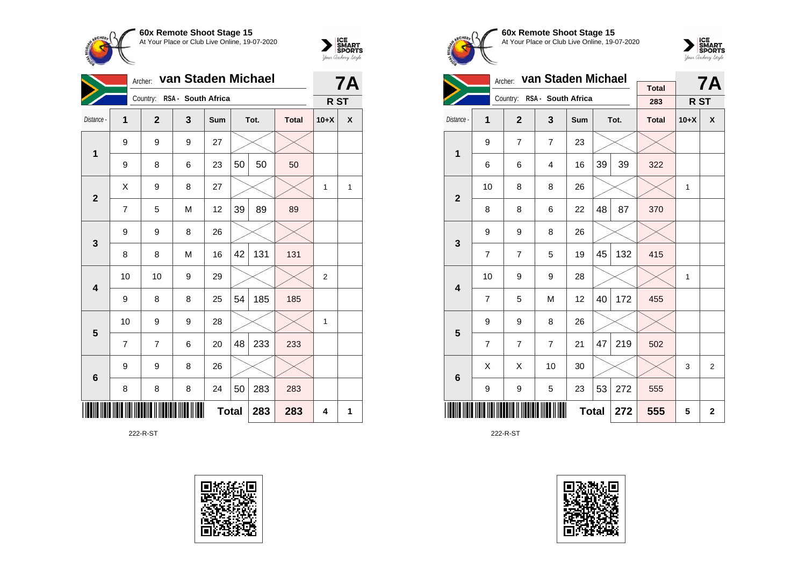



|                 | Archer:                    | van Staden Michael | <b>7A</b>          |     |    |      |              |                |   |
|-----------------|----------------------------|--------------------|--------------------|-----|----|------|--------------|----------------|---|
|                 |                            | Country:           | RSA - South Africa |     |    |      |              | R ST           |   |
| Distance -      | 1                          | $\mathbf 2$        | 3                  | Sum |    | Tot. | <b>Total</b> | $10+X$         | X |
| 1               | 9                          | 9                  | 9                  | 27  |    |      |              |                |   |
|                 | 9                          | 8                  | 6                  | 23  | 50 | 50   | 50           |                |   |
| $\mathbf{2}$    | Χ                          | 9                  | 8                  | 27  |    |      |              | 1              | 1 |
|                 | $\overline{7}$             | 5                  | M                  | 12  | 39 | 89   | 89           |                |   |
| $\mathbf{3}$    | 9                          | 9                  | 8                  | 26  |    |      |              |                |   |
|                 | 8                          | 8                  | M                  | 16  | 42 | 131  | 131          |                |   |
| 4               | 10                         | 10                 | 9                  | 29  |    |      |              | $\overline{c}$ |   |
|                 | 9                          | 8                  | 8                  | 25  | 54 | 185  | 185          |                |   |
| 5               | 10                         | 9                  | 9                  | 28  |    |      |              | $\mathbf{1}$   |   |
|                 | 7                          | 7                  | 6                  | 20  | 48 | 233  | 233          |                |   |
| $6\phantom{1}6$ | 9                          | 9                  | 8                  | 26  |    |      |              |                |   |
|                 | 8                          | 8                  | 8                  | 24  | 50 | 283  | 283          |                |   |
|                 | <b>Total</b><br>283<br>283 |                    |                    |     |    |      |              |                |   |

222-R-ST





**60x Remote Shoot Stage 15** At Your Place or Club Live Online, 19-07-2020



|                         |                | Archer:        | van Staden Michael          |     |             | <b>7A</b> |                     |        |   |
|-------------------------|----------------|----------------|-----------------------------|-----|-------------|-----------|---------------------|--------|---|
|                         |                |                | Country: RSA - South Africa |     |             |           | <b>Total</b><br>283 | R ST   |   |
|                         |                |                |                             |     |             |           |                     |        |   |
| Distance -              | 1              | $\mathbf{2}$   | 3                           | Sum |             | Tot.      | <b>Total</b>        | $10+X$ | X |
| 1                       | 9              | $\overline{7}$ | $\overline{7}$              | 23  |             |           |                     |        |   |
|                         | 6              | 6              | $\overline{4}$              | 16  | 39          | 39        | 322                 |        |   |
| $\overline{2}$          | 10             | 8              | 8                           | 26  |             |           |                     | 1      |   |
|                         | 8              | 8              | 48                          | 87  | 370         |           |                     |        |   |
| 3                       | 9              | 9              | 8                           | 26  |             |           |                     |        |   |
|                         | $\overline{7}$ | $\overline{7}$ | 5                           | 19  | 45          | 132       | 415                 |        |   |
| $\overline{\mathbf{4}}$ | 10             | 9              | 9                           | 28  |             |           |                     | 1      |   |
|                         | $\overline{7}$ | 5              | M                           | 12  | 40          | 172       | 455                 |        |   |
| 5                       | 9              | 9              | 8                           | 26  |             |           |                     |        |   |
|                         | $\overline{7}$ | $\overline{7}$ | $\overline{7}$              | 21  | 47          | 219       | 502                 |        |   |
| $6\phantom{1}$          | X              | X              | 10                          | 30  |             |           |                     | 3      | 2 |
|                         | 9              | 9              | 5                           | 23  | 53          | 272       | 555                 |        |   |
|                         |                |                | 555                         | 5   | $\mathbf 2$ |           |                     |        |   |

222-R-ST

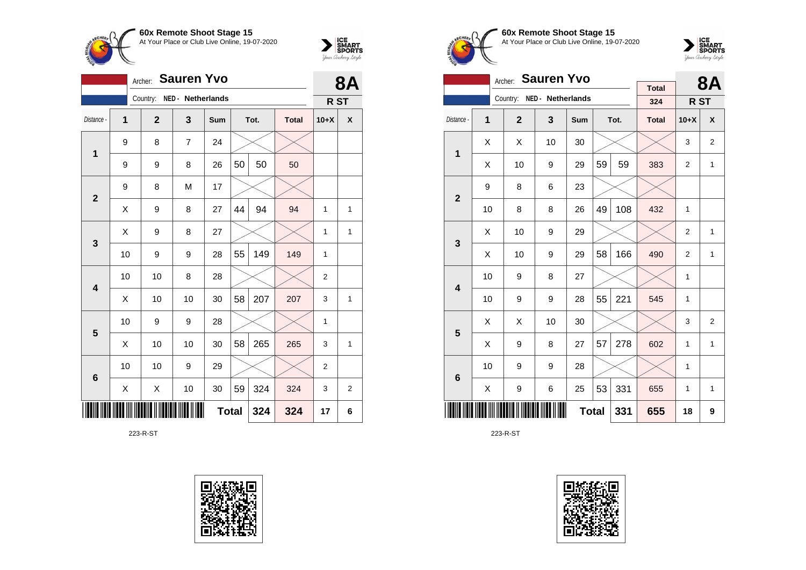



|                         | <b>8A</b>                  |                |                   |     |    |      |              |                 |                |
|-------------------------|----------------------------|----------------|-------------------|-----|----|------|--------------|-----------------|----------------|
|                         |                            | Country:       | NED - Netherlands |     |    |      |              | R <sub>ST</sub> |                |
| Distance -              | 1                          | $\overline{2}$ | 3                 | Sum |    | Tot. | <b>Total</b> | $10+X$          | X              |
| 1                       | 9                          | 8              | $\overline{7}$    | 24  |    |      |              |                 |                |
|                         | 9                          | 9              | 8                 | 26  | 50 | 50   | 50           |                 |                |
| $\overline{2}$          | 9                          | 8              | M                 | 17  |    |      |              |                 |                |
|                         | Χ                          | 9              | 8                 | 27  | 44 | 94   | 94           | 1               | 1              |
| 3                       | X                          | 9              | 8                 | 27  |    |      |              | 1               | 1              |
|                         | 10                         | 9              | 9                 | 28  | 55 | 149  | 149          | 1               |                |
| $\overline{\mathbf{4}}$ | 10                         | 10             | 8                 | 28  |    |      |              | $\overline{2}$  |                |
|                         | X                          | 10             | 10                | 30  | 58 | 207  | 207          | 3               | 1              |
| 5                       | 10                         | 9              | 9                 | 28  |    |      |              | 1               |                |
|                         | Χ                          | 10             | 10                | 30  | 58 | 265  | 265          | 3               | $\mathbf{1}$   |
| $6\phantom{1}6$         | 10                         | 10             | 9                 | 29  |    |      |              | $\overline{2}$  |                |
|                         | Χ                          | Χ              | 10                | 30  | 59 | 324  | 324          | 3               | $\overline{2}$ |
|                         | <b>Total</b><br>324<br>324 |                |                   |     |    |      |              |                 |                |

223-R-ST





**60x Remote Shoot Stage 15** At Your Place or Club Live Online, 19-07-2020



|                         |                                     | <b>Sauren Yvo</b><br>Archer: |                   |     |    | <b>8A</b> |                     |                 |                           |
|-------------------------|-------------------------------------|------------------------------|-------------------|-----|----|-----------|---------------------|-----------------|---------------------------|
|                         |                                     | Country:                     | NED - Netherlands |     |    |           | <b>Total</b><br>324 |                 |                           |
|                         |                                     |                              |                   |     |    |           |                     | R <sub>ST</sub> |                           |
| Distance -              | 1                                   | $\overline{2}$               | 3                 | Sum |    | Tot.      | <b>Total</b>        | $10+X$          | $\boldsymbol{\mathsf{x}}$ |
| $\mathbf{1}$            | X                                   | X                            | 10                | 30  |    |           |                     | 3               | $\overline{2}$            |
|                         | X                                   | 10                           | 9                 | 29  | 59 | 59        | 383                 | 2               | 1                         |
|                         | 9<br>23<br>8<br>6<br>$\overline{2}$ |                              |                   |     |    |           |                     |                 |                           |
|                         | 10                                  | 8                            | 108               | 432 | 1  |           |                     |                 |                           |
| 3                       | X                                   | 10                           | 9                 | 29  |    |           |                     | 2               | $\mathbf{1}$              |
|                         | X                                   | 10                           | 9                 | 29  | 58 | 166       | 490                 | 2               | 1                         |
| $\overline{\mathbf{4}}$ | 10                                  | 9                            | 8                 | 27  |    |           |                     | 1               |                           |
|                         | 10                                  | 9                            | 9                 | 28  | 55 | 221       | 545                 | $\mathbf{1}$    |                           |
| 5                       | X                                   | X                            | 10                | 30  |    |           |                     | 3               | $\overline{2}$            |
|                         | X                                   | 9                            | 8                 | 27  | 57 | 278       | 602                 | 1               | $\mathbf{1}$              |
| 6                       | 10                                  | 9                            | 9                 | 28  |    |           |                     | 1               |                           |
|                         | 53<br>331<br>X<br>9<br>6<br>25      |                              |                   |     |    |           |                     | 1               | 1                         |
|                         |                                     |                              | 331               | 655 | 18 | 9         |                     |                 |                           |

223-R-ST

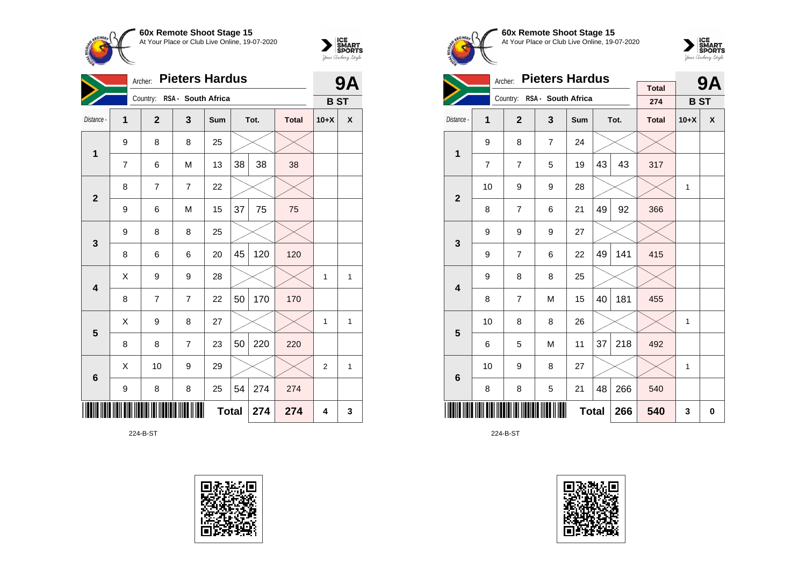



| <b>Pieters Hardus</b><br>Archer: |                            |                |                             |     |    |      |              |                | 9Α |  |
|----------------------------------|----------------------------|----------------|-----------------------------|-----|----|------|--------------|----------------|----|--|
|                                  |                            |                | Country: RSA - South Africa |     |    |      |              | <b>BST</b>     |    |  |
| Distance -                       | 1                          | $\overline{2}$ | 3                           | Sum |    | Tot. | <b>Total</b> | $10+X$         | X  |  |
| 1                                | 9                          | 8              | 8                           | 25  |    |      |              |                |    |  |
|                                  | $\overline{7}$             | 6              | M                           | 13  | 38 | 38   | 38           |                |    |  |
| $\overline{2}$                   | 8                          | 7              | $\overline{7}$              | 22  |    |      |              |                |    |  |
|                                  | 9                          | 6              | M                           | 15  | 37 | 75   | 75           |                |    |  |
| $\mathbf{3}$                     | 9                          | 8              | 8                           | 25  |    |      |              |                |    |  |
|                                  | 8                          | 6              | 6                           | 20  | 45 | 120  | 120          |                |    |  |
| $\overline{\mathbf{4}}$          | X                          | 9              | 9                           | 28  |    |      |              | 1              | 1  |  |
|                                  | 8                          | $\overline{7}$ | $\overline{7}$              | 22  | 50 | 170  | 170          |                |    |  |
| $\overline{\mathbf{5}}$          | X                          | 9              | 8                           | 27  |    |      |              | 1              | 1  |  |
|                                  | 8                          | 8              | $\overline{7}$              | 23  | 50 | 220  | 220          |                |    |  |
| $6\phantom{1}6$                  | X                          | 10             | 9                           | 29  |    |      |              | $\overline{2}$ | 1  |  |
|                                  | 9                          | 8              | 8                           | 25  | 54 | 274  | 274          |                |    |  |
|                                  | <b>Total</b><br>274<br>274 |                |                             |     |    |      |              |                |    |  |

224-B-ST









|                         |                | <b>Pieters Hardus</b><br>Archer: |                             |     |    | 9Α   |              |              |                    |
|-------------------------|----------------|----------------------------------|-----------------------------|-----|----|------|--------------|--------------|--------------------|
|                         |                |                                  | Country: RSA - South Africa |     |    |      | <b>Total</b> |              |                    |
|                         |                |                                  |                             |     |    |      | 274          | <b>BST</b>   |                    |
| Distance -              | 1              | $\overline{2}$                   | $\overline{\mathbf{3}}$     | Sum |    | Tot. | <b>Total</b> | $10+X$       | $\pmb{\mathsf{X}}$ |
| 1                       | 9              | 8                                | $\overline{7}$              | 24  |    |      |              |              |                    |
|                         | $\overline{7}$ | $\overline{7}$                   | 5                           | 19  | 43 | 43   | 317          |              |                    |
| $\overline{2}$          | 10             | 9                                | 9                           | 28  |    |      |              | 1            |                    |
|                         | 8              | $\overline{7}$                   | 6                           | 21  | 49 | 92   | 366          |              |                    |
| 3                       | 9              | 9                                | 9                           | 27  |    |      |              |              |                    |
|                         | 9              | $\overline{7}$                   | 6                           | 22  | 49 | 141  | 415          |              |                    |
| $\overline{\mathbf{4}}$ | 9              | 8                                | 8                           | 25  |    |      |              |              |                    |
|                         | 8              | $\overline{7}$                   | M                           | 15  | 40 | 181  | 455          |              |                    |
| 5                       | 10             | 8                                | 8                           | 26  |    |      |              | 1            |                    |
|                         | 6              | 5                                | M                           | 11  | 37 | 218  | 492          |              |                    |
| $\bf 6$                 | 10             | 9                                | 8                           | 27  |    |      |              | $\mathbf{1}$ |                    |
|                         | 8              | 8                                | 5                           | 21  | 48 | 266  | 540          |              |                    |
|                         | <b>Total</b>   |                                  |                             |     |    |      | 540          | 3            | 0                  |

224-B-ST

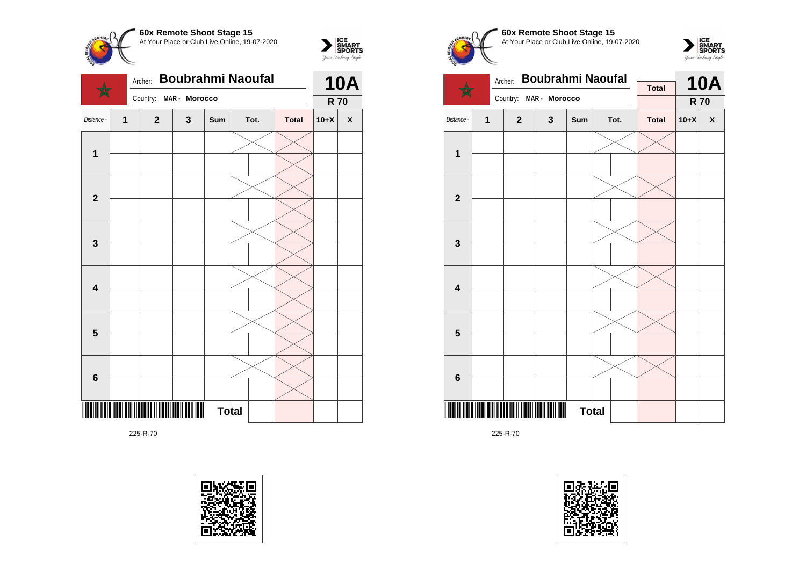



|                         | Boubrahmi Naoufal<br>Archer: |  |                 |               |              |  |      |              |            |                    |
|-------------------------|------------------------------|--|-----------------|---------------|--------------|--|------|--------------|------------|--------------------|
|                         |                              |  | Country:        | MAR - Morocco |              |  |      |              | <b>R70</b> |                    |
| Distance -              | 1                            |  | $\mathbf{2}$    | 3             | Sum          |  | Tot. | <b>Total</b> | $10+X$     | $\pmb{\mathsf{X}}$ |
|                         |                              |  |                 |               |              |  |      |              |            |                    |
| $\mathbf 1$             |                              |  |                 |               |              |  |      |              |            |                    |
|                         |                              |  |                 |               |              |  |      |              |            |                    |
| $\mathbf{2}$            |                              |  |                 |               |              |  |      |              |            |                    |
|                         |                              |  |                 |               |              |  |      |              |            |                    |
| 3                       |                              |  |                 |               |              |  |      |              |            |                    |
|                         |                              |  |                 |               |              |  |      |              |            |                    |
| $\overline{\mathbf{4}}$ |                              |  |                 |               |              |  |      |              |            |                    |
|                         |                              |  |                 |               |              |  |      |              |            |                    |
|                         |                              |  |                 |               |              |  |      |              |            |                    |
| $\overline{\mathbf{5}}$ |                              |  |                 |               |              |  |      |              |            |                    |
|                         |                              |  |                 |               |              |  |      |              |            |                    |
| 6                       |                              |  |                 |               |              |  |      |              |            |                    |
|                         |                              |  |                 |               |              |  |      |              |            |                    |
| Ш                       |                              |  | <b>THE REAL</b> |               | <b>Total</b> |  |      |              |            |                    |









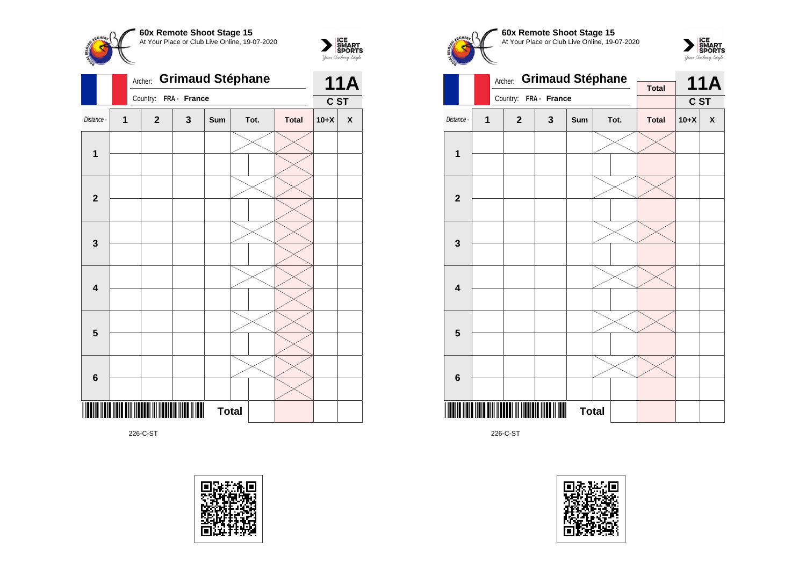

 $\sum_{\text{S$ **MART** $<br>$ *Your Archary Style* 



226-C-ST









226-C-ST

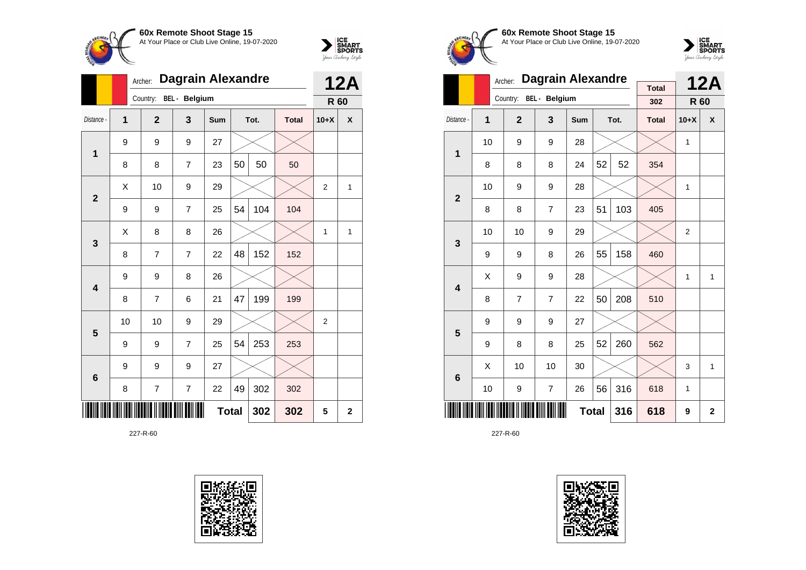



|                         | Archer:                    |                | <b>12A</b>             |     |    |      |              |                |   |
|-------------------------|----------------------------|----------------|------------------------|-----|----|------|--------------|----------------|---|
|                         |                            |                | Country: BEL - Belgium |     |    |      |              | R 60           |   |
| Distance -              | $\overline{1}$             | $\overline{2}$ | 3                      | Sum |    | Tot. | <b>Total</b> | $10+X$         | X |
| 1                       | 9                          | 9              | 9                      | 27  |    |      |              |                |   |
|                         | 8                          | 8              | $\overline{7}$         | 23  | 50 | 50   | 50           |                |   |
| $\overline{2}$          | X                          | 10             | 9                      | 29  |    |      |              | $\overline{2}$ | 1 |
|                         | 9                          | 9              | $\overline{7}$         | 25  | 54 | 104  | 104          |                |   |
| 3                       | X                          | 8              | 8                      | 26  |    |      |              | $\mathbf{1}$   | 1 |
|                         | 8                          | 7              | $\overline{7}$         | 22  | 48 | 152  | 152          |                |   |
| $\overline{\mathbf{4}}$ | 9                          | 9              | 8                      | 26  |    |      |              |                |   |
|                         | 8                          | $\overline{7}$ | 6                      | 21  | 47 | 199  | 199          |                |   |
| 5                       | 10                         | 10             | 9                      | 29  |    |      |              | 2              |   |
|                         | 9                          | 9              | 7                      | 25  | 54 | 253  | 253          |                |   |
| $6\phantom{1}$          | 9                          | 9              | 9                      | 27  |    |      |              |                |   |
|                         | 8                          | 7              | 7                      | 22  | 49 | 302  | 302          |                |   |
|                         | <b>Total</b><br>302<br>302 |                |                        |     |    |      |              |                |   |





**60x Remote Shoot Stage 15** At Your Place or Club Live Online, 19-07-2020



|                         |                                              | Archer:        | <b>Dagrain Alexandre</b> |            |              | <b>12A</b> |                     |              |   |
|-------------------------|----------------------------------------------|----------------|--------------------------|------------|--------------|------------|---------------------|--------------|---|
|                         |                                              | Country:       | <b>BEL</b> - Belgium     |            |              |            | <b>Total</b><br>302 | R 60         |   |
|                         |                                              |                |                          |            |              |            |                     |              |   |
| Distance -              | 1                                            | $\overline{2}$ | 3                        | <b>Sum</b> |              | Tot.       | <b>Total</b>        | $10+X$       | X |
| 1                       | 10                                           | 9              | 9                        | 28         |              |            |                     | $\mathbf{1}$ |   |
|                         | 8                                            | 8              | 8                        | 24         | 52           | 52         | 354                 |              |   |
| $\overline{2}$          | 10                                           | 9              | 9                        | 28         |              |            |                     | $\mathbf{1}$ |   |
|                         | 8                                            | 8              | $\overline{7}$           | 23         | 51           | 103        | 405                 |              |   |
| 3                       | 10                                           | 10             | 9                        | 29         |              |            |                     | 2            |   |
|                         | 9                                            | 9              | 8                        | 26         | 55           | 158        | 460                 |              |   |
| $\overline{\mathbf{4}}$ | X                                            | 9              | 9                        | 28         |              |            |                     | $\mathbf{1}$ | 1 |
|                         | 8                                            | $\overline{7}$ | 7                        | 22         | 50           | 208        | 510                 |              |   |
| 5                       | 9                                            | 9              | 9                        | 27         |              |            |                     |              |   |
|                         | 9                                            | 8              | 8                        | 25         | 52           | 260        | 562                 |              |   |
| 6                       | X                                            | 10             | 10                       | 30         |              |            |                     | 3            | 1 |
|                         | 56<br>316<br>$\overline{7}$<br>10<br>9<br>26 |                |                          |            |              |            |                     | $\mathbf{1}$ |   |
|                         |                                              |                | 618                      | 9          | $\mathbf{2}$ |            |                     |              |   |

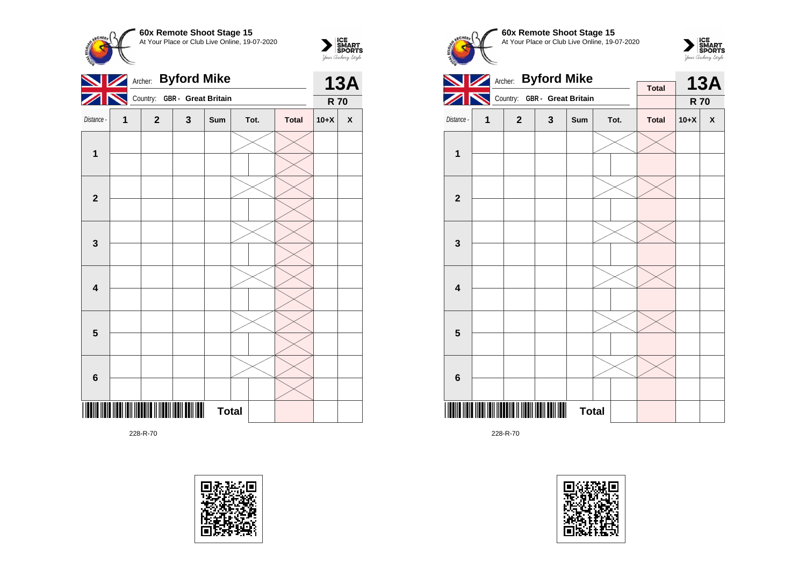

**R 70**



228-R-70









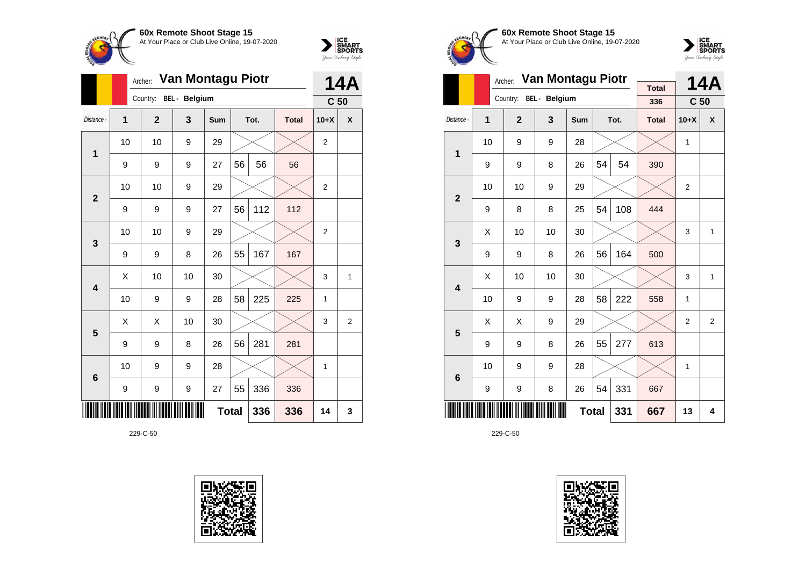



|                | Archer: |                | <b>14A</b>           |            |    |      |              |                 |   |
|----------------|---------|----------------|----------------------|------------|----|------|--------------|-----------------|---|
|                |         | Country:       | <b>BEL</b> - Belgium |            |    |      |              | C <sub>50</sub> |   |
| Distance -     | 1       | $\overline{2}$ | 3                    | <b>Sum</b> |    | Tot. | <b>Total</b> | $10+X$          | X |
| 1              | 10      | 10             | 9                    | 29         |    |      |              | $\overline{2}$  |   |
|                | 9       | 9              | 9                    | 27         | 56 | 56   | 56           |                 |   |
| $\overline{2}$ | 10      | 10             | 9                    | 29         |    |      |              | $\overline{2}$  |   |
|                | 9       | 9              | 9                    | 27         | 56 | 112  | 112          |                 |   |
| 3              | 10      | 10             | 9                    | 29         |    |      |              | $\overline{2}$  |   |
|                | 9       | 9              | 8                    | 26         | 55 | 167  | 167          |                 |   |
| 4              | X       | 10             | 10                   | 30         |    |      |              | 3               | 1 |
|                | 10      | 9              | 9                    | 28         | 58 | 225  | 225          | 1               |   |
| 5              | X       | X              | 10                   | 30         |    |      |              | 3               | 2 |
|                | 9       | 9              | 8                    | 26         | 56 | 281  | 281          |                 |   |
| 6              | 10      | 9              | 9                    | 28         |    |      |              | 1               |   |
|                | 9       | 9              | 9                    | 27         | 55 | 336  | 336          |                 |   |
|                |         | 14             | 3                    |            |    |      |              |                 |   |





**60x Remote Shoot Stage 15** At Your Place or Club Live Online, 19-07-2020



|                |    | Archer:                | Van Montagu Piotr |            | <b>Total</b> |      | <b>14A</b>   |                 |   |
|----------------|----|------------------------|-------------------|------------|--------------|------|--------------|-----------------|---|
|                |    | Country: BEL - Belgium |                   |            |              |      | 336          | C <sub>50</sub> |   |
| Distance -     | 1  | $\overline{2}$         | 3                 | <b>Sum</b> |              | Tot. | <b>Total</b> | $10+X$          | X |
| 1              | 10 | 9                      | 9                 | 28         |              |      |              | 1               |   |
|                | 9  | 9                      | 8                 | 26         | 54           | 54   | 390          |                 |   |
| $\overline{2}$ | 10 | 10                     | 9                 | 29         |              |      |              | 2               |   |
|                | 9  | 8                      | 8                 | 25         | 54           | 108  | 444          |                 |   |
| 3              | X  | 10                     | 10                | 30         |              |      |              | 3               | 1 |
|                | 9  | 9                      | 8                 | 26         | 56           | 164  | 500          |                 |   |
| 4              | Χ  | 10                     | 10                | 30         |              |      |              | 3               | 1 |
|                | 10 | 9                      | 9                 | 28         | 58           | 222  | 558          | 1               |   |
| 5              | X  | Χ                      | 9                 | 29         |              |      |              | 2               | 2 |
|                | 9  | 9                      | 8                 | 26         | 55           | 277  | 613          |                 |   |
| 6              | 10 | 9                      | 9                 | 28         |              |      |              | 1               |   |
|                | 9  | 9                      | 8                 | 26         | 54           | 331  | 667          |                 |   |
|                |    |                        | 331               | 667        | 13           | 4    |              |                 |   |

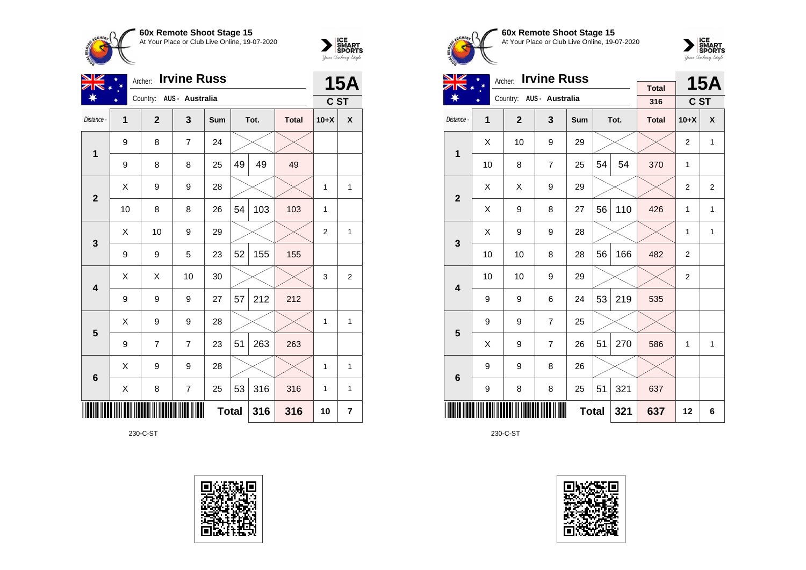



| NZ              |        | <b>Irvine Russ</b><br>Archer: |                |              |    |      |              |              |              |  |
|-----------------|--------|-------------------------------|----------------|--------------|----|------|--------------|--------------|--------------|--|
|                 | $\ast$ | Country: AUS - Australia      |                |              |    |      |              | C ST         | <b>15A</b>   |  |
| Distance -      | 1      | $\mathbf{2}$                  | 3              | Sum          |    | Tot. | <b>Total</b> | $10+X$       | X            |  |
| 1               | 9      | 8                             | $\overline{7}$ | 24           |    |      |              |              |              |  |
|                 | 9      | 8                             | 8              | 25           | 49 | 49   | 49           |              |              |  |
| $\mathbf{2}$    | X      | 9                             | 9              | 28           |    |      |              | 1            | $\mathbf{1}$ |  |
|                 | 10     | 8                             | 8              | 26           | 54 | 103  | 103          | 1            |              |  |
| 3               | X      | 10                            | 9              | 29           |    |      |              | 2            | $\mathbf{1}$ |  |
|                 | 9      | 9                             | 5              | 23           | 52 | 155  | 155          |              |              |  |
| 4               | X      | Χ                             | 10             | 30           |    |      |              | 3            | 2            |  |
|                 | 9      | 9                             | 9              | 27           | 57 | 212  | 212          |              |              |  |
| 5               | X      | 9                             | 9              | 28           |    |      |              | 1            | 1            |  |
|                 | 9      | $\overline{7}$                | $\overline{7}$ | 23           | 51 | 263  | 263          |              |              |  |
| $6\phantom{1}6$ | Χ      | 9                             | 9              | 28           |    |      |              | $\mathbf{1}$ | $\mathbf{1}$ |  |
|                 | X      | 8                             | $\overline{7}$ | 25           | 53 | 316  | 316          | 1            | $\mathbf{1}$ |  |
|                 |        |                               |                | <b>Total</b> |    | 316  | 316          | 10           | 7            |  |

230-C-ST





**60x Remote Shoot Stage 15** At Your Place or Club Live Online, 19-07-2020



| VZ                      |    | <b>Irvine Russ</b><br>Archer: |                          |              |    | <b>15A</b> |              |                |              |
|-------------------------|----|-------------------------------|--------------------------|--------------|----|------------|--------------|----------------|--------------|
|                         |    |                               | Country: AUS - Australia |              |    |            | <b>Total</b> |                |              |
|                         |    |                               |                          |              |    |            | 316          | C ST           |              |
| Distance -              | 1  | $\mathbf{2}$                  | $\overline{\mathbf{3}}$  | Sum          |    | Tot.       | <b>Total</b> | $10+X$         | X            |
| 1                       | X  | 10                            | 9                        | 29           |    |            |              | $\overline{2}$ | $\mathbf{1}$ |
|                         | 10 | 8                             | $\overline{7}$           | 25           | 54 | 54         | 370          | 1              |              |
| $\overline{2}$          | X  | X                             | 9                        | 29           |    |            |              | 2              | 2            |
|                         | X  | 9                             | 8                        | 27           | 56 | 110        | 426          | $\mathbf{1}$   | 1            |
| 3                       | X  | 9                             | 9                        | 28           |    |            |              | $\mathbf{1}$   | $\mathbf{1}$ |
|                         | 10 | 10                            | 8                        | 28           | 56 | 166        | 482          | $\overline{2}$ |              |
| $\overline{\mathbf{4}}$ | 10 | 10                            | 9                        | 29           |    |            |              | 2              |              |
|                         | 9  | 9                             | 6                        | 24           | 53 | 219        | 535          |                |              |
| 5                       | 9  | 9                             | $\overline{7}$           | 25           |    |            |              |                |              |
|                         | X  | 9                             | $\overline{7}$           | 26           | 51 | 270        | 586          | $\mathbf{1}$   | $\mathbf{1}$ |
| 6                       | 9  | 9                             | 8                        | 26           |    |            |              |                |              |
|                         | 9  | 8                             | 8                        | 25           | 51 | 321        | 637          |                |              |
|                         |    |                               |                          | <b>Total</b> |    | 321        | 637          | 12             | 6            |

230-C-ST

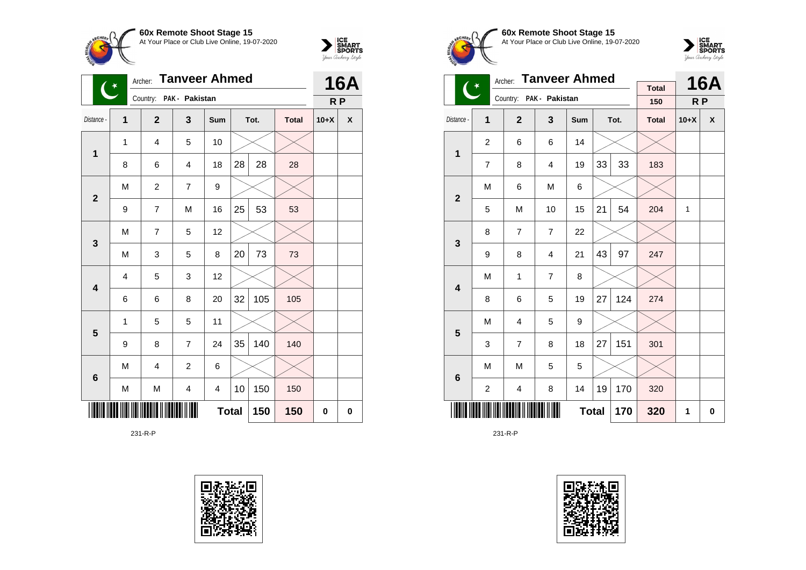



|                         | $(\ast)$       | Archer:                 | <b>Tanveer Ahmed</b> |              |    |      | <b>16A</b>   |                |   |
|-------------------------|----------------|-------------------------|----------------------|--------------|----|------|--------------|----------------|---|
|                         |                | Country: PAK - Pakistan |                      |              |    |      |              | R <sub>P</sub> |   |
| Distance -              | $\overline{1}$ | $\mathbf{2}$            | 3                    | Sum          |    | Tot. | <b>Total</b> | $10+X$         | χ |
| 1                       | 1              | $\overline{4}$          | 5                    | 10           |    |      |              |                |   |
|                         | 8              | 6                       | 4                    | 18           | 28 | 28   | 28           |                |   |
| $\mathbf{2}$            | M              | $\overline{c}$          | $\overline{7}$       | 9            |    |      |              |                |   |
|                         | 9              | 7                       | M                    | 16           | 25 | 53   | 53           |                |   |
| 3                       | M              | 7                       | 5                    | 12           |    |      |              |                |   |
|                         | M              | 3                       | 5                    | 8            | 20 | 73   | 73           |                |   |
| $\overline{\mathbf{4}}$ | 4              | 5                       | 3                    | 12           |    |      |              |                |   |
|                         | 6              | 6                       | 8                    | 20           | 32 | 105  | 105          |                |   |
| 5                       | 1              | 5                       | 5                    | 11           |    |      |              |                |   |
|                         | 9              | 8                       | 7                    | 24           | 35 | 140  | 140          |                |   |
| 6                       | M              | 4                       | $\overline{c}$       | 6            |    |      |              |                |   |
|                         | M              | M                       | 4                    | 4            | 10 | 150  | 150          |                |   |
|                         |                |                         |                      | <b>Total</b> |    | 150  | 150          | 0              | 0 |

231-R-P









|                         |                | <b>Tanveer Ahmed</b><br>Archer: |                         |              |    | <b>16A</b> |                     |        |              |
|-------------------------|----------------|---------------------------------|-------------------------|--------------|----|------------|---------------------|--------|--------------|
|                         | $\overline{C}$ |                                 | Country: PAK - Pakistan |              |    |            | <b>Total</b><br>150 | R P    |              |
| Distance -              |                |                                 |                         |              |    |            |                     |        |              |
|                         | 1              | $\overline{2}$                  | 3                       | Sum          |    | Tot.       | <b>Total</b>        | $10+X$ | $\mathsf{x}$ |
| $\mathbf{1}$            | $\overline{c}$ | 6                               | 6                       | 14           |    |            |                     |        |              |
|                         | $\overline{7}$ | 8                               | 4                       | 19           | 33 | 33         | 183                 |        |              |
| $\overline{2}$          | M              | 6                               | M                       | 6            |    |            |                     |        |              |
|                         | 5              | M                               | 10                      | 15           | 21 | 54         | 204                 | 1      |              |
| 3                       | 8              | $\overline{7}$                  | $\overline{7}$          | 22           |    |            |                     |        |              |
|                         | 9              | 8                               | $\overline{4}$          | 21           | 43 | 97         | 247                 |        |              |
| $\overline{\mathbf{4}}$ | M              | 1                               | $\overline{7}$          | 8            |    |            |                     |        |              |
|                         | 8              | 6                               | 5                       | 19           | 27 | 124        | 274                 |        |              |
| 5                       | M              | 4                               | 5                       | 9            |    |            |                     |        |              |
|                         | 3              | $\overline{7}$                  | 8                       | 18           | 27 | 151        | 301                 |        |              |
| 6                       | M              | M                               | 5                       | 5            |    |            |                     |        |              |
|                         | $\overline{c}$ | 4                               | 8                       | 14           | 19 | 170        | 320                 |        |              |
|                         |                |                                 |                         | <b>Total</b> |    | 170        | 320                 | 1      | 0            |

231-R-P

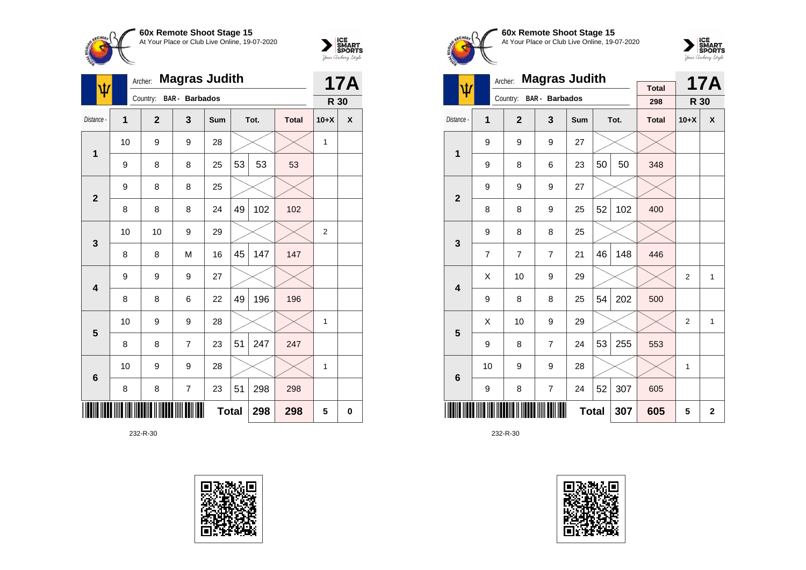



| Ф               | Archer:        |                | <b>17A</b>            |              |    |      |              |                |   |
|-----------------|----------------|----------------|-----------------------|--------------|----|------|--------------|----------------|---|
|                 |                | Country:       | <b>BAR</b> - Barbados |              |    |      |              | R 30           |   |
| Distance -      | $\overline{1}$ | $\overline{2}$ | 3                     | <b>Sum</b>   |    | Tot. | <b>Total</b> | $10+X$         | X |
| 1               | 10             | 9              | 9                     | 28           |    |      |              | 1              |   |
|                 | 9              | 8              | 8                     | 25           | 53 | 53   | 53           |                |   |
| $\overline{2}$  | 9              | 8              | 8                     | 25           |    |      |              |                |   |
|                 | 8              | 8              | 8                     | 24           | 49 | 102  | 102          |                |   |
| 3               | 10             | 10             | 9                     | 29           |    |      |              | $\overline{2}$ |   |
|                 | 8              | 8              | M                     | 16           | 45 | 147  | 147          |                |   |
| 4               | 9              | 9              | 9                     | 27           |    |      |              |                |   |
|                 | 8              | 8              | 6                     | 22           | 49 | 196  | 196          |                |   |
| 5               | 10             | 9              | 9                     | 28           |    |      |              | 1              |   |
|                 | 8              | 8              | $\overline{7}$        | 23           | 51 | 247  | 247          |                |   |
| $6\phantom{1}6$ | 10             | 9              | 9                     | 28           |    |      |              | 1              |   |
|                 | 8              | 8              | $\overline{7}$        | 23           | 51 | 298  | 298          |                |   |
|                 |                |                |                       | <b>Total</b> |    | 298  | 298          | 5              | 0 |





**60x Remote Shoot Stage 15** At Your Place or Club Live Online, 19-07-2020



|                         |                | <b>Magras Judith</b><br>Archer: |                       | <b>Total</b> |    | <b>17A</b> |              |                |                           |
|-------------------------|----------------|---------------------------------|-----------------------|--------------|----|------------|--------------|----------------|---------------------------|
| ψ                       |                | Country:                        | <b>BAR</b> - Barbados |              |    |            | 298          | R 30           |                           |
| Distance -              | 1              | $\overline{2}$                  | 3                     | Sum          |    | Tot.       | <b>Total</b> | $10+X$         | $\boldsymbol{\mathsf{x}}$ |
| 1                       | 9              | 9                               | 9                     | 27           |    |            |              |                |                           |
|                         | 9              | 8                               | 6                     | 23           | 50 | 50         | 348          |                |                           |
| $\overline{2}$          | 9              | 9                               | 9                     | 27           |    |            |              |                |                           |
|                         | 8              | 8                               | 9                     | 25           | 52 | 102        | 400          |                |                           |
| 3                       | 9              | 8                               | 8                     | 25           |    |            |              |                |                           |
|                         | $\overline{7}$ | 7                               | $\overline{7}$        | 21           | 46 | 148        | 446          |                |                           |
| $\overline{\mathbf{4}}$ | X              | 10                              | 9                     | 29           |    |            |              | $\overline{2}$ | $\mathbf{1}$              |
|                         | 9              | 8                               | 8                     | 25           | 54 | 202        | 500          |                |                           |
| 5                       | Χ              | 10                              | 9                     | 29           |    |            |              | $\overline{2}$ | $\mathbf{1}$              |
|                         | 9              | 8                               | $\overline{7}$        | 24           | 53 | 255        | 553          |                |                           |
| 6                       | 10             | 9                               | 9                     | 28           |    |            |              | 1              |                           |
|                         | 9              | 8                               | $\overline{7}$        | 24           | 52 | 307        | 605          |                |                           |
|                         |                |                                 |                       | <b>Total</b> |    | 307        | 605          | 5              | $\overline{2}$            |

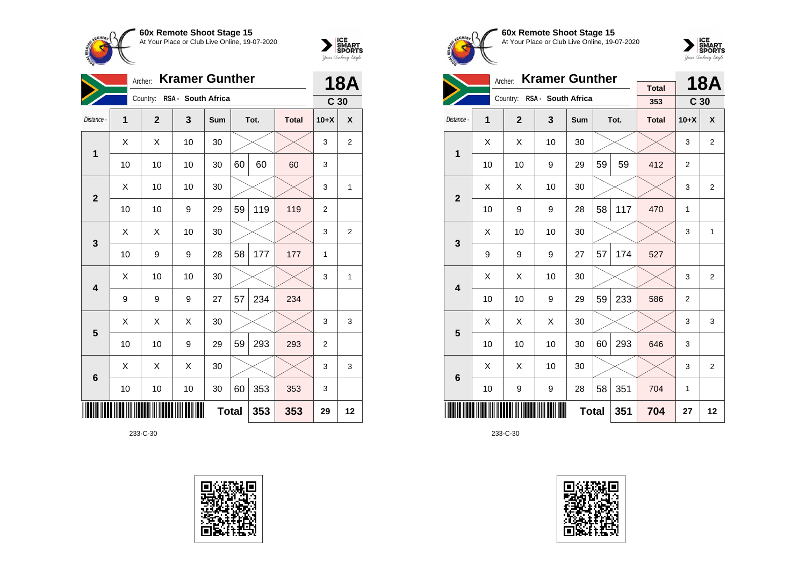



| <b>Kramer Gunther</b><br>Archer: |    |              |                             |              |    |      |              |                 | <b>18A</b>     |  |
|----------------------------------|----|--------------|-----------------------------|--------------|----|------|--------------|-----------------|----------------|--|
|                                  |    |              | Country: RSA - South Africa |              |    |      |              | C <sub>30</sub> |                |  |
| Distance -                       | 1  | $\mathbf{2}$ | 3                           | Sum          |    | Tot. | <b>Total</b> | $10+X$          | X              |  |
| 1                                | X  | X            | 10                          | 30           |    |      |              | 3               | $\overline{2}$ |  |
|                                  | 10 | 10           | 10                          | 30           | 60 | 60   | 60           | 3               |                |  |
| $\overline{2}$                   | X  | 10           | 10                          | 30           |    |      |              | 3               | 1              |  |
|                                  | 10 | 10           | 9                           | 29           | 59 | 119  | 119          | 2               |                |  |
| 3                                | X  | X            | 10                          | 30           |    |      |              | 3               | $\overline{2}$ |  |
|                                  | 10 | 9            | 9                           | 28           | 58 | 177  | 177          | 1               |                |  |
| 4                                | Χ  | 10           | 10                          | 30           |    |      |              | 3               | 1              |  |
|                                  | 9  | 9            | 9                           | 27           | 57 | 234  | 234          |                 |                |  |
| 5                                | Χ  | Χ            | X                           | 30           |    |      |              | 3               | 3              |  |
|                                  | 10 | 10           | 9                           | 29           | 59 | 293  | 293          | 2               |                |  |
| 6                                | X  | Χ            | X                           | 30           |    |      |              | 3               | 3              |  |
|                                  | 10 | 10           | 10                          | 30           | 60 | 353  | 353          | 3               |                |  |
|                                  |    |              |                             | <b>Total</b> |    | 353  | 353          | 29              | 12             |  |





**60x Remote Shoot Stage 15** At Your Place or Club Live Online, 19-07-2020



|                         |    | <b>Kramer Gunther</b><br>Archer: |                             | <b>Total</b> |    | <b>18A</b> |              |                 |                |
|-------------------------|----|----------------------------------|-----------------------------|--------------|----|------------|--------------|-----------------|----------------|
|                         |    |                                  | Country: RSA - South Africa |              |    |            | 353          | C <sub>30</sub> |                |
| Distance -              | 1  | $\overline{2}$                   | $\mathbf{3}$                | Sum          |    | Tot.       | <b>Total</b> | $10+X$          | X              |
| $\mathbf 1$             | X  | X                                | 10                          | 30           |    |            |              | 3               | $\overline{2}$ |
|                         | 10 | 10                               | 9                           | 29           | 59 | 59         | 412          | $\overline{2}$  |                |
| $\overline{\mathbf{2}}$ | X  | X                                | 10                          | 30           |    |            |              | 3               | $\overline{2}$ |
|                         | 10 | 9                                | 9                           | 28           | 58 | 117        | 470          | 1               |                |
| 3                       | X  | 10                               | 10                          | 30           |    |            |              | 3               | 1              |
|                         | 9  | 9                                | 9                           | 27           | 57 | 174        | 527          |                 |                |
| $\overline{\mathbf{4}}$ | X  | X                                | 10                          | 30           |    |            |              | 3               | $\overline{2}$ |
|                         | 10 | 10                               | 9                           | 29           | 59 | 233        | 586          | $\overline{2}$  |                |
| 5                       | Χ  | X                                | X                           | 30           |    |            |              | 3               | 3              |
|                         | 10 | 10                               | 10                          | 30           | 60 | 293        | 646          | 3               |                |
| $6\phantom{1}$          | X  | X                                | 10                          | 30           |    |            |              | 3               | $\overline{2}$ |
|                         | 10 | 9                                | 9                           | 28           | 58 | 351        | 704          | 1               |                |
|                         |    |                                  | 704                         | 27           | 12 |            |              |                 |                |

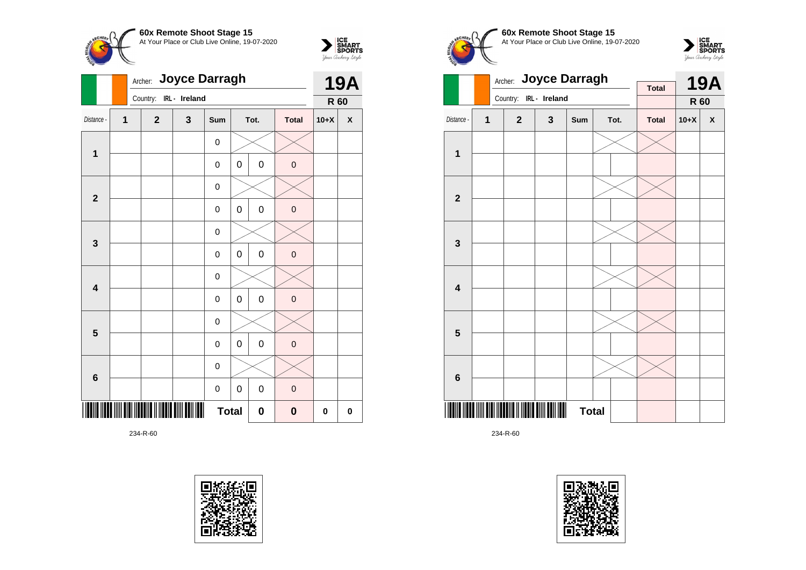

 $\sum_{\text{S$ **MART** $<br>$ *Your Archary Style* 



234-R-60









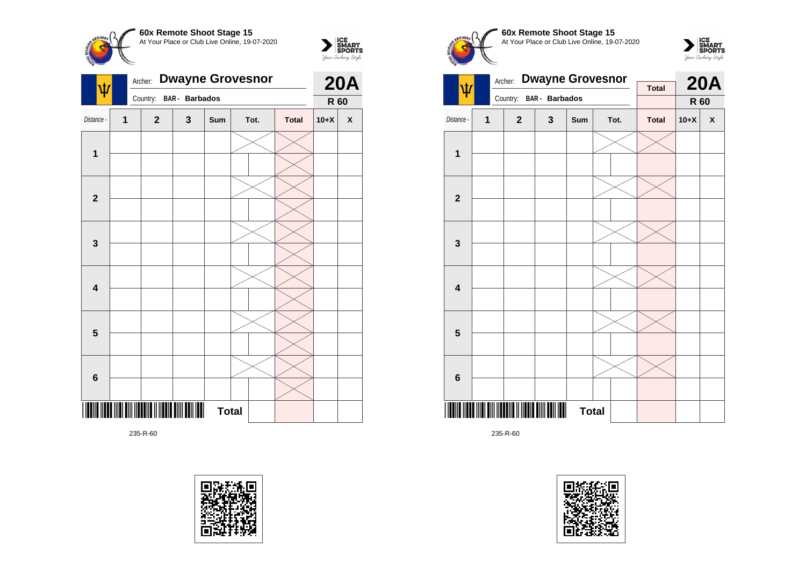

 $\sum_{\text{Vour }\text{Cuchy }\text{StyR}}\begin{matrix}\n\text{ICE} \\
\text{SDORTS} \\
\text{SPORTS}\n\end{matrix}$ 



235-R-60









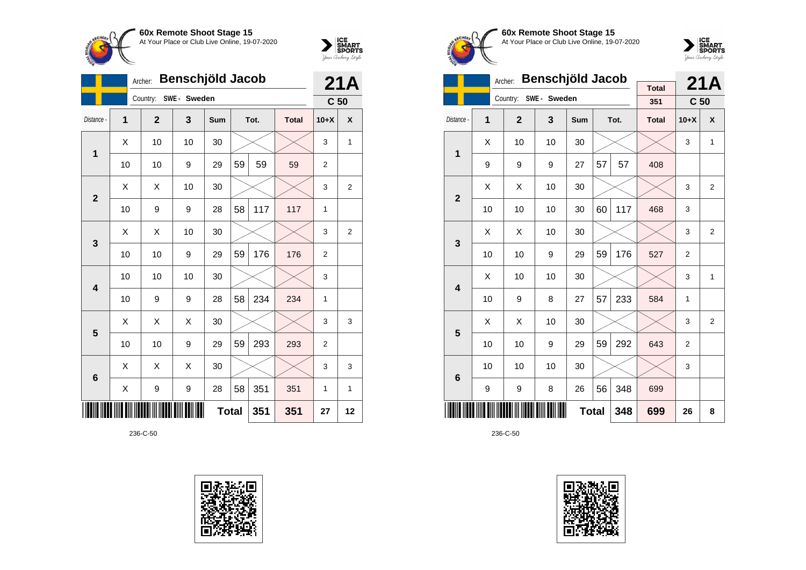



|                |                | Archer:      | Benschjöld Jacob |            |              |      |              | 21A             |                |
|----------------|----------------|--------------|------------------|------------|--------------|------|--------------|-----------------|----------------|
|                |                | Country:     | SWE - Sweden     |            |              |      |              | C <sub>50</sub> |                |
| Distance -     | $\overline{1}$ | $\mathbf{2}$ | 3                | <b>Sum</b> |              | Tot. | <b>Total</b> | $10+X$          | X              |
| 1              | X              | 10           | 10               | 30         |              |      |              | 3               | $\mathbf{1}$   |
|                | 10             | 10           | 9                | 29         | 59           | 59   | 59           | $\overline{2}$  |                |
| $\overline{2}$ | X              | X            | 10               | 30         |              |      |              | 3               | $\overline{2}$ |
|                | 10             | 9            | 9                | 28         | 58           | 117  | 117          | 1               |                |
| 3              | X              | X            | 10               | 30         |              |      |              | 3               | $\overline{2}$ |
|                | 10             | 10           | 9                | 29         | 59           | 176  | 176          | $\overline{2}$  |                |
| 4              | 10             | 10           | 10               | 30         |              |      |              | 3               |                |
|                | 10             | 9            | 9                | 28         | 58           | 234  | 234          | 1               |                |
| 5              | X              | Χ            | X                | 30         |              |      |              | 3               | 3              |
|                | 10             | 10           | 9                | 29         | 59           | 293  | 293          | $\overline{2}$  |                |
| 6              | X              | X            | Χ                | 30         |              |      |              | 3               | 3              |
|                | Χ              | 9            | 9                | 28         | 58           | 351  | 351          | 1               | 1              |
|                |                |              |                  |            | <b>Total</b> | 351  | 351          | 27              | 12             |





**60x Remote Shoot Stage 15** At Your Place or Club Live Online, 19-07-2020



|                         |    | Archer:        | Benschjöld Jacob |              |    | 21A  |                     |                 |                |
|-------------------------|----|----------------|------------------|--------------|----|------|---------------------|-----------------|----------------|
|                         |    | Country:       | SWE- Sweden      |              |    |      | <b>Total</b><br>351 | C <sub>50</sub> |                |
| Distance -              | 1  | $\overline{2}$ | 3                | Sum          |    | Tot. | <b>Total</b>        | $10+X$          | X              |
| 1                       | X  | 10             | 10               | 30           |    |      |                     | 3               | 1              |
|                         | 9  | 9              | 9                | 27           | 57 | 57   | 408                 |                 |                |
| $\overline{2}$          | Χ  | X              | 10               | 30           |    |      |                     | 3               | $\overline{2}$ |
|                         | 10 | 10             | 10               | 30           | 60 | 117  | 468                 | 3               |                |
| 3                       | X  | X              | 10               | 30           |    |      |                     | 3               | $\overline{2}$ |
|                         | 10 | 10             | 9                | 29           | 59 | 176  | 527                 | 2               |                |
| $\overline{\mathbf{4}}$ | Χ  | 10             | 10               | 30           |    |      |                     | 3               | 1              |
|                         | 10 | 9              | 8                | 27           | 57 | 233  | 584                 | 1               |                |
| 5                       | X  | X              | 10               | 30           |    |      |                     | 3               | $\overline{2}$ |
|                         | 10 | 10             | 9                | 29           | 59 | 292  | 643                 | 2               |                |
| $6\phantom{1}6$         | 10 | 10             | 10               | 30           |    |      |                     | 3               |                |
|                         | 9  | 9              | 348              | 699          |    |      |                     |                 |                |
|                         |    |                |                  | <b>Total</b> |    | 348  | 699                 | 26              | 8              |

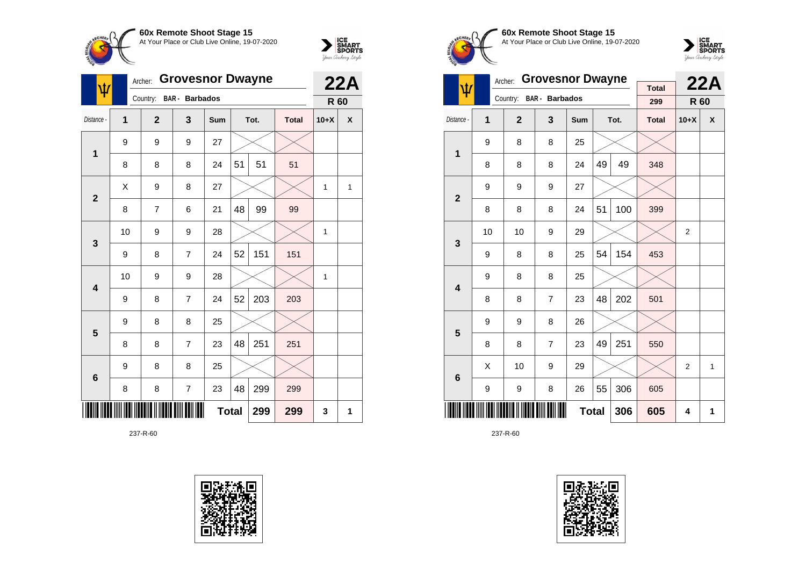



| ψ               | Archer:      |              | 22A                     |              |    |      |              |        |   |
|-----------------|--------------|--------------|-------------------------|--------------|----|------|--------------|--------|---|
|                 |              |              | Country: BAR - Barbados |              |    |      |              | R 60   |   |
| Distance -      | $\mathbf{1}$ | $\mathbf{2}$ | 3                       | Sum          |    | Tot. | <b>Total</b> | $10+X$ | X |
| $\mathbf{1}$    | 9            | 9            | 9                       | 27           |    |      |              |        |   |
|                 | 8            | 8            | 8                       | 24           | 51 | 51   | 51           |        |   |
| $\overline{2}$  | X            | 9            | 8                       | 27           |    |      |              | 1      | 1 |
|                 | 8            | 7            | 6                       | 21           | 48 | 99   | 99           |        |   |
| 3               | 10           | 9            | 9                       | 28           |    |      |              | 1      |   |
|                 | 9            | 8            | 7                       | 24           | 52 | 151  | 151          |        |   |
| 4               | 10           | 9            | 9                       | 28           |    |      |              | 1      |   |
|                 | 9            | 8            | $\overline{7}$          | 24           | 52 | 203  | 203          |        |   |
| 5               | 9            | 8            | 8                       | 25           |    |      |              |        |   |
|                 | 8            | 8            | 7                       | 23           | 48 | 251  | 251          |        |   |
| $6\phantom{1}6$ | 9            | 8            | 8                       | 25           |    |      |              |        |   |
|                 | 8            | 8            | $\overline{7}$          | 23           | 48 | 299  | 299          |        |   |
|                 |              |              |                         | <b>Total</b> |    | 299  | 299          | 3      | 1 |





**60x Remote Shoot Stage 15** At Your Place or Club Live Online, 19-07-2020



|                         |    | Archer:        | <b>Grovesnor Dwayne</b> | <b>Total</b> |    | 22A  |              |        |   |
|-------------------------|----|----------------|-------------------------|--------------|----|------|--------------|--------|---|
| ψ                       |    | Country:       | <b>BAR</b> - Barbados   |              |    |      | 299          | R 60   |   |
| Distance -              | 1  | $\overline{2}$ | 3                       | <b>Sum</b>   |    | Tot. | <b>Total</b> | $10+X$ | X |
| $\overline{1}$          | 9  | 8              | 8                       | 25           |    |      |              |        |   |
|                         | 8  | 8              | 8                       | 24           | 49 | 49   | 348          |        |   |
| $\overline{\mathbf{2}}$ | 9  | 9              | 9                       | 27           |    |      |              |        |   |
|                         | 8  | 8              | 8                       | 24           | 51 | 100  | 399          |        |   |
| 3                       | 10 | 10             | 9                       | 29           |    |      |              | 2      |   |
|                         | 9  | 8              | 8                       | 25           | 54 | 154  | 453          |        |   |
| $\overline{\mathbf{4}}$ | 9  | 8              | 8                       | 25           |    |      |              |        |   |
|                         | 8  | 8              | $\overline{7}$          | 23           | 48 | 202  | 501          |        |   |
| 5                       | 9  | 9              | 8                       | 26           |    |      |              |        |   |
|                         | 8  | 8              | $\overline{7}$          | 23           | 49 | 251  | 550          |        |   |
| $6\phantom{1}6$         | X  | 10             | 9                       | 29           |    |      |              | 2      | 1 |
|                         | 9  | 9              | 8                       | 26           | 55 | 306  | 605          |        |   |
|                         |    |                |                         | <b>Total</b> |    | 306  | 605          | 4      | 1 |

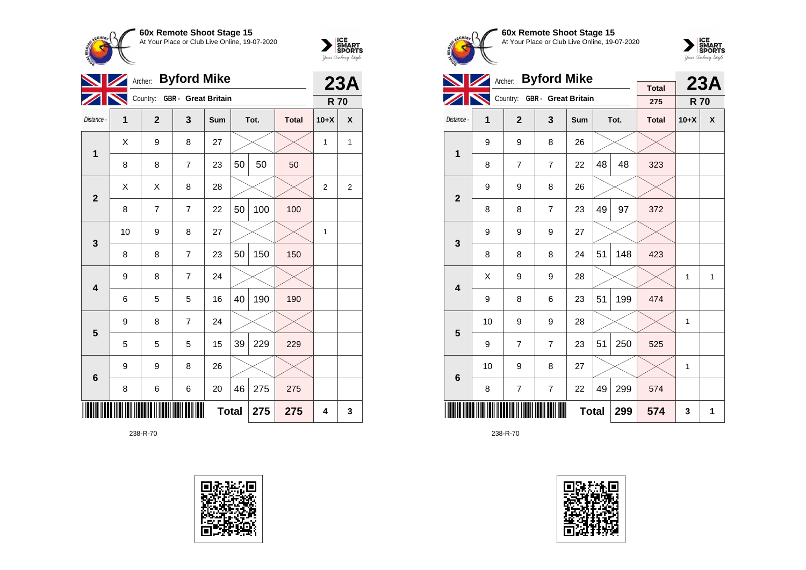



|                         | Archer: |                | 23A                          |              |    |      |              |                |                |
|-------------------------|---------|----------------|------------------------------|--------------|----|------|--------------|----------------|----------------|
|                         |         |                | Country: GBR - Great Britain |              |    |      |              | <b>R70</b>     |                |
| Distance -              | 1       | $\overline{2}$ | 3                            | Sum          |    | Tot. | <b>Total</b> | $10+X$         | X              |
| 1                       | X       | 9              | 8                            | 27           |    |      |              | $\mathbf{1}$   | 1              |
|                         | 8       | 8              | $\overline{7}$               | 23           | 50 | 50   | 50           |                |                |
| $\overline{2}$          | Χ       | X              | 8                            | 28           |    |      |              | $\overline{2}$ | $\overline{2}$ |
|                         | 8       | $\overline{7}$ | $\overline{7}$               | 22           | 50 | 100  | 100          |                |                |
| 3                       | 10      | 9              | 8                            | 27           |    |      |              | 1              |                |
|                         | 8       | 8              | $\overline{7}$               | 23           | 50 | 150  | 150          |                |                |
| $\overline{\mathbf{4}}$ | 9       | 8              | $\overline{7}$               | 24           |    |      |              |                |                |
|                         | 6       | 5              | 5                            | 16           | 40 | 190  | 190          |                |                |
| $\overline{\mathbf{5}}$ | 9       | 8              | $\overline{7}$               | 24           |    |      |              |                |                |
|                         | 5       | 5              | 5                            | 15           | 39 | 229  | 229          |                |                |
| 6                       | 9       | 9              | 8                            | 26           |    |      |              |                |                |
|                         | 8       | 6              | 6                            | 20           | 46 | 275  | 275          |                |                |
|                         |         |                |                              | <b>Total</b> |    | 275  | 275          | 4              | 3              |





**60x Remote Shoot Stage 15** At Your Place or Club Live Online, 19-07-2020



|                         |    | <b>Byford Mike</b><br>Archer: |                              |            |    | <b>23A</b> |                     |            |   |
|-------------------------|----|-------------------------------|------------------------------|------------|----|------------|---------------------|------------|---|
|                         |    |                               | Country: GBR - Great Britain |            |    |            | <b>Total</b><br>275 | <b>R70</b> |   |
| Distance -              | 1  | $\overline{2}$                | 3                            | <b>Sum</b> |    | Tot.       | <b>Total</b>        | $10+X$     | X |
| 1                       | 9  | 9                             | 8                            | 26         |    |            |                     |            |   |
|                         | 8  | $\overline{7}$                | $\overline{7}$               | 22         | 48 | 48         | 323                 |            |   |
| $\overline{2}$          | 9  | 9                             | 8                            | 26         |    |            |                     |            |   |
|                         | 8  | 8                             | $\overline{7}$               | 23         | 49 | 97         | 372                 |            |   |
| 3                       | 9  | 9                             | 9                            | 27         |    |            |                     |            |   |
|                         | 8  | 8                             | 8                            | 24         | 51 | 148        | 423                 |            |   |
| $\overline{\mathbf{4}}$ | X  | 9                             | 9                            | 28         |    |            |                     | 1          | 1 |
|                         | 9  | 8                             | 6                            | 23         | 51 | 199        | 474                 |            |   |
| 5                       | 10 | 9                             | 9                            | 28         |    |            |                     | 1          |   |
|                         | 9  | $\overline{7}$                | $\overline{7}$               | 23         | 51 | 250        | 525                 |            |   |
| $6\phantom{1}6$         | 10 | 9                             | 8                            | 27         |    |            |                     | 1          |   |
|                         | 8  | 7                             | 7                            | 22         | 49 | 299        | 574                 |            |   |
|                         |    |                               | 574                          | 3          | 1  |            |                     |            |   |

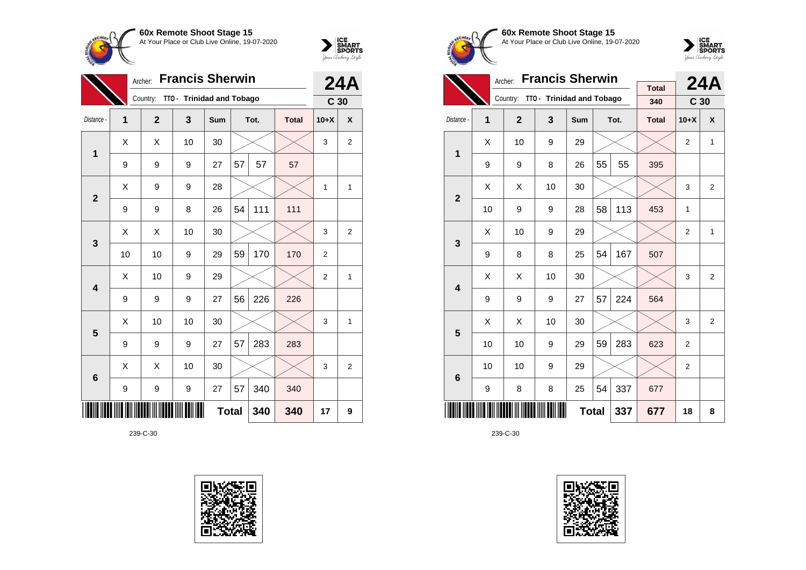



|                | <b>Francis Sherwin</b><br>Archer: |              |                           |     |              |      |              | <b>24A</b>      |                    |
|----------------|-----------------------------------|--------------|---------------------------|-----|--------------|------|--------------|-----------------|--------------------|
|                |                                   | Country:     | TTO - Trinidad and Tobago |     |              |      |              | C <sub>30</sub> |                    |
| Distance -     | 1                                 | $\mathbf{2}$ | 3                         | Sum |              | Tot. | <b>Total</b> | $10+X$          | $\pmb{\mathsf{X}}$ |
| 1              | X                                 | X            | 10                        | 30  |              |      |              | 3               | $\overline{2}$     |
|                | 9                                 | 9            | 9                         | 27  | 57           | 57   | 57           |                 |                    |
| $\overline{2}$ | X                                 | 9            | 9                         | 28  |              |      |              | 1               | 1                  |
|                | 9                                 | 9            | 8                         | 26  | 54           | 111  | 111          |                 |                    |
| 3              | Χ                                 | X            | 10                        | 30  |              |      |              | 3               | $\overline{2}$     |
|                | 10                                | 10           | 9                         | 29  | 59           | 170  | 170          | 2               |                    |
| 4              | Χ                                 | 10           | 9                         | 29  |              |      |              | 2               | 1                  |
|                | 9                                 | 9            | 9                         | 27  | 56           | 226  | 226          |                 |                    |
| 5              | X                                 | 10           | 10                        | 30  |              |      |              | 3               | $\mathbf{1}$       |
|                | 9                                 | 9            | 9                         | 27  | 57           | 283  | 283          |                 |                    |
| 6              | X                                 | X            | 10                        | 30  |              |      |              | 3               | $\overline{2}$     |
|                | 9                                 | 9            | 9                         | 27  | 57           | 340  | 340          |                 |                    |
|                |                                   |              |                           |     | <b>Total</b> | 340  | 340          | 17              | 9                  |





**60x Remote Shoot Stage 15** At Your Place or Club Live Online, 19-07-2020



|                         |    | <b>Francis Sherwin</b><br>Archer: |                           |              |    | 24A  |                     |                         |                |
|-------------------------|----|-----------------------------------|---------------------------|--------------|----|------|---------------------|-------------------------|----------------|
|                         |    | Country:                          | TTO - Trinidad and Tobago |              |    |      | <b>Total</b><br>340 | C <sub>30</sub>         |                |
| Distance -              | 1  | $\overline{2}$                    | 3                         | <b>Sum</b>   |    | Tot. | <b>Total</b>        | $10+X$                  | X              |
| 1                       | X  | 10                                | 9                         | 29           |    |      |                     | $\overline{\mathbf{c}}$ | $\mathbf{1}$   |
|                         | 9  | 9                                 | 8                         | 26           | 55 | 55   | 395                 |                         |                |
| $\overline{2}$          | X  | X                                 | 10                        | 30           |    |      |                     | 3                       | 2              |
|                         | 10 | 9                                 | 9                         | 28           | 58 | 113  | 453                 | 1                       |                |
| 3                       | X  | 10                                | 9                         | 29           |    |      |                     | $\overline{2}$          | $\mathbf{1}$   |
|                         | 9  | 8                                 | 8                         | 25           | 54 | 167  | 507                 |                         |                |
| $\overline{\mathbf{4}}$ | Χ  | X                                 | 10                        | 30           |    |      |                     | 3                       | 2              |
|                         | 9  | 9                                 | 9                         | 27           | 57 | 224  | 564                 |                         |                |
| 5                       | X  | X                                 | 10                        | 30           |    |      |                     | 3                       | $\overline{2}$ |
|                         | 10 | 10                                | 9                         | 29           | 59 | 283  | 623                 | $\overline{2}$          |                |
| 6                       | 10 | 10                                | 9                         | 29           |    |      |                     | $\overline{2}$          |                |
|                         | 9  | 8                                 | 337                       | 677          |    |      |                     |                         |                |
|                         |    |                                   |                           | <b>Total</b> |    | 337  | 677                 | 18                      | 8              |

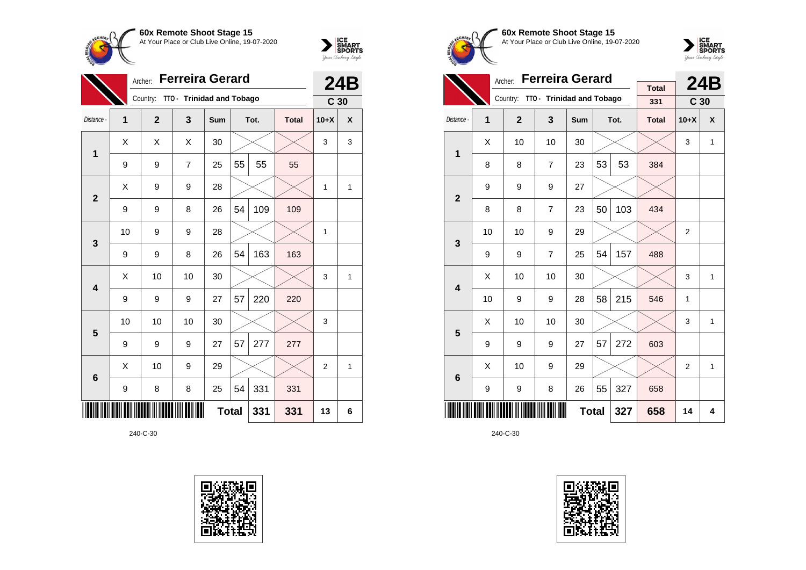



|                 |                | <b>Ferreira Gerard</b><br>Archer:<br>TTO - Trinidad and Tobago |                |              |    |      |              |                 |              |
|-----------------|----------------|----------------------------------------------------------------|----------------|--------------|----|------|--------------|-----------------|--------------|
|                 |                | Country:                                                       |                |              |    |      |              | C <sub>30</sub> |              |
| Distance -      | $\overline{1}$ | $\overline{2}$                                                 | 3              | Sum          |    | Tot. | <b>Total</b> | $10+X$          | $\mathbf{x}$ |
| 1               | X              | X                                                              | X              | 30           |    |      |              | 3               | 3            |
|                 | 9              | 9                                                              | $\overline{7}$ | 25           | 55 | 55   | 55           |                 |              |
| $\overline{2}$  | X              | 9                                                              | 9              | 28           |    |      |              | 1               | 1            |
|                 | 9              | 9                                                              | 8              | 26           | 54 | 109  | 109          |                 |              |
| $\mathbf{3}$    | 10             | 9                                                              | 9              | 28           |    |      |              | 1               |              |
|                 | 9              | 9                                                              | 8              | 26           | 54 | 163  | 163          |                 |              |
| 4               | X              | 10                                                             | 10             | 30           |    |      |              | 3               | 1            |
|                 | 9              | 9                                                              | 9              | 27           | 57 | 220  | 220          |                 |              |
| 5               | 10             | 10                                                             | 10             | 30           |    |      |              | 3               |              |
|                 | 9              | 9                                                              | 9              | 27           | 57 | 277  | 277          |                 |              |
| $6\phantom{1}6$ | X              | 10                                                             | 9              | 29           |    |      |              | $\overline{2}$  | 1            |
|                 | 9              | 8                                                              | 8              | 25           | 54 | 331  | 331          |                 |              |
|                 |                |                                                                |                | <b>Total</b> |    | 331  | 331          | 13              | 6            |









|                         |    |                | <b>24B</b>                         |     |    |      |              |                 |              |
|-------------------------|----|----------------|------------------------------------|-----|----|------|--------------|-----------------|--------------|
|                         |    |                | Country: TTO - Trinidad and Tobago |     |    |      | <b>Total</b> |                 |              |
|                         |    |                |                                    |     |    |      | 331          | C <sub>30</sub> |              |
| Distance -              | 1  | $\overline{2}$ | 3                                  | Sum |    | Tot. | <b>Total</b> | $10+X$          | X            |
| $\overline{1}$          | X  | 10             | 10                                 | 30  |    |      |              | 3               | $\mathbf{1}$ |
|                         | 8  | 8              | $\overline{7}$                     | 23  | 53 | 53   | 384          |                 |              |
| $\overline{2}$          | 9  | 9              | 9                                  | 27  |    |      |              |                 |              |
|                         | 8  | 8              | 7                                  | 23  | 50 | 103  | 434          |                 |              |
| 3                       | 10 | 10             | 9                                  | 29  |    |      |              | $\overline{2}$  |              |
|                         | 9  | 9              | $\overline{7}$                     | 25  | 54 | 157  | 488          |                 |              |
| $\overline{\mathbf{4}}$ | X  | 10             | 10                                 | 30  |    |      |              | 3               | $\mathbf{1}$ |
|                         | 10 | 9              | 9                                  | 28  | 58 | 215  | 546          | 1               |              |
| 5                       | X  | 10             | 10                                 | 30  |    |      |              | 3               | 1            |
|                         | 9  | 9              | 9                                  | 27  | 57 | 272  | 603          |                 |              |
| 6                       | X  | 10             | 9                                  | 29  |    |      |              | $\overline{2}$  | $\mathbf{1}$ |
|                         | 9  | 9              | 8                                  | 26  | 55 | 327  | 658          |                 |              |
|                         |    |                | 327                                | 658 | 14 | 4    |              |                 |              |

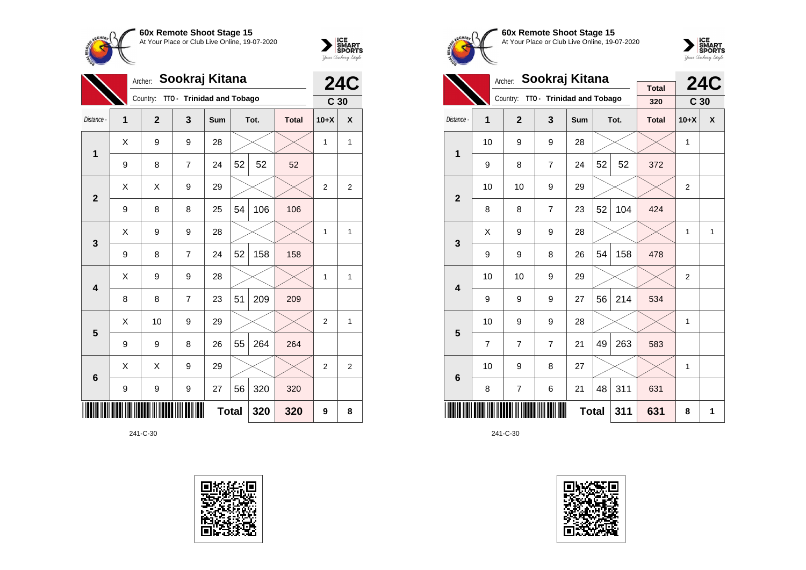



|                 |   | Sookraj Kitana<br>Archer: |                           |              |    |      |              |                 |                |
|-----------------|---|---------------------------|---------------------------|--------------|----|------|--------------|-----------------|----------------|
|                 |   | Country:                  | TTO - Trinidad and Tobago |              |    |      |              | C <sub>30</sub> |                |
| Distance -      | 1 | $\mathbf{2}$              | 3                         | Sum          |    | Tot. | <b>Total</b> | $10+X$          | X              |
| 1               | X | 9                         | 9                         | 28           |    |      |              | 1               | 1              |
|                 | 9 | 8                         | 7                         | 24           | 52 | 52   | 52           |                 |                |
| $\overline{2}$  | Χ | Χ                         | 9                         | 29           |    |      |              | $\overline{2}$  | $\overline{2}$ |
|                 | 9 | 8                         | 8                         | 25           | 54 | 106  | 106          |                 |                |
| 3               | Χ | 9                         | 9                         | 28           |    |      |              | 1               | 1              |
|                 | 9 | 8                         | $\overline{7}$            | 24           | 52 | 158  | 158          |                 |                |
| 4               | X | 9                         | 9                         | 28           |    |      |              | 1               | 1              |
|                 | 8 | 8                         | $\overline{7}$            | 23           | 51 | 209  | 209          |                 |                |
| 5               | Χ | 10                        | 9                         | 29           |    |      |              | $\overline{2}$  | $\mathbf{1}$   |
|                 | 9 | 9                         | 8                         | 26           | 55 | 264  | 264          |                 |                |
| $6\phantom{1}6$ | X | X                         | 9                         | 29           |    |      |              | $\overline{2}$  | $\overline{2}$ |
|                 | 9 | 9                         | $\boldsymbol{9}$          | 27           | 56 | 320  | 320          |                 |                |
|                 |   |                           |                           | <b>Total</b> |    | 320  | 320          | 9               | 8              |









|                         |                | Sookraj Kitana<br>Archer: |                           |              |    | <b>24C</b> |                     |                 |              |
|-------------------------|----------------|---------------------------|---------------------------|--------------|----|------------|---------------------|-----------------|--------------|
|                         |                | Country:                  | TTO - Trinidad and Tobago |              |    |            | <b>Total</b><br>320 | C <sub>30</sub> |              |
| Distance -              | 1              | $\overline{2}$            | 3                         | Sum          |    | Tot.       | <b>Total</b>        | $10+X$          | $\mathsf{x}$ |
|                         | 10             | 9                         | 9                         | 28           |    |            |                     | 1               |              |
| 1                       | 9              | 8                         | $\overline{7}$            | 24           | 52 | 52         | 372                 |                 |              |
| $\overline{2}$          | 10             | 10                        | 9                         | 29           |    |            |                     | $\overline{2}$  |              |
|                         | 8              | 8                         | $\overline{7}$            | 23           | 52 | 104        | 424                 |                 |              |
| 3                       | X              | 9                         | 9                         | 28           |    |            |                     | 1               | 1            |
|                         | 9              | 9                         | 8                         | 26           | 54 | 158        | 478                 |                 |              |
| $\overline{\mathbf{4}}$ | 10             | 10                        | 9                         | 29           |    |            |                     | $\overline{2}$  |              |
|                         | 9              | 9                         | 9                         | 27           | 56 | 214        | 534                 |                 |              |
| 5                       | 10             | 9                         | 9                         | 28           |    |            |                     | 1               |              |
|                         | $\overline{7}$ | $\overline{7}$            | $\overline{7}$            | 21           | 49 | 263        | 583                 |                 |              |
| $6\phantom{1}$          | 10             | 9                         | 8                         | 27           |    |            |                     | 1               |              |
|                         | 8              | $\overline{7}$            | 6                         | 21           | 48 | 311        | 631                 |                 |              |
|                         |                |                           |                           | <b>Total</b> |    | 311        | 631                 | 8               | 1            |

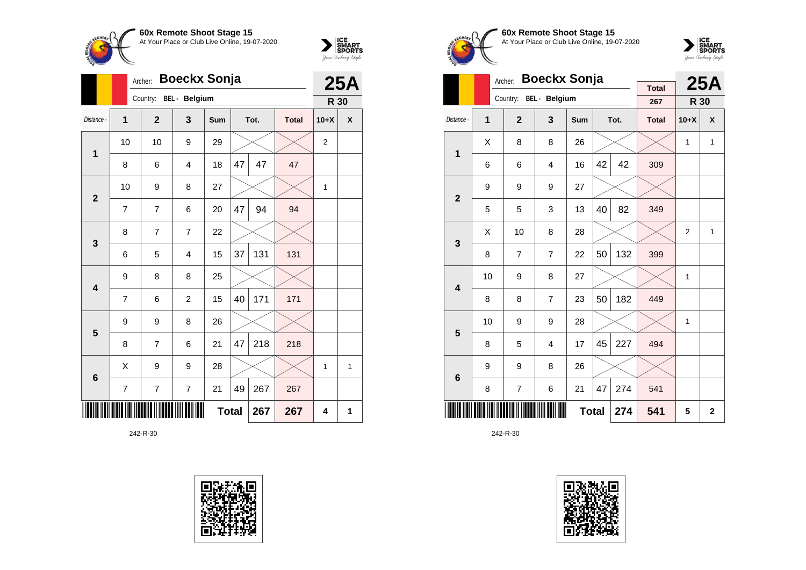



|                         |    | <b>Boeckx Sonja</b><br>Archer: |                        |              |    |      |              |                |            |  |
|-------------------------|----|--------------------------------|------------------------|--------------|----|------|--------------|----------------|------------|--|
|                         |    |                                | Country: BEL - Belgium |              |    |      |              | <b>R 30</b>    | <b>25A</b> |  |
| Distance -              | 1  | $\mathbf{2}$                   | 3                      | Sum          |    | Tot. | <b>Total</b> | $10+X$         | X          |  |
| $\mathbf{1}$            | 10 | 10                             | 9                      | 29           |    |      |              | $\overline{2}$ |            |  |
|                         | 8  | 6                              | 4                      | 18           | 47 | 47   | 47           |                |            |  |
| $\overline{2}$          | 10 | 9                              | 8                      | 27           |    |      |              | 1              |            |  |
|                         | 7  | $\overline{7}$                 | 6                      | 20           | 47 | 94   | 94           |                |            |  |
| 3                       | 8  | $\overline{7}$                 | $\overline{7}$         | 22           |    |      |              |                |            |  |
|                         | 6  | 5                              | 4                      | 15           | 37 | 131  | 131          |                |            |  |
| $\overline{\mathbf{4}}$ | 9  | 8                              | 8                      | 25           |    |      |              |                |            |  |
|                         | 7  | 6                              | $\overline{c}$         | 15           | 40 | 171  | 171          |                |            |  |
| 5                       | 9  | 9                              | 8                      | 26           |    |      |              |                |            |  |
|                         | 8  | $\overline{7}$                 | 6                      | 21           | 47 | 218  | 218          |                |            |  |
| $6\phantom{1}6$         | X  | 9                              | 9                      | 28           |    |      |              | 1              | 1          |  |
|                         | 7  | $\overline{7}$                 | $\overline{7}$         | 21           | 49 | 267  | 267          |                |            |  |
|                         |    |                                |                        | <b>Total</b> |    | 267  | 267          | 4              | 1          |  |

242-R-30





**60x Remote Shoot Stage 15** At Your Place or Club Live Online, 19-07-2020



|                         |    | <b>Boeckx Sonja</b><br>Archer: |                        |              |    | <b>25A</b> |                     |                |              |
|-------------------------|----|--------------------------------|------------------------|--------------|----|------------|---------------------|----------------|--------------|
|                         |    |                                | Country: BEL - Belgium |              |    |            | <b>Total</b><br>267 | R 30           |              |
| Distance -              | 1  | $\overline{2}$                 | 3                      | Sum          |    | Tot.       | <b>Total</b>        | $10+X$         | X            |
| 1                       | X  | 8                              | 8                      | 26           |    |            |                     | 1              | $\mathbf{1}$ |
|                         | 6  | 6                              | $\overline{4}$         | 16           | 42 | 42         | 309                 |                |              |
| $\overline{2}$          | 9  | 9                              | 9                      | 27           |    |            |                     |                |              |
|                         | 5  | 5                              | 3                      | 13           | 40 | 82         | 349                 |                |              |
| 3                       | X  | 10                             | 8                      | 28           |    |            |                     | $\overline{2}$ | $\mathbf{1}$ |
|                         | 8  | 7                              | $\overline{7}$         | 22           | 50 | 132        | 399                 |                |              |
| $\overline{\mathbf{4}}$ | 10 | 9                              | 8                      | 27           |    |            |                     | 1              |              |
|                         | 8  | 8                              | $\overline{7}$         | 23           | 50 | 182        | 449                 |                |              |
| 5                       | 10 | 9                              | 9                      | 28           |    |            |                     | 1              |              |
|                         | 8  | 5                              | $\overline{4}$         | 17           | 45 | 227        | 494                 |                |              |
| $6\phantom{1}6$         | 9  | 9                              | 8                      | 26           |    |            |                     |                |              |
|                         | 8  | 7                              | 6                      | 21           | 47 | 274        | 541                 |                |              |
|                         |    |                                |                        | <b>Total</b> |    | 274        | 541                 | 5              | $\mathbf{2}$ |

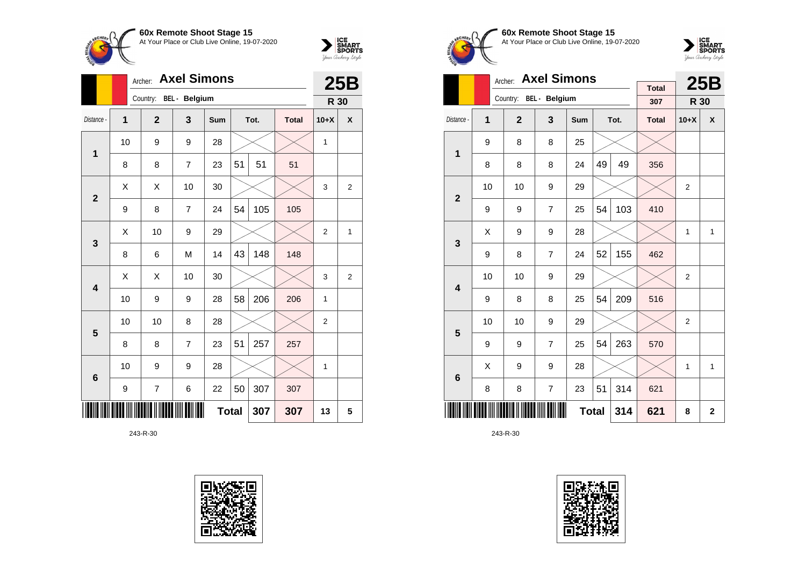



|                 |                  | <b>Axel Simons</b><br>Archer: |                      |              |    |      |              |                |                |  |
|-----------------|------------------|-------------------------------|----------------------|--------------|----|------|--------------|----------------|----------------|--|
|                 |                  | Country:                      | <b>BEL</b> - Belgium |              |    |      |              | <b>R 30</b>    |                |  |
| Distance -      | 1                | $\overline{2}$                | 3                    | Sum          |    | Tot. | <b>Total</b> | $10+X$         | X              |  |
| 1               | 10               | 9                             | 9                    | 28           |    |      |              | 1              |                |  |
|                 | 8                | 8                             | $\overline{7}$       | 23           | 51 | 51   | 51           |                |                |  |
| $\overline{2}$  | X                | X                             | 10                   | 30           |    |      |              | 3              | $\overline{2}$ |  |
|                 | 9                | 8                             | 7                    | 24           | 54 | 105  | 105          |                |                |  |
| 3               | Χ                | 10                            | 9                    | 29           |    |      |              | $\overline{2}$ | 1              |  |
|                 | 8                | 6                             | M                    | 14           | 43 | 148  | 148          |                |                |  |
| 4               | Χ                | Χ                             | 10                   | 30           |    |      |              | 3              | $\overline{2}$ |  |
|                 | 10               | 9                             | 9                    | 28           | 58 | 206  | 206          | 1              |                |  |
| 5               | 10               | 10                            | 8                    | 28           |    |      |              | 2              |                |  |
|                 | 8                | 8                             | $\overline{7}$       | 23           | 51 | 257  | 257          |                |                |  |
| $6\phantom{1}6$ | 10               | 9                             | 9                    | 28           |    |      |              | 1              |                |  |
|                 | $\boldsymbol{9}$ | $\overline{7}$                | 6                    | 22           | 50 | 307  | 307          |                |                |  |
|                 |                  |                               |                      | <b>Total</b> |    | 307  | 307          | 13             | 5              |  |

243-R-30









|                         |    | Archer:        | <b>Axel Simons</b>     |              |    |      | <b>25B</b>   |                |              |
|-------------------------|----|----------------|------------------------|--------------|----|------|--------------|----------------|--------------|
|                         |    |                | Country: BEL - Belgium |              |    |      | <b>Total</b> |                |              |
|                         |    |                |                        |              |    |      | 307          | R 30           |              |
| Distance -              | 1  | $\overline{2}$ | 3                      | Sum          |    | Tot. | <b>Total</b> | $10+X$         | X            |
| 1                       | 9  | 8              | 8                      | 25           |    |      |              |                |              |
|                         | 8  | 8              | 8                      | 24           | 49 | 49   | 356          |                |              |
| $\overline{2}$          | 10 | 10             | 9                      | 29           |    |      |              | $\overline{2}$ |              |
|                         | 9  | 9              | $\overline{7}$         | 25           | 54 | 103  | 410          |                |              |
| 3                       | X  | 9              | 9                      | 28           |    |      |              | 1              | 1            |
|                         | 9  | 8              | $\overline{7}$         | 24           | 52 | 155  | 462          |                |              |
| $\overline{\mathbf{4}}$ | 10 | 10             | 9                      | 29           |    |      |              | $\overline{2}$ |              |
|                         | 9  | 8              | 8                      | 25           | 54 | 209  | 516          |                |              |
| 5                       | 10 | 10             | 9                      | 29           |    |      |              | $\overline{2}$ |              |
|                         | 9  | 9              | $\overline{7}$         | 25           | 54 | 263  | 570          |                |              |
| 6                       | X  | 9              | 9                      | 28           |    |      |              | 1              | $\mathbf{1}$ |
|                         | 8  | 8              | $\overline{7}$         | 23           | 51 | 314  | 621          |                |              |
|                         |    |                |                        | <b>Total</b> |    | 314  | 621          | 8              | $\mathbf{2}$ |

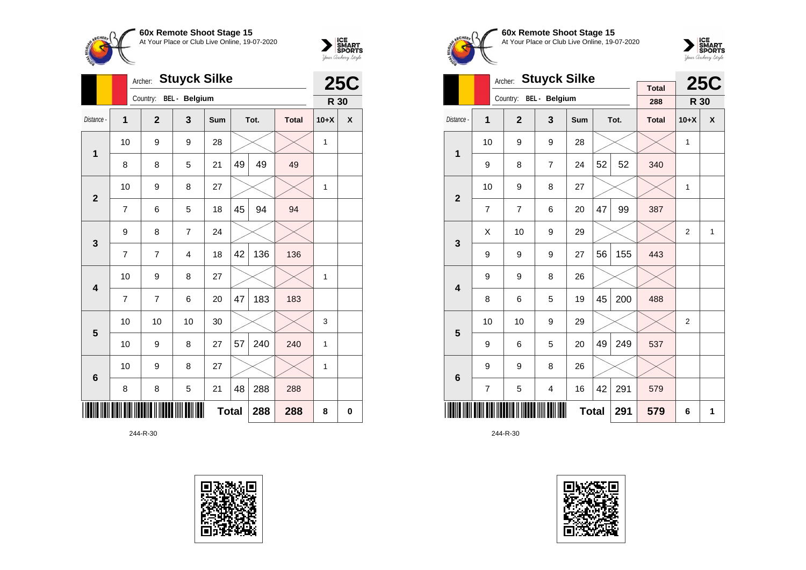



|                 |    | Archer:        | <b>Stuyck Silke</b>  |              |    |      | <b>25C</b>   |        |   |
|-----------------|----|----------------|----------------------|--------------|----|------|--------------|--------|---|
|                 |    | Country:       | <b>BEL</b> - Belgium |              |    |      |              | R 30   |   |
| Distance -      | 1  | $\overline{2}$ | 3                    | <b>Sum</b>   |    | Tot. | <b>Total</b> | $10+X$ | X |
| $\mathbf{1}$    | 10 | 9              | 9                    | 28           |    |      |              | 1      |   |
|                 | 8  | 8              | 5                    | 21           | 49 | 49   | 49           |        |   |
| $\overline{2}$  | 10 | 9              | 8                    | 27           |    |      |              | 1      |   |
|                 | 7  | 6              | 5                    | 18           | 45 | 94   | 94           |        |   |
| 3               | 9  | 8              | $\overline{7}$       | 24           |    |      |              |        |   |
|                 | 7  | 7              | 4                    | 18           | 42 | 136  | 136          |        |   |
| 4               | 10 | 9              | 8                    | 27           |    |      |              | 1      |   |
|                 | 7  | 7              | 6                    | 20           | 47 | 183  | 183          |        |   |
| 5               | 10 | 10             | 10                   | 30           |    |      |              | 3      |   |
|                 | 10 | 9              | 8                    | 27           | 57 | 240  | 240          | 1      |   |
| $6\phantom{1}6$ | 10 | 9              | 8                    | 27           |    |      |              | 1      |   |
|                 | 8  | 8              | 5                    | 21           | 48 | 288  | 288          |        |   |
|                 |    |                |                      | <b>Total</b> |    | 288  | 288          | 8      | 0 |





**60x Remote Shoot Stage 15** At Your Place or Club Live Online, 19-07-2020



|                         |                | <b>Stuyck Silke</b><br>Archer: |                         |              |    | <b>25C</b> |                     |        |   |
|-------------------------|----------------|--------------------------------|-------------------------|--------------|----|------------|---------------------|--------|---|
|                         |                | Country:                       | BEL - Belgium           |              |    |            | <b>Total</b><br>288 | R 30   |   |
| Distance -              | 1              | $\overline{2}$                 | 3                       | <b>Sum</b>   |    | Tot.       | <b>Total</b>        | $10+X$ | X |
| 1                       | 10             | 9                              | 9                       | 28           |    |            |                     | 1      |   |
|                         | 9              | 8                              | $\overline{7}$          | 24           | 52 | 52         | 340                 |        |   |
| $\overline{2}$          | 10             | 9                              | 8                       | 27           |    |            |                     | 1      |   |
|                         | $\overline{7}$ | $\overline{7}$                 | 6                       | 20           | 47 | 99         | 387                 |        |   |
| 3                       | Χ              | 10                             | 9                       | 29           |    |            |                     | 2      | 1 |
|                         | 9              | 9                              | 9                       | 27           | 56 | 155        | 443                 |        |   |
| $\overline{\mathbf{4}}$ | 9              | 9                              | 8                       | 26           |    |            |                     |        |   |
|                         | 8              | 6                              | 5                       | 19           | 45 | 200        | 488                 |        |   |
| 5                       | 10             | 10                             | 9                       | 29           |    |            |                     | 2      |   |
|                         | 9              | 6                              | 5                       | 20           | 49 | 249        | 537                 |        |   |
| 6                       | 9              | 9                              | 8                       | 26           |    |            |                     |        |   |
|                         | 7              | 5                              | $\overline{\mathbf{4}}$ | 16           | 42 | 291        | 579                 |        |   |
|                         |                |                                |                         | <b>Total</b> |    | 291        | 579                 | 6      | 1 |

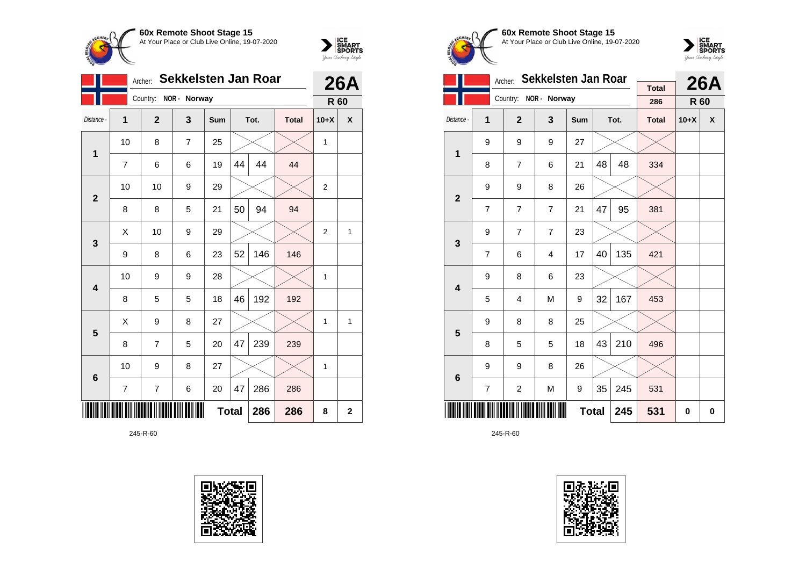



|                         |                | Archer:      | Sekkelsten Jan Roar |              |    |      |              | <b>26A</b>     |             |  |
|-------------------------|----------------|--------------|---------------------|--------------|----|------|--------------|----------------|-------------|--|
|                         |                | Country:     | NOR - Norway        |              |    |      |              | R 60           |             |  |
| Distance -              | 1              | $\mathbf{2}$ | 3                   | Sum          |    | Tot. | <b>Total</b> | $10+X$         | X           |  |
| $\mathbf 1$             | 10             | 8            | $\overline{7}$      | 25           |    |      |              | 1              |             |  |
|                         | $\overline{7}$ | 6            | 6                   | 19           | 44 | 44   | 44           |                |             |  |
| $\overline{2}$          | 10             | 10           | 9                   | 29           |    |      |              | $\overline{2}$ |             |  |
|                         | 8              | 8            | 5                   | 21           | 50 | 94   | 94           |                |             |  |
| $\mathbf{3}$            | Χ              | 10           | 9                   | 29           |    |      |              | $\overline{2}$ | 1           |  |
|                         | 9              | 8            | 6                   | 23           | 52 | 146  | 146          |                |             |  |
| $\overline{\mathbf{4}}$ | 10             | 9            | 9                   | 28           |    |      |              | 1              |             |  |
|                         | 8              | 5            | 5                   | 18           | 46 | 192  | 192          |                |             |  |
| 5                       | X              | 9            | 8                   | 27           |    |      |              | 1              | 1           |  |
|                         | 8              | 7            | 5                   | 20           | 47 | 239  | 239          |                |             |  |
| $\bf 6$                 | 10             | 9            | 8                   | 27           |    |      |              | 1              |             |  |
|                         | 7              | 7            | 6                   | 20           | 47 | 286  | 286          |                |             |  |
|                         |                |              |                     | <b>Total</b> |    | 286  | 286          | 8              | $\mathbf 2$ |  |





**60x Remote Shoot Stage 15** At Your Place or Club Live Online, 19-07-2020



|                         |                | Archer:        | Sekkelsten Jan Roar |              |    | <b>26A</b> |                     |        |   |
|-------------------------|----------------|----------------|---------------------|--------------|----|------------|---------------------|--------|---|
|                         |                | Country:       | NOR - Norway        |              |    |            | <b>Total</b><br>286 | R 60   |   |
| Distance -              | 1              | $\overline{2}$ | 3                   | <b>Sum</b>   |    | Tot.       | <b>Total</b>        | $10+X$ | X |
| $\overline{1}$          | 9              | 9              | 9                   | 27           |    |            |                     |        |   |
|                         | 8              | $\overline{7}$ | 6                   | 21           | 48 | 48         | 334                 |        |   |
| $\overline{2}$          | 9              | 9              | 8                   | 26           |    |            |                     |        |   |
|                         | $\overline{7}$ | $\overline{7}$ | $\overline{7}$      | 21           | 47 | 95         | 381                 |        |   |
| 3                       | 9              | $\overline{7}$ | $\overline{7}$      | 23           |    |            |                     |        |   |
|                         | $\overline{7}$ | 6              | 4                   | 17           | 40 | 135        | 421                 |        |   |
| $\overline{\mathbf{4}}$ | 9              | 8              | 6                   | 23           |    |            |                     |        |   |
|                         | 5              | 4              | M                   | 9            | 32 | 167        | 453                 |        |   |
| 5                       | 9              | 8              | 8                   | 25           |    |            |                     |        |   |
|                         | 8              | 5              | 5                   | 18           | 43 | 210        | 496                 |        |   |
| $6\phantom{1}$          | 9              | 9              | 8                   | 26           |    |            |                     |        |   |
|                         | 7              | $\overline{c}$ | M                   | 9            | 35 | 245        | 531                 |        |   |
|                         |                |                |                     | <b>Total</b> |    | 245        | 531                 | 0      | 0 |

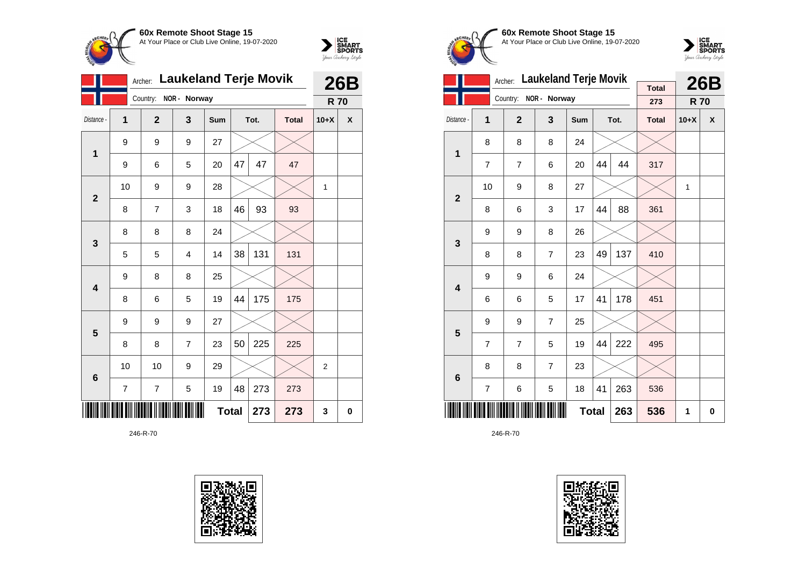



|                         |    | Archer:        | <b>Laukeland Terje Movik</b> |              |    |      |              |                | <b>26B</b> |
|-------------------------|----|----------------|------------------------------|--------------|----|------|--------------|----------------|------------|
|                         |    | Country:       | NOR - Norway                 |              |    |      |              | <b>R70</b>     |            |
| Distance -              | 1  | $\overline{2}$ | 3                            | Sum          |    | Tot. | <b>Total</b> | $10+X$         | X          |
| 1                       | 9  | 9              | 9                            | 27           |    |      |              |                |            |
|                         | 9  | 6              | 5                            | 20           | 47 | 47   | 47           |                |            |
| $\overline{2}$          | 10 | 9              | 9                            | 28           |    |      |              | 1              |            |
|                         | 8  | $\overline{7}$ | 3                            | 18           | 46 | 93   | 93           |                |            |
| $\mathbf{3}$            | 8  | 8              | 8                            | 24           |    |      |              |                |            |
|                         | 5  | 5              | 4                            | 14           | 38 | 131  | 131          |                |            |
| $\overline{\mathbf{4}}$ | 9  | 8              | 8                            | 25           |    |      |              |                |            |
|                         | 8  | 6              | 5                            | 19           | 44 | 175  | 175          |                |            |
| 5                       | 9  | 9              | 9                            | 27           |    |      |              |                |            |
|                         | 8  | 8              | 7                            | 23           | 50 | 225  | 225          |                |            |
| $6\phantom{1}6$         | 10 | 10             | 9                            | 29           |    |      |              | $\overline{2}$ |            |
|                         | 7  | 7              | 5                            | 19           | 48 | 273  | 273          |                |            |
|                         |    |                |                              | <b>Total</b> |    | 273  | 273          | 3              | 0          |





**60x Remote Shoot Stage 15** At Your Place or Club Live Online, 19-07-2020



|                         |                | Archer:        | <b>Laukeland Terje Movik</b> |              |    |      |                     |            | <b>26B</b> |
|-------------------------|----------------|----------------|------------------------------|--------------|----|------|---------------------|------------|------------|
|                         |                | Country:       | NOR - Norway                 |              |    |      | <b>Total</b><br>273 | <b>R70</b> |            |
| Distance -              |                | $\overline{2}$ | 3                            | <b>Sum</b>   |    |      |                     |            | X          |
|                         | 1              |                |                              |              |    | Tot. | <b>Total</b>        | $10+X$     |            |
| 1                       | 8              | 8              | 8                            | 24           |    |      |                     |            |            |
|                         | $\overline{7}$ | $\overline{7}$ | 6                            | 20           | 44 | 44   | 317                 |            |            |
| $\overline{2}$          | 10             | 9              | 8                            | 27           |    |      |                     | 1          |            |
|                         | 8              | 6              | 3                            | 17           | 44 | 88   | 361                 |            |            |
| 3                       | 9              | 9              | 8                            | 26           |    |      |                     |            |            |
|                         | 8              | 8              | $\overline{7}$               | 23           | 49 | 137  | 410                 |            |            |
| $\overline{\mathbf{4}}$ | 9              | 9              | 6                            | 24           |    |      |                     |            |            |
|                         | 6              | 6              | 5                            | 17           | 41 | 178  | 451                 |            |            |
| 5                       | 9              | 9              | $\overline{7}$               | 25           |    |      |                     |            |            |
|                         | $\overline{7}$ | $\overline{7}$ | 5                            | 19           | 44 | 222  | 495                 |            |            |
| $\bf 6$                 | 8              | 8              | $\overline{7}$               | 23           |    |      |                     |            |            |
|                         | $\overline{7}$ | 6              | 5                            | 18           | 41 | 263  | 536                 |            |            |
|                         |                |                |                              | <b>Total</b> |    | 263  | 536                 | 1          | 0          |

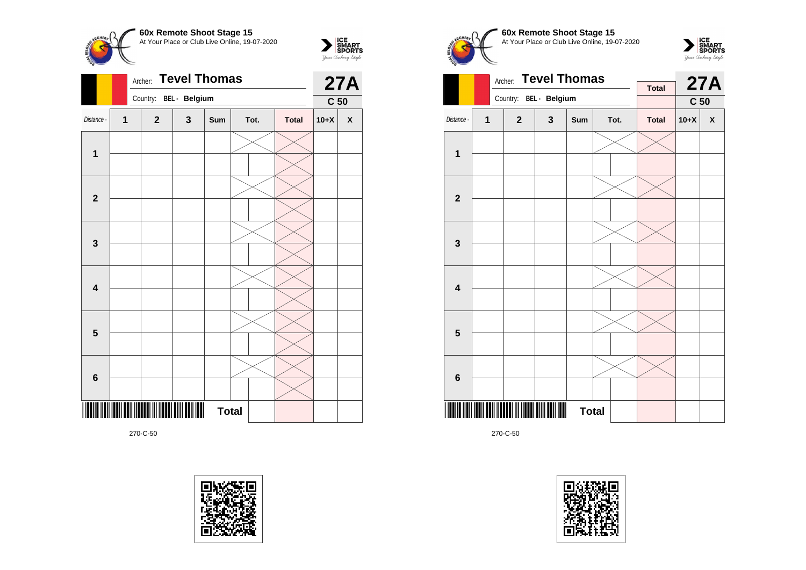



|                         |                | Country: BEL - Belgium |                                           | C <sub>50</sub> |      |              |        |                    |
|-------------------------|----------------|------------------------|-------------------------------------------|-----------------|------|--------------|--------|--------------------|
| Distance -              | $\overline{1}$ | $\mathbf{2}$           | $\mathbf 3$                               | Sum             | Tot. | <b>Total</b> | $10+X$ | $\pmb{\mathsf{X}}$ |
| $\mathbf 1$             |                |                        |                                           |                 |      |              |        |                    |
| $\mathbf{2}$            |                |                        |                                           |                 |      |              |        |                    |
| $\mathbf 3$             |                |                        |                                           |                 |      |              |        |                    |
| $\overline{\mathbf{4}}$ |                |                        |                                           |                 |      |              |        |                    |
| $5\phantom{1}$          |                |                        |                                           |                 |      |              |        |                    |
| $\bf 6$                 |                |                        |                                           |                 |      |              |        |                    |
|                         |                |                        | $\mathbf{\mathbf{\mathsf{\mathsf{III}}}}$ | <b>Total</b>    |      |              |        |                    |









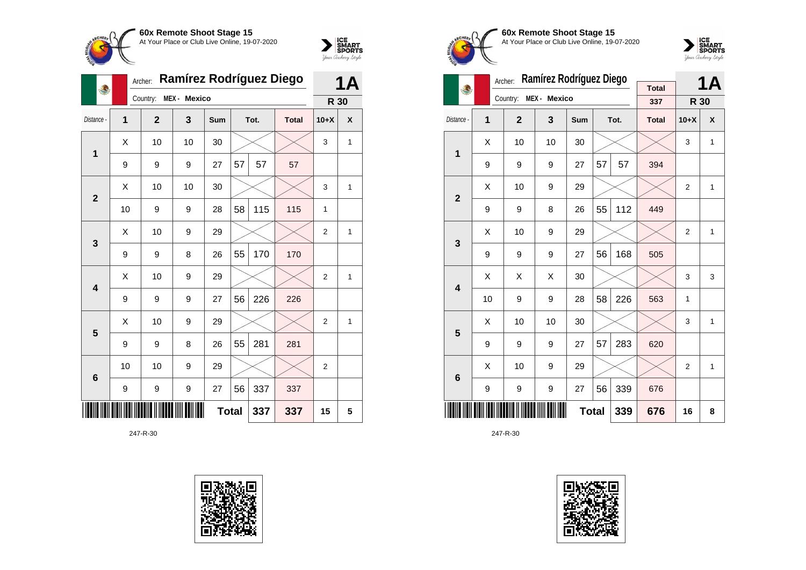



|                         |    | Archer:      | Ramírez Rodríguez Diego |     |              |      | 1Α           |                |              |
|-------------------------|----|--------------|-------------------------|-----|--------------|------|--------------|----------------|--------------|
|                         |    | Country:     | MEX - Mexico            |     |              |      |              | R 30           |              |
| Distance -              | 1  | $\mathbf{2}$ | 3                       | Sum |              | Tot. | <b>Total</b> | $10+X$         | X            |
| 1                       | Χ  | 10           | 10                      | 30  |              |      |              | 3              | 1            |
|                         | 9  | 9            | 9                       | 27  | 57           | 57   | 57           |                |              |
| $\overline{2}$          | X  | 10           | 10                      | 30  |              |      |              | 3              | 1            |
|                         | 10 | 9            | 9                       | 28  | 58           | 115  | 115          | 1              |              |
| 3                       | X  | 10           | 9                       | 29  |              |      |              | $\overline{2}$ | 1            |
|                         | 9  | 9            | 8                       | 26  | 55           | 170  | 170          |                |              |
| $\overline{\mathbf{4}}$ | X  | 10           | 9                       | 29  |              |      |              | $\overline{2}$ | $\mathbf{1}$ |
|                         | 9  | 9            | 9                       | 27  | 56           | 226  | 226          |                |              |
| 5                       | X  | 10           | 9                       | 29  |              |      |              | $\overline{2}$ | $\mathbf{1}$ |
|                         | 9  | 9            | 8                       | 26  | 55           | 281  | 281          |                |              |
| $\bf 6$                 | 10 | 10           | 9                       | 29  |              |      |              | $\overline{2}$ |              |
|                         | 9  | 9            | 9                       | 27  | 56           | 337  | 337          |                |              |
|                         |    |              |                         |     | <b>Total</b> | 337  | 337          | 15             | 5            |





**60x Remote Shoot Stage 15** At Your Place or Club Live Online, 19-07-2020



|                         |    | Archer:        | Ramírez Rodríguez Diego | <b>Total</b> |    | <b>1A</b> |              |                |   |
|-------------------------|----|----------------|-------------------------|--------------|----|-----------|--------------|----------------|---|
|                         |    | Country:       | MEX - Mexico            |              |    |           | 337          | R 30           |   |
| Distance -              | 1  | $\overline{2}$ | 3                       | <b>Sum</b>   |    | Tot.      | <b>Total</b> | $10+X$         | X |
| 1                       | X  | 10             | 10                      | 30           |    |           |              | 3              | 1 |
|                         | 9  | 9              | 9                       | 27           | 57 | 57        | 394          |                |   |
| $\overline{2}$          | X  | 10             | 9                       | 29           |    |           |              | $\overline{2}$ | 1 |
|                         | 9  | 9              | 8                       | 26           | 55 | 112       | 449          |                |   |
| 3                       | Χ  | 10             | 9                       | 29           |    |           |              | $\overline{2}$ | 1 |
|                         | 9  | 9              | 9                       | 27           | 56 | 168       | 505          |                |   |
| $\overline{\mathbf{4}}$ | Χ  | Χ              | X                       | 30           |    |           |              | 3              | 3 |
|                         | 10 | 9              | 9                       | 28           | 58 | 226       | 563          | 1              |   |
| 5                       | X  | 10             | 10                      | 30           |    |           |              | 3              | 1 |
|                         | 9  | 9              | 9                       | 27           | 57 | 283       | 620          |                |   |
| 6                       | Χ  | 10             | 9                       | 29           |    |           |              | $\overline{2}$ | 1 |
|                         | 9  | 9              | 9                       | 27           | 56 | 339       | 676          |                |   |
|                         |    |                |                         | <b>Total</b> |    | 339       | 676          | 16             | 8 |

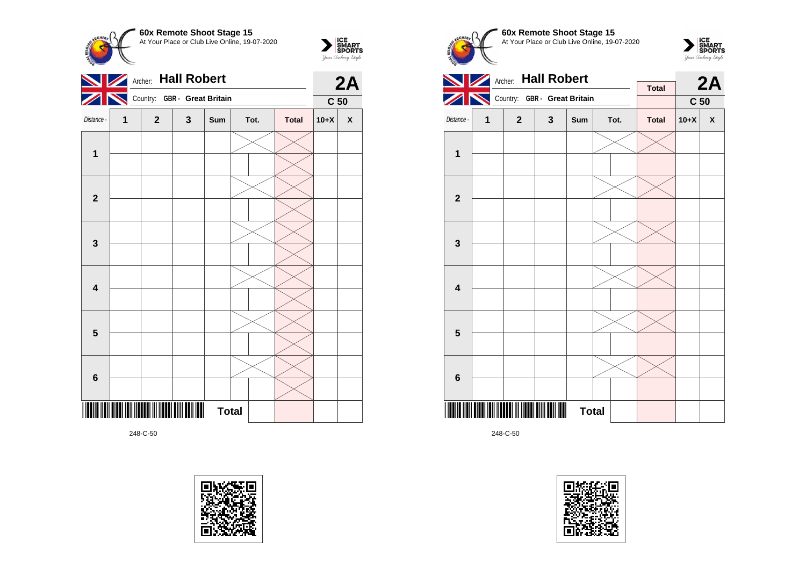

 $\sum_{\text{yow } \text{Gup RART}}$ 



248-C-50









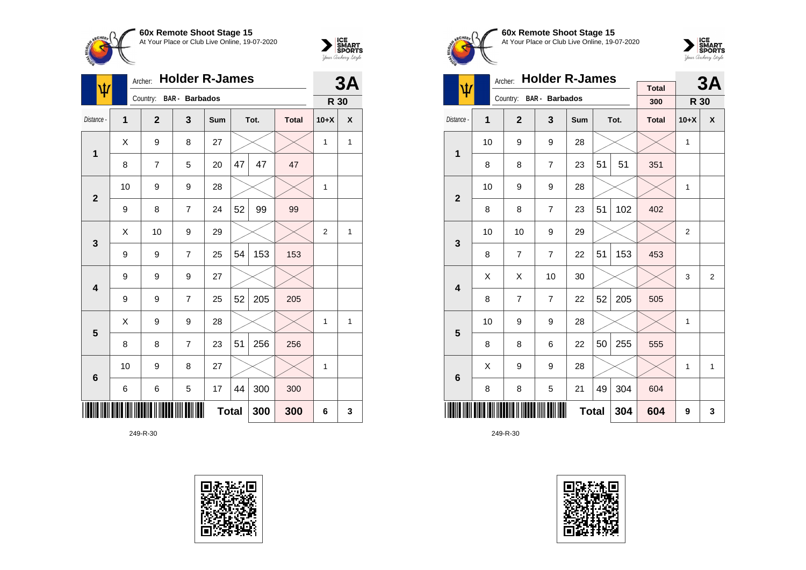



| ψ                       |                | Archer:        | <b>Holder R-James</b> |              |    |      | 3A           |                |              |
|-------------------------|----------------|----------------|-----------------------|--------------|----|------|--------------|----------------|--------------|
|                         |                | Country:       | <b>BAR</b> - Barbados |              |    |      |              | R 30           |              |
| Distance -              | $\overline{1}$ | $\overline{2}$ | 3                     | Sum          |    | Tot. | <b>Total</b> | $10+X$         | χ            |
| $\mathbf 1$             | X              | 9              | 8                     | 27           |    |      |              | 1              | $\mathbf{1}$ |
|                         | 8              | 7              | 5                     | 20           | 47 | 47   | 47           |                |              |
| $\mathbf{2}$            | 10             | 9              | 9                     | 28           |    |      |              | 1              |              |
|                         | 9              | 8              | 7                     | 24           | 52 | 99   | 99           |                |              |
| 3                       | X              | 10             | 9                     | 29           |    |      |              | $\overline{2}$ | 1            |
|                         | 9              | 9              | $\overline{7}$        | 25           | 54 | 153  | 153          |                |              |
| $\overline{\mathbf{4}}$ | 9              | 9              | 9                     | 27           |    |      |              |                |              |
|                         | 9              | 9              | $\overline{7}$        | 25           | 52 | 205  | 205          |                |              |
| 5                       | Χ              | 9              | 9                     | 28           |    |      |              | 1              | $\mathbf{1}$ |
|                         | 8              | 8              | $\overline{7}$        | 23           | 51 | 256  | 256          |                |              |
| $6\phantom{1}6$         | 10             | 9              | 8                     | 27           |    |      |              | 1              |              |
|                         | 6              | 6              | 5                     | 17           | 44 | 300  | 300          |                |              |
|                         |                |                |                       | <b>Total</b> |    | 300  | 300          | 6              | 3            |





**60x Remote Shoot Stage 15** At Your Place or Club Live Online, 19-07-2020



| <b>Holder R-James</b><br>Archer: |    |                |                       |              |    |      |                     |                | 3A             |
|----------------------------------|----|----------------|-----------------------|--------------|----|------|---------------------|----------------|----------------|
| Ψ                                |    | Country:       | <b>BAR</b> - Barbados |              |    |      | <b>Total</b><br>300 | R 30           |                |
| Distance -                       | 1  | $\overline{2}$ | 3                     | Sum          |    | Tot. | <b>Total</b>        | $10+X$         | X              |
| 1                                | 10 | 9              | 9                     | 28           |    |      |                     | 1              |                |
|                                  | 8  | 8              | $\overline{7}$        | 23           | 51 | 51   | 351                 |                |                |
| $\overline{2}$                   | 10 | 9              | 9                     | 28           |    |      |                     | 1              |                |
|                                  | 8  | 8              | $\overline{7}$        | 23           | 51 | 102  | 402                 |                |                |
| 3                                | 10 | 10             | 9                     | 29           |    |      |                     | $\overline{2}$ |                |
|                                  | 8  | $\overline{7}$ | $\overline{7}$        | 22           | 51 | 153  | 453                 |                |                |
| $\overline{\mathbf{4}}$          | Χ  | X              | 10                    | 30           |    |      |                     | 3              | $\overline{2}$ |
|                                  | 8  | $\overline{7}$ | $\overline{7}$        | 22           | 52 | 205  | 505                 |                |                |
| 5                                | 10 | 9              | 9                     | 28           |    |      |                     | 1              |                |
|                                  | 8  | 8              | 6                     | 22           | 50 | 255  | 555                 |                |                |
| $6\phantom{1}6$                  | Χ  | 9              | 9                     | 28           |    |      |                     | 1              | 1              |
|                                  | 8  | 8              | 5                     | 21           | 49 | 304  | 604                 |                |                |
|                                  |    |                |                       | <b>Total</b> |    | 304  | 604                 | 9              | 3              |

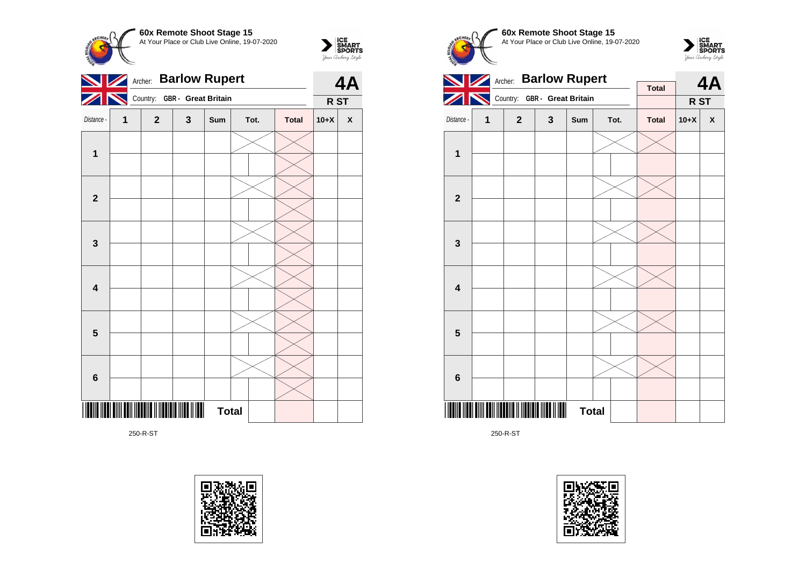



250-R-ST









250-R-ST

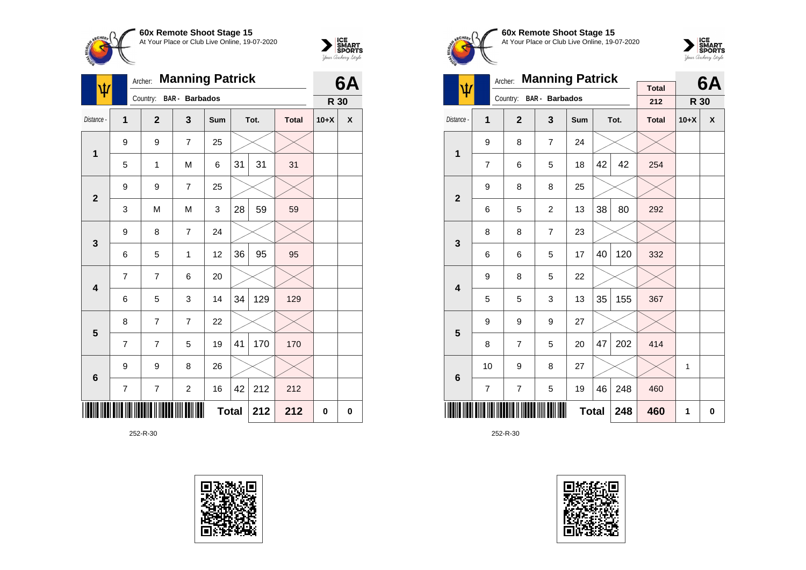



| Ŵ                       | Archer: |                | 6A                    |              |    |      |              |        |          |
|-------------------------|---------|----------------|-----------------------|--------------|----|------|--------------|--------|----------|
|                         |         | Country:       | <b>BAR</b> - Barbados |              |    |      |              | R 30   |          |
| Distance -              | 1       | $\overline{2}$ | 3                     | Sum          |    | Tot. | <b>Total</b> | $10+X$ | χ        |
| 1                       | 9       | 9              | $\overline{7}$        | 25           |    |      |              |        |          |
|                         | 5       | $\mathbf{1}$   | M                     | 6            | 31 | 31   | 31           |        |          |
| $\overline{2}$          | 9       | 9              | $\overline{7}$        | 25           |    |      |              |        |          |
|                         | 3       | M              | M                     | 3            | 28 | 59   | 59           |        |          |
| $\mathbf{3}$            | 9       | 8              | $\overline{7}$        | 24           |    |      |              |        |          |
|                         | 6       | 5              | 1                     | 12           | 36 | 95   | 95           |        |          |
| $\overline{\mathbf{4}}$ | 7       | 7              | 6                     | 20           |    |      |              |        |          |
|                         | 6       | 5              | 3                     | 14           | 34 | 129  | 129          |        |          |
| 5                       | 8       | $\overline{7}$ | $\overline{7}$        | 22           |    |      |              |        |          |
|                         | 7       | 7              | 5                     | 19           | 41 | 170  | 170          |        |          |
| $\bf 6$                 | 9       | 9              | 8                     | 26           |    |      |              |        |          |
|                         | 7       | 7              | $\overline{c}$        | 16           | 42 | 212  | 212          |        |          |
|                         |         |                |                       | <b>Total</b> |    | 212  | 212          | 0      | $\bf{0}$ |





**60x Remote Shoot Stage 15** At Your Place or Club Live Online, 19-07-2020



|                         |                | <b>Manning Patrick</b><br>Archer: |                       |              |    | 6A   |                     |        |   |
|-------------------------|----------------|-----------------------------------|-----------------------|--------------|----|------|---------------------|--------|---|
| ψ                       |                | Country:                          | <b>BAR</b> - Barbados |              |    |      | <b>Total</b><br>212 | R 30   |   |
| Distance -              | 1              | $\overline{2}$                    | 3                     | <b>Sum</b>   |    | Tot. | <b>Total</b>        | $10+X$ | X |
| 1                       | 9              | 8                                 | $\overline{7}$        | 24           |    |      |                     |        |   |
|                         | $\overline{7}$ | 6                                 | 5                     | 18           | 42 | 42   | 254                 |        |   |
| $\overline{\mathbf{2}}$ | 9              | 8                                 | 8                     | 25           |    |      |                     |        |   |
|                         | 6              | 5                                 | $\overline{c}$        | 13           | 38 | 80   | 292                 |        |   |
| 3                       | 8              | 8                                 | $\overline{7}$        | 23           |    |      |                     |        |   |
|                         | 6              | 6                                 | 5                     | 17           | 40 | 120  | 332                 |        |   |
| $\overline{\mathbf{4}}$ | 9              | 8                                 | 5                     | 22           |    |      |                     |        |   |
|                         | 5              | 5                                 | 3                     | 13           | 35 | 155  | 367                 |        |   |
| 5                       | 9              | 9                                 | 9                     | 27           |    |      |                     |        |   |
|                         | 8              | $\overline{7}$                    | 5                     | 20           | 47 | 202  | 414                 |        |   |
| $6\phantom{1}6$         | 10             | 9                                 | 8                     | 27           |    |      |                     | 1      |   |
|                         | 7              | 7                                 | 5                     | 19           | 46 | 248  | 460                 |        |   |
|                         |                |                                   |                       | <b>Total</b> |    | 248  | 460                 | 1      | 0 |

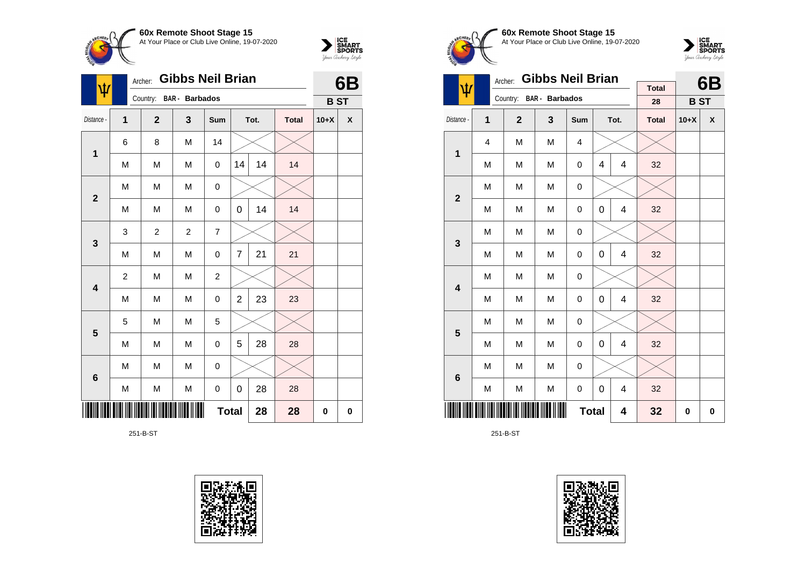



| Ŵ                       |                | Archer:        | <b>Gibbs Neil Brian</b> |                |                |      | 6B           |            |   |
|-------------------------|----------------|----------------|-------------------------|----------------|----------------|------|--------------|------------|---|
|                         |                |                | Country: BAR - Barbados |                |                |      |              | <b>BST</b> |   |
| Distance -              | 1              | $\overline{2}$ | 3                       | Sum            |                | Tot. | <b>Total</b> | $10+X$     | X |
| $\mathbf 1$             | 6              | 8              | M                       | 14             |                |      |              |            |   |
|                         | M              | M              | M                       | 0              | 14             | 14   | 14           |            |   |
| $\overline{2}$          | M              | M              | M                       | 0              |                |      |              |            |   |
|                         | M              | M              | M                       | 0              | 0              | 14   | 14           |            |   |
| $\mathbf{3}$            | 3              | $\overline{c}$ | $\overline{2}$          | 7              |                |      |              |            |   |
|                         | M              | M              | M                       | 0              | $\overline{7}$ | 21   | 21           |            |   |
| 4                       | $\overline{c}$ | M              | M                       | $\overline{c}$ |                |      |              |            |   |
|                         | M              | M              | M                       | 0              | $\overline{2}$ | 23   | 23           |            |   |
| $\overline{\mathbf{5}}$ | 5              | M              | M                       | 5              |                |      |              |            |   |
|                         | M              | M              | M                       | 0              | 5              | 28   | 28           |            |   |
| $6\phantom{1}6$         | M              | M              | M                       | 0              |                |      |              |            |   |
|                         | M              | M              | M                       | 0              | 0              | 28   | 28           |            |   |
|                         |                |                |                         | <b>Total</b>   |                | 28   | 28           | 0          | 0 |

251-B-ST









|                         |   | <b>Gibbs Neil Brian</b><br>Archer: |                       | <b>Total</b>     |   | 6B   |              |            |   |
|-------------------------|---|------------------------------------|-----------------------|------------------|---|------|--------------|------------|---|
| ψ                       |   | Country:                           | <b>BAR</b> - Barbados |                  |   |      | 28           | <b>BST</b> |   |
| Distance -              | 1 | $\overline{2}$                     | $\mathbf{3}$          | Sum              |   | Tot. | <b>Total</b> | $10+X$     | X |
| $\mathbf 1$             | 4 | M                                  | M                     | 4                |   |      |              |            |   |
|                         | M | M                                  | M                     | $\mathbf 0$      | 4 | 4    | 32           |            |   |
| $\mathbf{2}$            | M | M                                  | M                     | $\mathbf 0$      |   |      |              |            |   |
|                         | M | M                                  | M                     | $\mathbf 0$      | 0 | 4    | 32           |            |   |
| 3                       | M | M                                  | M                     | 0                |   |      |              |            |   |
|                         | M | M                                  | M                     | $\mathbf 0$      | 0 | 4    | 32           |            |   |
| $\overline{\mathbf{4}}$ | M | M                                  | M                     | $\mathbf 0$      |   |      |              |            |   |
|                         | M | M                                  | M                     | $\mathbf 0$      | 0 | 4    | 32           |            |   |
| 5                       | M | M                                  | M                     | 0                |   |      |              |            |   |
|                         | M | M                                  | M                     | $\mathbf 0$      | 0 | 4    | 32           |            |   |
| $\bf 6$                 | M | M                                  | M                     | $\mathbf 0$      |   |      |              |            |   |
|                         | M | M                                  | M                     | $\boldsymbol{0}$ | 0 | 4    | 32           |            |   |
|                         |   |                                    |                       | <b>Total</b>     |   | 4    | 32           | 0          | 0 |

251-B-ST

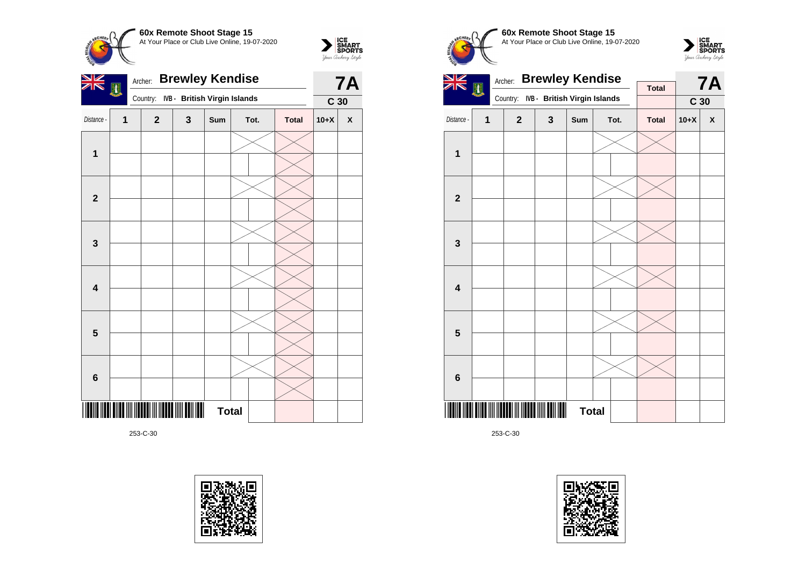

 $\sum_{\text{yow } \text{Gup RART}}$ 



253-C-30









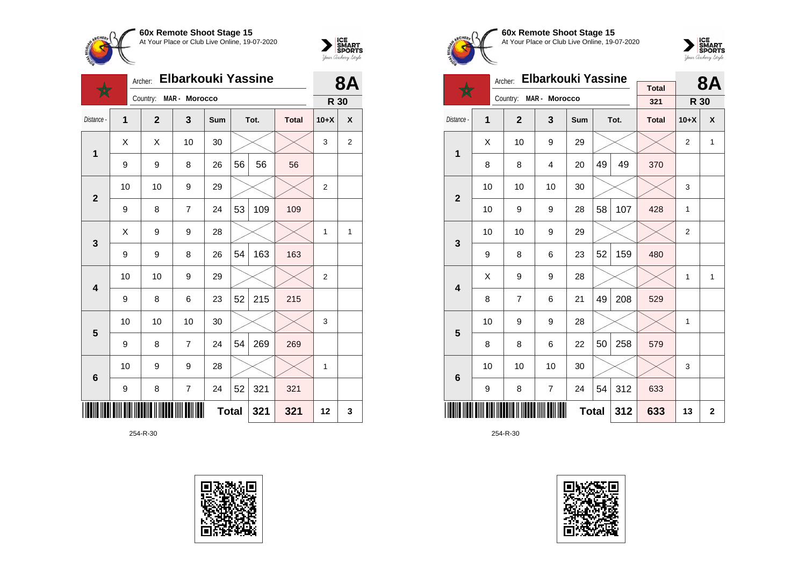



|                         |    | Archer:        | <b>Elbarkouki Yassine</b> |     |              |      |              | 87             |                |
|-------------------------|----|----------------|---------------------------|-----|--------------|------|--------------|----------------|----------------|
|                         |    | Country:       | MAR - Morocco             |     |              |      |              | R 30           |                |
| Distance -              | 1  | $\overline{2}$ | 3                         | Sum |              | Tot. | <b>Total</b> | $10+X$         | X              |
| 1                       | X  | X              | 10                        | 30  |              |      |              | 3              | $\overline{2}$ |
|                         | 9  | 9              | 8                         | 26  | 56           | 56   | 56           |                |                |
| $\overline{2}$          | 10 | 10             | 9                         | 29  |              |      |              | $\overline{2}$ |                |
|                         | 9  | 8              | 7                         | 24  | 53           | 109  | 109          |                |                |
| 3                       | Χ  | 9              | 9                         | 28  |              |      |              | 1              | 1              |
|                         | 9  | 9              | 8                         | 26  | 54           | 163  | 163          |                |                |
| $\overline{\mathbf{4}}$ | 10 | 10             | 9                         | 29  |              |      |              | $\overline{2}$ |                |
|                         | 9  | 8              | 6                         | 23  | 52           | 215  | 215          |                |                |
| 5                       | 10 | 10             | 10                        | 30  |              |      |              | 3              |                |
|                         | 9  | 8              | $\overline{7}$            | 24  | 54           | 269  | 269          |                |                |
| $6\phantom{1}6$         | 10 | 9              | 9                         | 28  |              |      |              | $\mathbf{1}$   |                |
|                         | 9  | 8              | $\overline{7}$            | 24  | 52           | 321  | 321          |                |                |
|                         |    |                |                           |     | <b>Total</b> | 321  | 321          | 12             | 3              |





**60x Remote Shoot Stage 15** At Your Place or Club Live Online, 19-07-2020



|                         |             | Archer:      | <b>Elbarkouki Yassine</b> |              |    | 8Α   |                     |                |                |
|-------------------------|-------------|--------------|---------------------------|--------------|----|------|---------------------|----------------|----------------|
|                         |             | Country:     | MAR - Morocco             |              |    |      | <b>Total</b><br>321 | R 30           |                |
| Distance -              | 1           | $\mathbf{2}$ | 3                         | <b>Sum</b>   |    | Tot. | <b>Total</b>        | $10+X$         | X              |
| 1                       | Χ           | 10           | 9                         | 29           |    |      |                     | $\overline{2}$ | 1              |
|                         | 8           | 8            | 4                         | 20           | 49 | 49   | 370                 |                |                |
| $\overline{2}$          | 10          | 10           | 10                        | 30           |    |      |                     | 3              |                |
|                         | 10          | 9            | 9                         | 28           | 58 | 107  | 428                 | 1              |                |
| 3                       | 10          | 10           | 9                         | 29           |    |      |                     | $\overline{2}$ |                |
|                         | 9           | 8            | 6                         | 23           | 52 | 159  | 480                 |                |                |
| $\overline{\mathbf{4}}$ | Χ           | 9            | 9                         | 28           |    |      |                     | 1              | 1              |
|                         | 8           | 7            | 6                         | 21           | 49 | 208  | 529                 |                |                |
| 5                       | 10          | 9            | 9                         | 28           |    |      |                     | 1              |                |
|                         | 8           | 8            | 6                         | 22           | 50 | 258  | 579                 |                |                |
| 6                       | 10          | 10           | 10                        | 30           |    |      |                     | 3              |                |
|                         | 7<br>9<br>8 |              |                           |              | 54 | 312  | 633                 |                |                |
|                         |             |              |                           | <b>Total</b> |    | 312  | 633                 | 13             | $\overline{2}$ |

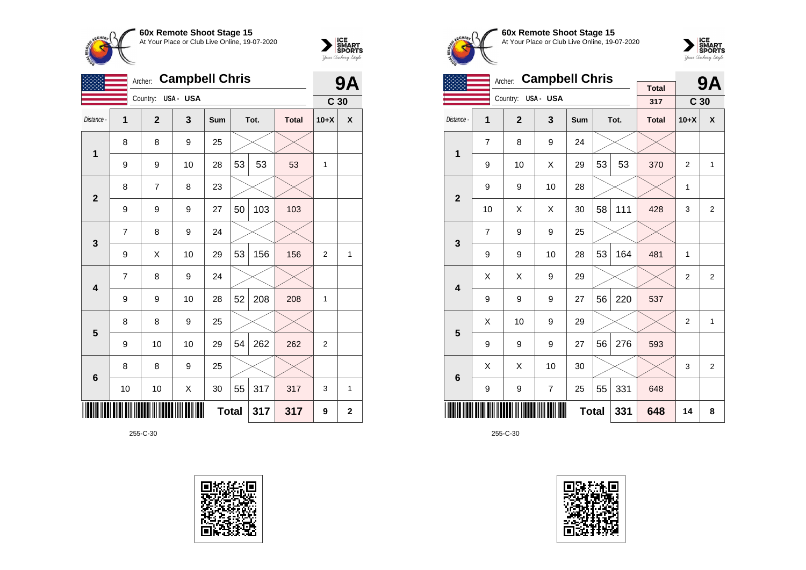



|                         |                | <b>Campbell Chris</b><br>Archer: |          |              |    |      |              |                 | <b>9A</b>    |
|-------------------------|----------------|----------------------------------|----------|--------------|----|------|--------------|-----------------|--------------|
|                         |                | Country:                         | USA- USA |              |    |      |              | C <sub>30</sub> |              |
| Distance -              | 1              | $\overline{2}$                   | 3        | Sum          |    | Tot. | <b>Total</b> | $10+X$          | X            |
| $\mathbf 1$             | 8              | 8                                | 9        | 25           |    |      |              |                 |              |
|                         | 9              | 9                                | 10       | 28           | 53 | 53   | 53           | 1               |              |
| $\overline{2}$          | 8              | 7                                | 8        | 23           |    |      |              |                 |              |
|                         | 9              | 9                                | 9        | 27           | 50 | 103  | 103          |                 |              |
| 3                       | $\overline{7}$ | 8                                | 9        | 24           |    |      |              |                 |              |
|                         | 9              | X                                | 10       | 29           | 53 | 156  | 156          | $\overline{2}$  | $\mathbf{1}$ |
| $\overline{\mathbf{4}}$ | 7              | 8                                | 9        | 24           |    |      |              |                 |              |
|                         | 9              | 9                                | 10       | 28           | 52 | 208  | 208          | 1               |              |
| 5                       | 8              | 8                                | 9        | 25           |    |      |              |                 |              |
|                         | 9              | 10                               | 10       | 29           | 54 | 262  | 262          | $\overline{2}$  |              |
| $6\phantom{1}6$         | 8              | 8                                | 9        | 25           |    |      |              |                 |              |
|                         | 10             | 10                               | Χ        | 30           | 55 | 317  | 317          | 3               | 1            |
|                         |                |                                  |          | <b>Total</b> |    | 317  | 317          | 9               | $\mathbf 2$  |









|                         | <b>Campbell Chris</b><br>Archer: |                |                |              |    |      |                     |                 | <b>9A</b>      |
|-------------------------|----------------------------------|----------------|----------------|--------------|----|------|---------------------|-----------------|----------------|
|                         |                                  | Country:       | USA- USA       |              |    |      | <b>Total</b><br>317 | C <sub>30</sub> |                |
| Distance -              | 1                                | $\overline{2}$ | 3              | Sum          |    | Tot. | <b>Total</b>        | $10+X$          | χ              |
| 1                       | 7                                | 8              | 9              | 24           |    |      |                     |                 |                |
|                         | 9                                | 10             | X              | 29           | 53 | 53   | 370                 | $\overline{2}$  | $\mathbf{1}$   |
| $\overline{2}$          | 9                                | 9              | 10             | 28           |    |      |                     | 1               |                |
|                         | 10                               | X              | X              | 30           | 58 | 111  | 428                 | 3               | $\overline{2}$ |
| 3                       | 7                                | 9              | 9              | 25           |    |      |                     |                 |                |
|                         | 9                                | 9              | 10             | 28           | 53 | 164  | 481                 | 1               |                |
| $\overline{\mathbf{4}}$ | Χ                                | X              | 9              | 29           |    |      |                     | 2               | 2              |
|                         | 9                                | 9              | 9              | 27           | 56 | 220  | 537                 |                 |                |
| 5                       | X                                | 10             | 9              | 29           |    |      |                     | 2               | 1              |
|                         | 9                                | 9              | 9              | 27           | 56 | 276  | 593                 |                 |                |
| 6                       | X                                | X              | 10             | 30           |    |      |                     | 3               | $\overline{2}$ |
|                         | 9                                | 9              | $\overline{7}$ | 25           | 55 | 331  | 648                 |                 |                |
|                         |                                  |                |                | <b>Total</b> |    | 331  | 648                 | 14              | 8              |

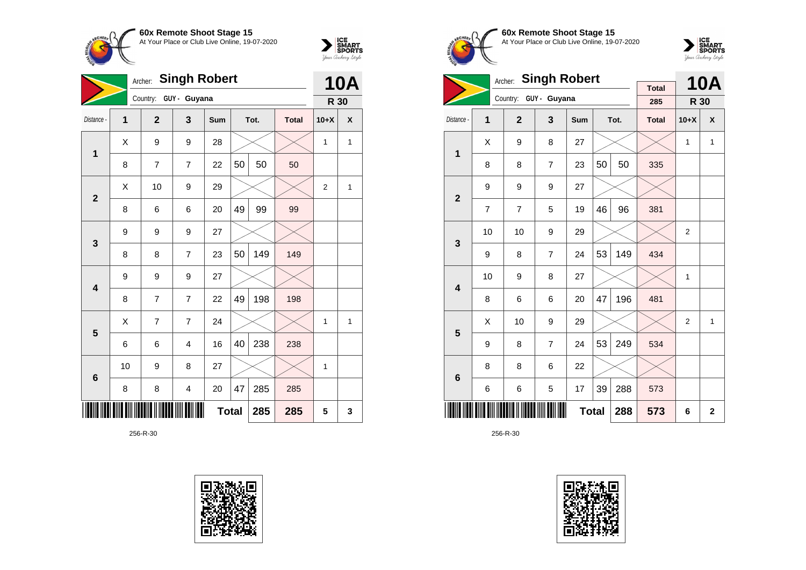



|                         | <b>Singh Robert</b><br>Archer: |                |                |              |    |      |              |                |              |
|-------------------------|--------------------------------|----------------|----------------|--------------|----|------|--------------|----------------|--------------|
|                         |                                | Country:       | GUY - Guyana   |              |    |      |              | R 30           | <b>10A</b>   |
| Distance -              | 1                              | $\overline{2}$ | 3              | Sum          |    | Tot. | <b>Total</b> | $10+X$         | X            |
| $\mathbf{1}$            | X                              | 9              | 9              | 28           |    |      |              | 1              | $\mathbf{1}$ |
|                         | 8                              | $\overline{7}$ | $\overline{7}$ | 22           | 50 | 50   | 50           |                |              |
| $\overline{2}$          | X                              | 10             | 9              | 29           |    |      |              | $\overline{2}$ | 1            |
|                         | 8                              | 6              | 6              | 20           | 49 | 99   | 99           |                |              |
| 3                       | 9                              | 9              | 9              | 27           |    |      |              |                |              |
|                         | 8                              | 8              | $\overline{7}$ | 23           | 50 | 149  | 149          |                |              |
| $\overline{\mathbf{4}}$ | 9                              | 9              | 9              | 27           |    |      |              |                |              |
|                         | 8                              | 7              | $\overline{7}$ | 22           | 49 | 198  | 198          |                |              |
| 5                       | X                              | 7              | $\overline{7}$ | 24           |    |      |              | 1              | 1            |
|                         | 6                              | 6              | $\overline{4}$ | 16           | 40 | 238  | 238          |                |              |
| $6\phantom{1}6$         | 10                             | 9              | 8              | 27           |    |      |              | 1              |              |
|                         | 8                              | 8              | 4              | 20           | 47 | 285  | 285          |                |              |
|                         |                                |                |                | <b>Total</b> |    | 285  | 285          | 5              | 3            |





**60x Remote Shoot Stage 15** At Your Place or Club Live Online, 19-07-2020



|                         | <b>Singh Robert</b><br>Archer: |                |                       |              |    |      |                     |                | <b>10A</b>   |
|-------------------------|--------------------------------|----------------|-----------------------|--------------|----|------|---------------------|----------------|--------------|
|                         |                                |                | Country: GUY - Guyana |              |    |      | <b>Total</b><br>285 | R 30           |              |
| Distance -              | 1                              | $\overline{2}$ | $\mathbf{3}$          | Sum          |    | Tot. | <b>Total</b>        | $10+X$         | X            |
| 1                       | X                              | 9              | 8                     | 27           |    |      |                     | 1              | 1            |
|                         | 8                              | 8              | $\overline{7}$        | 23           | 50 | 50   | 335                 |                |              |
| $\overline{2}$          | 9                              | 9              | 9                     | 27           |    |      |                     |                |              |
|                         | $\overline{7}$                 | $\overline{7}$ | 5                     | 19           | 46 | 96   | 381                 |                |              |
| 3                       | 10                             | 10             | 9                     | 29           |    |      |                     | $\overline{2}$ |              |
|                         | 9                              | 8              | $\overline{7}$        | 24           | 53 | 149  | 434                 |                |              |
| $\overline{\mathbf{4}}$ | 10                             | 9              | 8                     | 27           |    |      |                     | 1              |              |
|                         | 8                              | 6              | 6                     | 20           | 47 | 196  | 481                 |                |              |
| 5                       | X                              | 10             | 9                     | 29           |    |      |                     | $\overline{2}$ | 1            |
|                         | 9                              | 8              | $\overline{7}$        | 24           | 53 | 249  | 534                 |                |              |
| $6\phantom{1}6$         | 8                              | 8              | 6                     | 22           |    |      |                     |                |              |
|                         | 6                              | 6              | 5                     | 17           | 39 | 288  | 573                 |                |              |
|                         |                                |                |                       | <b>Total</b> |    | 288  | 573                 | 6              | $\mathbf{2}$ |

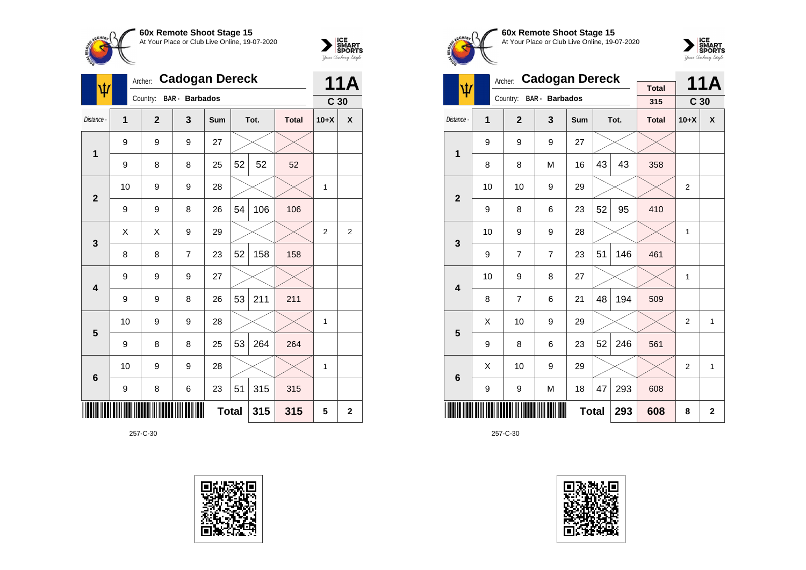



|                 |    | <b>Cadogan Dereck</b><br>Archer: |                       |              |    |      |              |                 |                |  |
|-----------------|----|----------------------------------|-----------------------|--------------|----|------|--------------|-----------------|----------------|--|
|                 |    | Country:                         | <b>BAR</b> - Barbados |              |    |      |              | C <sub>30</sub> |                |  |
| Distance -      | 1  | $\overline{2}$                   | 3                     | Sum          |    | Tot. | <b>Total</b> | $10+X$          | X              |  |
| 1               | 9  | 9                                | 9                     | 27           |    |      |              |                 |                |  |
|                 | 9  | 8                                | 8                     | 25           | 52 | 52   | 52           |                 |                |  |
| $\overline{2}$  | 10 | 9                                | 9                     | 28           |    |      |              | 1               |                |  |
|                 | 9  | 9                                | 8                     | 26           | 54 | 106  | 106          |                 |                |  |
| 3               | X  | Χ                                | 9                     | 29           |    |      |              | $\overline{2}$  | $\overline{2}$ |  |
|                 | 8  | 8                                | $\overline{7}$        | 23           | 52 | 158  | 158          |                 |                |  |
| 4               | 9  | 9                                | 9                     | 27           |    |      |              |                 |                |  |
|                 | 9  | 9                                | 8                     | 26           | 53 | 211  | 211          |                 |                |  |
| 5               | 10 | 9                                | 9                     | 28           |    |      |              | 1               |                |  |
|                 | 9  | 8                                | 8                     | 25           | 53 | 264  | 264          |                 |                |  |
| $6\phantom{1}6$ | 10 | 9                                | 9                     | 28           |    |      |              | 1               |                |  |
|                 | 9  | 8                                | 6                     | 23           | 51 | 315  | 315          |                 |                |  |
|                 |    |                                  |                       | <b>Total</b> |    | 315  | 315          | 5               | $\mathbf 2$    |  |









|                         | <b>Cadogan Dereck</b><br>Archer: |                |                |              |    |      |                     |                 | <b>11A</b>     |
|-------------------------|----------------------------------|----------------|----------------|--------------|----|------|---------------------|-----------------|----------------|
| ψ                       |                                  | Country:       | BAR - Barbados |              |    |      | <b>Total</b><br>315 | C <sub>30</sub> |                |
|                         |                                  |                |                |              |    |      |                     |                 |                |
| Distance -              | 1                                | $\overline{2}$ | 3              | Sum          |    | Tot. | <b>Total</b>        | $10+X$          | X              |
| 1                       | 9                                | 9              | 9              | 27           |    |      |                     |                 |                |
|                         | 8                                | 8              | M              | 16           | 43 | 43   | 358                 |                 |                |
| $\overline{2}$          | 10                               | 10             | 9              | 29           |    |      |                     | $\overline{2}$  |                |
|                         | 9                                | 8              | 6              | 23           | 52 | 95   | 410                 |                 |                |
| 3                       | 10                               | 9              | 9              | 28           |    |      |                     | $\mathbf{1}$    |                |
|                         | 9                                | $\overline{7}$ | $\overline{7}$ | 23           | 51 | 146  | 461                 |                 |                |
| $\overline{\mathbf{4}}$ | 10                               | 9              | 8              | 27           |    |      |                     | 1               |                |
|                         | 8                                | 7              | 6              | 21           | 48 | 194  | 509                 |                 |                |
| 5                       | Χ                                | 10             | 9              | 29           |    |      |                     | $\overline{2}$  | 1              |
|                         | 9                                | 8              | 6              | 23           | 52 | 246  | 561                 |                 |                |
| 6                       | Χ                                | 10             | 9              | 29           |    |      |                     | $\overline{2}$  | $\mathbf{1}$   |
|                         | 9                                | 9              | M              | 18           | 47 | 293  | 608                 |                 |                |
|                         |                                  |                |                | <b>Total</b> |    | 293  | 608                 | 8               | $\overline{2}$ |

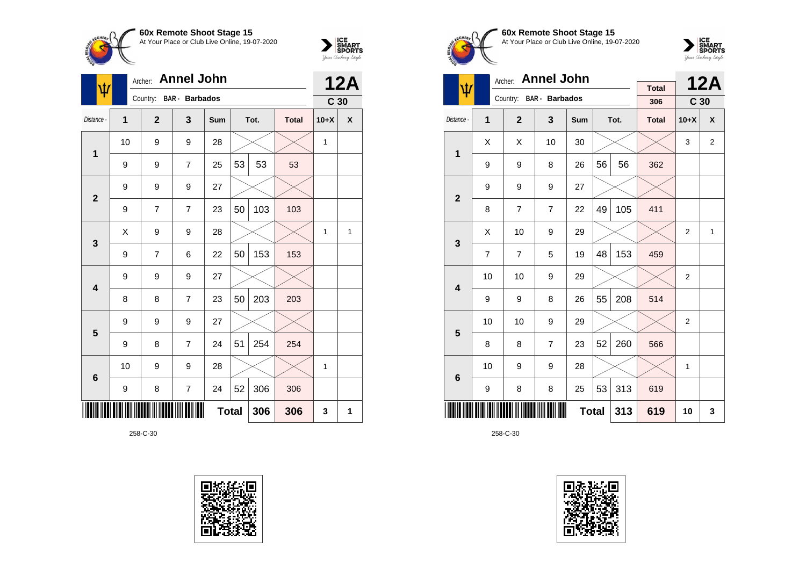



| $\pmb{\psi}$   |              | Archer:                 | <b>Annel John</b> |              |    |      |              |                 | <b>12A</b>         |
|----------------|--------------|-------------------------|-------------------|--------------|----|------|--------------|-----------------|--------------------|
|                |              | Country: BAR - Barbados |                   |              |    |      |              | C <sub>30</sub> |                    |
| Distance -     | $\mathbf{1}$ | $\overline{2}$          | 3                 | Sum          |    | Tot. | <b>Total</b> | $10+X$          | $\pmb{\mathsf{X}}$ |
| $\mathbf{1}$   | 10           | 9                       | 9                 | 28           |    |      |              | 1               |                    |
|                | 9            | 9                       | 7                 | 25           | 53 | 53   | 53           |                 |                    |
| $\overline{2}$ | 9            | 9                       | 9                 | 27           |    |      |              |                 |                    |
|                | 9            | 7                       | 7                 | 23           | 50 | 103  | 103          |                 |                    |
| 3              | X            | 9                       | 9                 | 28           |    |      |              | 1               | 1                  |
|                | 9            | $\overline{7}$          | 6                 | 22           | 50 | 153  | 153          |                 |                    |
| 4              | 9            | 9                       | 9                 | 27           |    |      |              |                 |                    |
|                | 8            | 8                       | $\overline{7}$    | 23           | 50 | 203  | 203          |                 |                    |
| 5              | 9            | 9                       | 9                 | 27           |    |      |              |                 |                    |
|                | 9            | 8                       | 7                 | 24           | 51 | 254  | 254          |                 |                    |
| 6              | 10           | 9                       | 9                 | 28           |    |      |              | 1               |                    |
|                | 9            | 8                       | $\overline{7}$    | 24           | 52 | 306  | 306          |                 |                    |
|                |              |                         |                   | <b>Total</b> |    | 306  | 306          | 3               | 1                  |





**60x Remote Shoot Stage 15** At Your Place or Club Live Online, 19-07-2020



|                         |    | Archer:        | <b>Annel John</b> |              |    |      |                     |                 | <b>12A</b>     |
|-------------------------|----|----------------|-------------------|--------------|----|------|---------------------|-----------------|----------------|
| ψ                       |    | Country:       | BAR - Barbados    |              |    |      | <b>Total</b><br>306 | C <sub>30</sub> |                |
|                         |    |                |                   |              |    |      |                     |                 |                |
| Distance -              | 1  | $\mathbf{2}$   | 3                 | Sum          |    | Tot. | <b>Total</b>        | $10+X$          | X              |
| 1                       | X  | X              | 10                | 30           |    |      |                     | 3               | $\overline{2}$ |
|                         | 9  | 9              | 8                 | 26           | 56 | 56   | 362                 |                 |                |
| $\overline{2}$          | 9  | 9              | 9                 | 27           |    |      |                     |                 |                |
|                         | 8  | $\overline{7}$ | $\overline{7}$    | 22           | 49 | 105  | 411                 |                 |                |
| 3                       | X  | 10             | 9                 | 29           |    |      |                     | 2               | $\mathbf{1}$   |
|                         | 7  | $\overline{7}$ | 5                 | 19           | 48 | 153  | 459                 |                 |                |
| $\overline{\mathbf{4}}$ | 10 | 10             | 9                 | 29           |    |      |                     | $\overline{c}$  |                |
|                         | 9  | 9              | 8                 | 26           | 55 | 208  | 514                 |                 |                |
| 5                       | 10 | 10             | 9                 | 29           |    |      |                     | $\overline{2}$  |                |
|                         | 8  | 8              | $\overline{7}$    | 23           | 52 | 260  | 566                 |                 |                |
| 6                       | 10 | 9              | 9                 | 28           |    |      |                     | 1               |                |
|                         | 9  | 8              | 8                 | 25           | 53 | 313  | 619                 |                 |                |
|                         |    |                |                   | <b>Total</b> |    | 313  | 619                 | 10              | 3              |

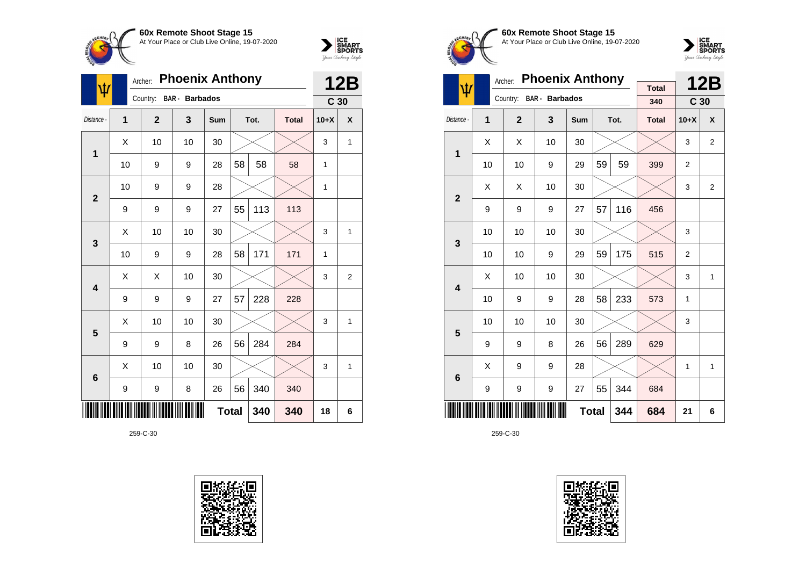



| ψ               |    | Archer:        | <b>Phoenix Anthony</b> |              |    |      |              |                 | <b>12B</b>     |
|-----------------|----|----------------|------------------------|--------------|----|------|--------------|-----------------|----------------|
|                 |    | Country:       | <b>BAR</b> - Barbados  |              |    |      |              | C <sub>30</sub> |                |
| Distance -      | 1  | $\overline{2}$ | 3                      | <b>Sum</b>   |    | Tot. | <b>Total</b> | $10+X$          | X              |
| 1               | X  | 10             | 10                     | 30           |    |      |              | 3               | 1              |
|                 | 10 | 9              | 9                      | 28           | 58 | 58   | 58           | 1               |                |
| $\overline{2}$  | 10 | 9              | 9                      | 28           |    |      |              | 1               |                |
|                 | 9  | 9              | 9                      | 27           | 55 | 113  | 113          |                 |                |
| 3               | X  | 10             | 10                     | 30           |    |      |              | 3               | 1              |
|                 | 10 | 9              | 9                      | 28           | 58 | 171  | 171          | 1               |                |
| 4               | X  | Χ              | 10                     | 30           |    |      |              | 3               | $\overline{2}$ |
|                 | 9  | 9              | 9                      | 27           | 57 | 228  | 228          |                 |                |
| 5               | X  | 10             | 10                     | 30           |    |      |              | 3               | 1              |
|                 | 9  | 9              | 8                      | 26           | 56 | 284  | 284          |                 |                |
| $6\phantom{1}6$ | X  | 10             | 10                     | 30           |    |      |              | 3               | 1              |
|                 | 9  | 9              | 8                      | 26           | 56 | 340  | 340          |                 |                |
|                 |    |                |                        | <b>Total</b> |    | 340  | 340          | 18              | 6              |





**60x Remote Shoot Stage 15** At Your Place or Club Live Online, 19-07-2020



|                         |    | Archer:        | <b>Phoenix Anthony</b> |              |    |      |                     |                 | <b>12B</b>     |
|-------------------------|----|----------------|------------------------|--------------|----|------|---------------------|-----------------|----------------|
| Ψ                       |    | Country:       | <b>BAR</b> - Barbados  |              |    |      | <b>Total</b><br>340 | C <sub>30</sub> |                |
| Distance -              | 1  | $\overline{2}$ | 3                      | <b>Sum</b>   |    | Tot. | <b>Total</b>        | $10+X$          | X              |
| 1                       | X  | X              | 10                     | 30           |    |      |                     | 3               | 2              |
|                         | 10 | 10             | 9                      | 29           | 59 | 59   | 399                 | $\overline{2}$  |                |
| $\overline{2}$          | X  | X              | 10                     | 30           |    |      |                     | 3               | $\overline{2}$ |
|                         | 9  | 9              | 9                      | 27           | 57 | 116  | 456                 |                 |                |
| 3                       | 10 | 10             | 10                     | 30           |    |      |                     | 3               |                |
|                         | 10 | 10             | 9                      | 29           | 59 | 175  | 515                 | $\overline{2}$  |                |
| $\overline{\mathbf{4}}$ | Χ  | 10             | 10                     | 30           |    |      |                     | 3               | 1              |
|                         | 10 | 9              | 9                      | 28           | 58 | 233  | 573                 | 1               |                |
| 5                       | 10 | 10             | 10                     | 30           |    |      |                     | 3               |                |
|                         | 9  | 9              | 8                      | 26           | 56 | 289  | 629                 |                 |                |
| $6\phantom{1}6$         | X  | 9              | 9                      | 28           |    |      |                     | 1               | 1              |
|                         | 9  | 9              | 9                      | 27           | 55 | 344  | 684                 |                 |                |
|                         |    |                |                        | <b>Total</b> |    | 344  | 684                 | 21              | 6              |

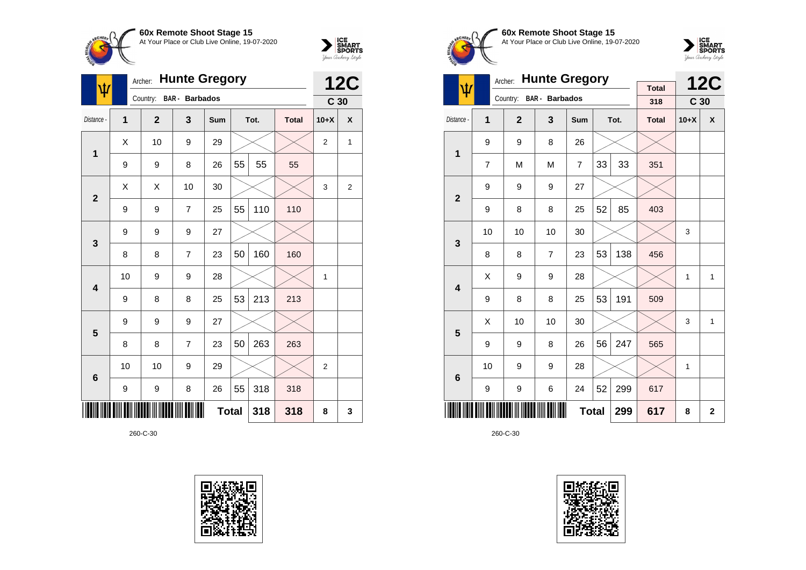



| Ŵ               |                | Archer:        | <b>Hunte Gregory</b>  |              |    |      |              |                 | <b>12C</b>     |
|-----------------|----------------|----------------|-----------------------|--------------|----|------|--------------|-----------------|----------------|
|                 |                | Country:       | <b>BAR</b> - Barbados |              |    |      |              | C <sub>30</sub> |                |
| Distance -      | $\overline{1}$ | $\overline{2}$ | $\mathbf{3}$          | Sum          |    | Tot. | <b>Total</b> | $10+X$          | X              |
| 1               | Χ              | 10             | 9                     | 29           |    |      |              | $\overline{2}$  | 1              |
|                 | 9              | 9              | 8                     | 26           | 55 | 55   | 55           |                 |                |
| $\overline{2}$  | Χ              | X              | 10                    | 30           |    |      |              | 3               | $\overline{2}$ |
|                 | 9              | 9              | $\overline{7}$        | 25           | 55 | 110  | 110          |                 |                |
| 3               | 9              | 9              | 9                     | 27           |    |      |              |                 |                |
|                 | 8              | 8              | $\overline{7}$        | 23           | 50 | 160  | 160          |                 |                |
| 4               | 10             | 9              | 9                     | 28           |    |      |              | 1               |                |
|                 | 9              | 8              | 8                     | 25           | 53 | 213  | 213          |                 |                |
| 5               | 9              | 9              | 9                     | 27           |    |      |              |                 |                |
|                 | 8              | 8              | $\overline{7}$        | 23           | 50 | 263  | 263          |                 |                |
| $6\phantom{1}6$ | 10             | 10             | 9                     | 29           |    |      |              | $\overline{2}$  |                |
|                 | 9              | 9              | 8                     | 26           | 55 | 318  | 318          |                 |                |
|                 |                |                |                       | <b>Total</b> |    | 318  | 318          | 8               | 3              |





**60x Remote Shoot Stage 15** At Your Place or Club Live Online, 19-07-2020



|                         |    | Archer:      | <b>Hunte Gregory</b>  |                |    |      |                     |                 | <b>12C</b>   |
|-------------------------|----|--------------|-----------------------|----------------|----|------|---------------------|-----------------|--------------|
| ψ                       |    | Country:     | <b>BAR</b> - Barbados |                |    |      | <b>Total</b><br>318 | C <sub>30</sub> |              |
| Distance -              | 1  | $\mathbf{2}$ | 3                     | Sum            |    | Tot. | <b>Total</b>        | $10+X$          | X            |
| 1                       | 9  | 9            | 8                     | 26             |    |      |                     |                 |              |
|                         | 7  | M            | M                     | $\overline{7}$ | 33 | 33   | 351                 |                 |              |
| $\overline{2}$          | 9  | 9            | 9                     | 27             |    |      |                     |                 |              |
|                         | 9  | 8            | 8                     | 25             | 52 | 85   | 403                 |                 |              |
| 3                       | 10 | 10           | 10                    | 30             |    |      |                     | 3               |              |
|                         | 8  | 8            | $\overline{7}$        | 23             | 53 | 138  | 456                 |                 |              |
| $\overline{\mathbf{4}}$ | Χ  | 9            | 9                     | 28             |    |      |                     | 1               | 1            |
|                         | 9  | 8            | 8                     | 25             | 53 | 191  | 509                 |                 |              |
| 5                       | X  | 10           | 10                    | 30             |    |      |                     | 3               | 1            |
|                         | 9  | 9            | 8                     | 26             | 56 | 247  | 565                 |                 |              |
| 6                       | 10 | 9            | 9                     | 28             |    |      |                     | 1               |              |
|                         | 9  | 9            | 6                     | 24             | 52 | 299  | 617                 |                 |              |
|                         |    |              |                       | <b>Total</b>   |    | 299  | 617                 | 8               | $\mathbf{2}$ |

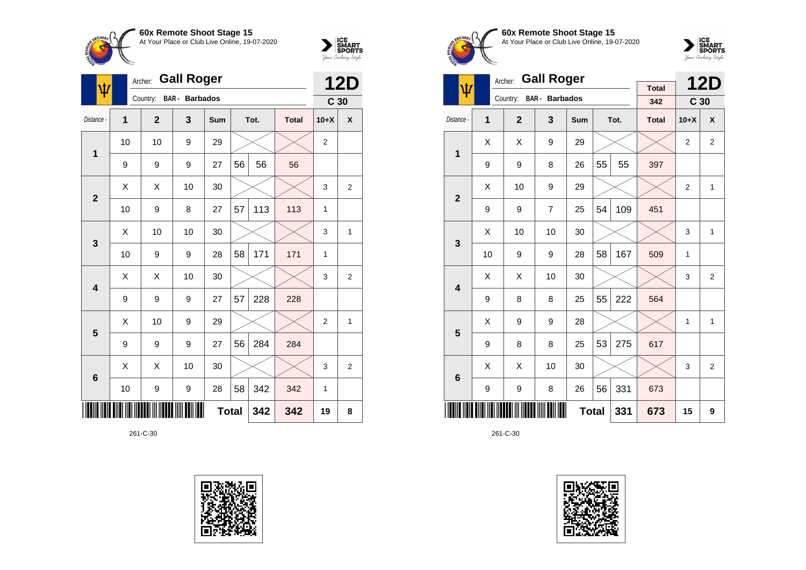



| ψ                       |    | Archer:        | <b>Gall Roger</b>     |              |    |      |              |                 | <b>12D</b>     |
|-------------------------|----|----------------|-----------------------|--------------|----|------|--------------|-----------------|----------------|
|                         |    | Country:       | <b>BAR</b> - Barbados |              |    |      |              | C <sub>30</sub> |                |
| Distance -              | 1  | $\overline{2}$ | 3                     | Sum          |    | Tot. | <b>Total</b> | $10+X$          | X              |
| 1                       | 10 | 10             | 9                     | 29           |    |      |              | $\overline{2}$  |                |
|                         | 9  | 9              | 9                     | 27           | 56 | 56   | 56           |                 |                |
| $\overline{2}$          | X  | X              | 10                    | 30           |    |      |              | 3               | $\overline{2}$ |
|                         | 10 | 9              | 8                     | 27           | 57 | 113  | 113          | 1               |                |
| 3                       | X  | 10             | 10                    | 30           |    |      |              | 3               | 1              |
|                         | 10 | 9              | 9                     | 28           | 58 | 171  | 171          | 1               |                |
| $\overline{\mathbf{4}}$ | X  | Χ              | 10                    | 30           |    |      |              | 3               | $\overline{2}$ |
|                         | 9  | 9              | 9                     | 27           | 57 | 228  | 228          |                 |                |
| 5                       | X  | 10             | 9                     | 29           |    |      |              | $\overline{2}$  | 1              |
|                         | 9  | 9              | 9                     | 27           | 56 | 284  | 284          |                 |                |
| $6\phantom{1}6$         | X  | X              | 10                    | 30           |    |      |              | 3               | $\overline{2}$ |
|                         | 10 | 9              | 9                     | 28           | 58 | 342  | 342          | 1               |                |
|                         |    |                |                       | <b>Total</b> |    | 342  | 342          | 19              | 8              |





**60x Remote Shoot Stage 15** At Your Place or Club Live Online, 19-07-2020



|                         |    | Archer:      | <b>Gall Roger</b>       |              |    |      |              |                 | <b>12D</b>     |
|-------------------------|----|--------------|-------------------------|--------------|----|------|--------------|-----------------|----------------|
| ψ                       |    | Country:     | BAR - Barbados          |              |    |      | <b>Total</b> |                 |                |
|                         |    |              |                         |              |    |      | 342          | C <sub>30</sub> |                |
| Distance -              | 1  | $\mathbf{2}$ | $\overline{\mathbf{3}}$ | Sum          |    | Tot. | <b>Total</b> | $10+X$          | X              |
| 1                       | X  | X            | 9                       | 29           |    |      |              | $\overline{2}$  | $\overline{2}$ |
|                         | 9  | 9            | 8                       | 26           | 55 | 55   | 397          |                 |                |
| $\overline{2}$          | X  | 10           | 9                       | 29           |    |      |              | $\overline{2}$  | 1              |
|                         | 9  | 9            | $\overline{7}$          | 25           | 54 | 109  | 451          |                 |                |
| 3                       | X  | 10           | 10                      | 30           |    |      |              | 3               | 1              |
|                         | 10 | 9            | 9                       | 28           | 58 | 167  | 509          | $\mathbf{1}$    |                |
| $\overline{\mathbf{4}}$ | X  | X            | 10                      | 30           |    |      |              | 3               | $\overline{2}$ |
|                         | 9  | 8            | 8                       | 25           | 55 | 222  | 564          |                 |                |
| 5                       | X  | 9            | 9                       | 28           |    |      |              | 1               | 1              |
|                         | 9  | 8            | 8                       | 25           | 53 | 275  | 617          |                 |                |
| 6                       | X  | X            | 10                      | 30           |    |      |              | 3               | 2              |
|                         | 9  | 9            | 8                       | 26           | 56 | 331  | 673          |                 |                |
|                         |    |              |                         | <b>Total</b> |    | 331  | 673          | 15              | 9              |

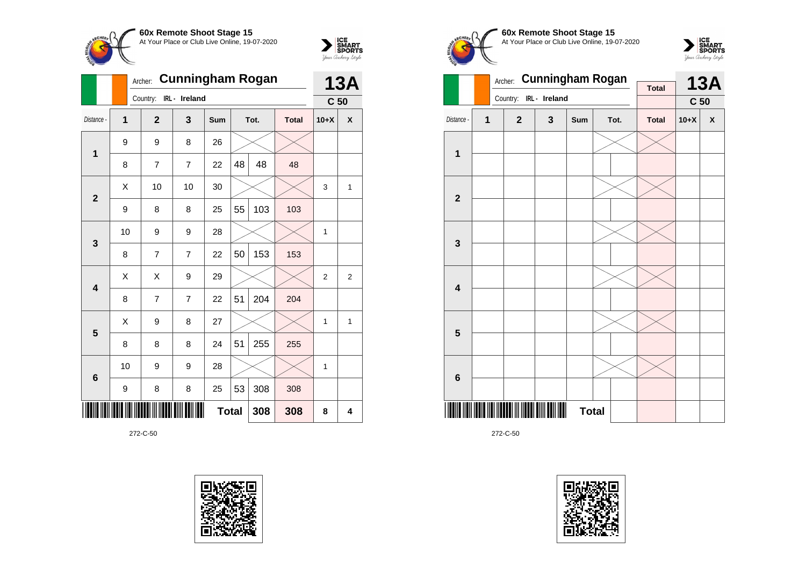



|                         |    | <b>Cunningham Rogan</b><br>Archer: |                |              | <b>13A</b> |      |              |                 |   |
|-------------------------|----|------------------------------------|----------------|--------------|------------|------|--------------|-----------------|---|
|                         |    | Country:                           | IRL - Ireland  |              |            |      |              | C <sub>50</sub> |   |
| Distance -              | 1  | $\overline{2}$                     | 3              | Sum          |            | Tot. | <b>Total</b> | $10+X$          | X |
| $\mathbf{1}$            | 9  | 9                                  | 8              | 26           |            |      |              |                 |   |
|                         | 8  | $\overline{7}$                     | $\overline{7}$ | 22           | 48         | 48   | 48           |                 |   |
| $\overline{2}$          | Χ  | 10                                 | 10             | 30           |            |      |              | 3               | 1 |
|                         | 9  | 8                                  | 8              | 25           | 55         | 103  | 103          |                 |   |
| 3                       | 10 | 9                                  | 9              | 28           |            |      |              | 1               |   |
|                         | 8  | 7                                  | $\overline{7}$ | 22           | 50         | 153  | 153          |                 |   |
| $\overline{\mathbf{4}}$ | X  | X                                  | 9              | 29           |            |      |              | $\overline{2}$  | 2 |
|                         | 8  | 7                                  | $\overline{7}$ | 22           | 51         | 204  | 204          |                 |   |
| 5                       | X  | 9                                  | 8              | 27           |            |      |              | 1               | 1 |
|                         | 8  | 8                                  | 8              | 24           | 51         | 255  | 255          |                 |   |
| $6\phantom{1}6$         | 10 | 9                                  | 9              | 28           |            |      |              | 1               |   |
|                         | 9  | 8                                  | 8              | 25           | 53         | 308  | 308          |                 |   |
|                         |    |                                    |                | <b>Total</b> |            | 308  | 308          | 8               | 4 |









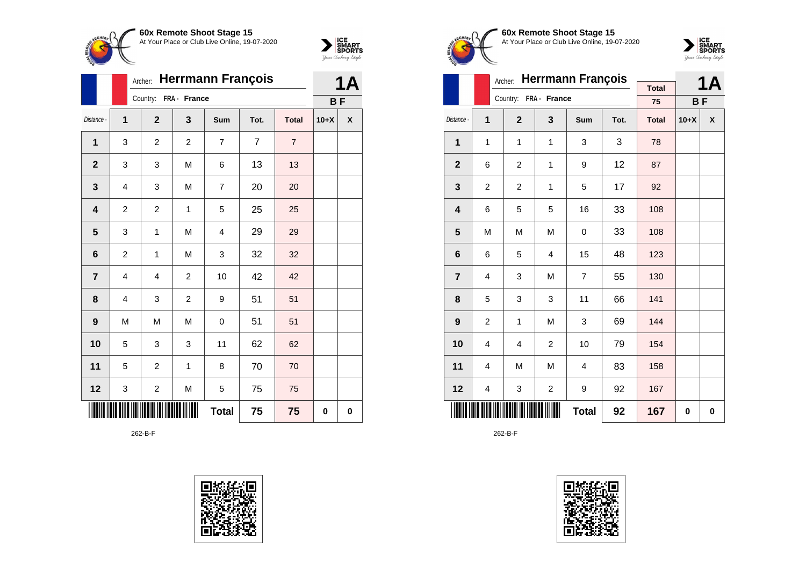



|                |                         | <b>Herrmann François</b><br>Archer: |                |                         | <b>1A</b>      |                |           |   |
|----------------|-------------------------|-------------------------------------|----------------|-------------------------|----------------|----------------|-----------|---|
|                |                         | Country:                            | FRA - France   |                         |                |                | <b>BF</b> |   |
| Distance -     | $\mathbf 1$             | $\overline{2}$                      | 3              | <b>Sum</b>              | Tot.           | <b>Total</b>   | $10+X$    | χ |
| 1              | 3                       | $\mathbf 2$                         | $\overline{c}$ | $\overline{7}$          | $\overline{7}$ | $\overline{7}$ |           |   |
| $\mathbf{2}$   | 3                       | 3                                   | M              | 6                       | 13             | 13             |           |   |
| 3              | $\overline{\mathbf{4}}$ | 3                                   | M              | $\overline{7}$          | 20             | 20             |           |   |
| 4              | $\overline{c}$          | $\overline{c}$                      | 1              | 5                       | 25             | 25             |           |   |
| 5              | 3                       | $\mathbf 1$                         | M              | $\overline{\mathbf{4}}$ | 29             | 29             |           |   |
| 6              | $\overline{c}$          | 1                                   | M              | 3                       | 32             | 32             |           |   |
| $\overline{7}$ | 4                       | 4                                   | $\overline{c}$ | 10                      | 42             | 42             |           |   |
| 8              | 4                       | 3                                   | $\overline{c}$ | 9                       | 51             | 51             |           |   |
| 9              | M                       | M                                   | M              | 0                       | 51             | 51             |           |   |
| 10             | 5                       | 3                                   | 3              | 11                      | 62             | 62             |           |   |
| 11             | 5                       | $\overline{c}$                      | 1              | 8                       | 70             | 70             |           |   |
| 12             | 3                       | $\overline{\mathbf{c}}$             | M              | 5                       | 75             | 75             |           |   |
|                |                         |                                     |                | <b>Total</b>            | 75             | 75             | 0         | 0 |

262-B-F





**60x Remote Shoot Stage 15** At Your Place or Club Live Online, 19-07-2020



|                         |                | Archer:               | <b>Herrmann François</b> |                |      |                    | <b>1A</b> |                    |
|-------------------------|----------------|-----------------------|--------------------------|----------------|------|--------------------|-----------|--------------------|
|                         |                | Country: FRA - France |                          |                |      | <b>Total</b><br>75 | <b>BF</b> |                    |
| Distance -              | 1              | $\overline{2}$        | 3                        | Sum            | Tot. | <b>Total</b>       | $10+X$    | $\pmb{\mathsf{X}}$ |
| 1                       | 1              | 1                     | $\mathbf{1}$             | 3              | 3    | 78                 |           |                    |
| $\mathbf{2}$            | 6              | $\overline{c}$        | 1                        | 9              | 12   | 87                 |           |                    |
| 3                       | $\overline{c}$ | $\overline{c}$        | $\mathbf{1}$             | 5              | 17   | 92                 |           |                    |
| $\overline{\mathbf{4}}$ | 6              | 5                     | 5                        | 16             | 33   | 108                |           |                    |
| 5                       | M              | M                     | M                        | 0              | 33   | 108                |           |                    |
| 6                       | 6              | 5                     | $\overline{\mathbf{4}}$  | 15             | 48   | 123                |           |                    |
| $\overline{7}$          | 4              | 3                     | M                        | $\overline{7}$ | 55   | 130                |           |                    |
| 8                       | 5              | 3                     | 3                        | 11             | 66   | 141                |           |                    |
| 9                       | 2              | 1                     | M                        | 3              | 69   | 144                |           |                    |
| 10                      | 4              | 4                     | $\boldsymbol{2}$         | 10             | 79   | 154                |           |                    |
| 11                      | 4              | M                     | M                        | 4              | 83   | 158                |           |                    |
| 12                      | 4              | 3                     | $\boldsymbol{2}$         | 9              | 92   | 167                |           |                    |
|                         |                |                       | 92                       | 167            | 0    | 0                  |           |                    |

262-B-F

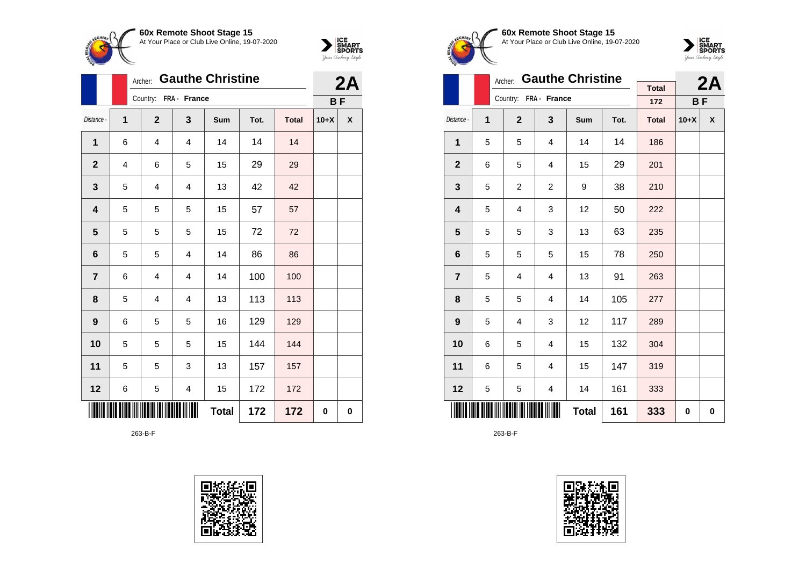



|                  |   | <b>Gauthe Christine</b><br>Archer: |                         |              | 2A   |              |           |   |
|------------------|---|------------------------------------|-------------------------|--------------|------|--------------|-----------|---|
|                  |   | Country: FRA - France              |                         |              |      |              | <b>BF</b> |   |
| Distance -       | 1 | $\overline{2}$                     | 3                       | Sum          | Tot. | <b>Total</b> | $10+X$    | X |
| 1                | 6 | 4                                  | 4                       | 14           | 14   | 14           |           |   |
| $\mathbf{2}$     | 4 | 6                                  | 5                       | 15           | 29   | 29           |           |   |
| $\mathbf{3}$     | 5 | $\overline{\mathbf{4}}$            | $\overline{\mathbf{4}}$ | 13           | 42   | 42           |           |   |
| 4                | 5 | 5                                  | 5                       | 15           | 57   | 57           |           |   |
| 5                | 5 | 5                                  | 5                       | 15           | 72   | 72           |           |   |
| $6\phantom{1}6$  | 5 | 5                                  | $\overline{4}$          | 14           | 86   | 86           |           |   |
| $\overline{7}$   | 6 | 4                                  | $\overline{4}$          | 14           | 100  | 100          |           |   |
| 8                | 5 | $\overline{4}$                     | $\overline{4}$          | 13           | 113  | 113          |           |   |
| $\boldsymbol{9}$ | 6 | 5                                  | 5                       | 16           | 129  | 129          |           |   |
| 10               | 5 | 5                                  | 5                       | 15           | 144  | 144          |           |   |
| 11               | 5 | 5                                  | 3                       | 13           | 157  | 157          |           |   |
| 12               | 6 | 5                                  | $\overline{\mathbf{4}}$ | 15           | 172  | 172          |           |   |
|                  |   |                                    |                         | <b>Total</b> | 172  | 172          | 0         | 0 |

263-B-F





**60x Remote Shoot Stage 15** At Your Place or Club Live Online, 19-07-2020



|                  |   | Archer:               |                | <b>Gauthe Christine</b> |      |                     |           | 2A |
|------------------|---|-----------------------|----------------|-------------------------|------|---------------------|-----------|----|
|                  |   | Country: FRA - France |                |                         |      | <b>Total</b><br>172 | <b>BF</b> |    |
| Distance -       | 1 | $\overline{2}$        | 3              | Sum                     | Tot. | <b>Total</b>        | $10+X$    | X  |
| 1                | 5 | 5                     | 4              | 14                      | 14   | 186                 |           |    |
| $\mathbf{2}$     | 6 | 5                     | 4              | 15                      | 29   | 201                 |           |    |
| 3                | 5 | $\overline{c}$        | $\overline{c}$ | 9                       | 38   | 210                 |           |    |
| 4                | 5 | 4                     | 3              | 12                      | 50   | 222                 |           |    |
| 5                | 5 | 5                     | 3              | 13                      | 63   | 235                 |           |    |
| 6                | 5 | 5                     | 5              | 15                      | 78   | 250                 |           |    |
| $\overline{7}$   | 5 | 4                     | 4              | 13                      | 91   | 263                 |           |    |
| 8                | 5 | 5                     | $\overline{4}$ | 14                      | 105  | 277                 |           |    |
| $\boldsymbol{9}$ | 5 | 4                     | 3              | 12                      | 117  | 289                 |           |    |
| 10               | 6 | 5                     | $\overline{4}$ | 15                      | 132  | 304                 |           |    |
| 11               | 6 | 5                     | 4              | 15                      | 147  | 319                 |           |    |
| 12               | 5 | 5                     | 4              | 14                      | 161  | 333                 |           |    |
|                  |   |                       |                | <b>Total</b>            | 161  | 333                 | 0         | 0  |

263-B-F

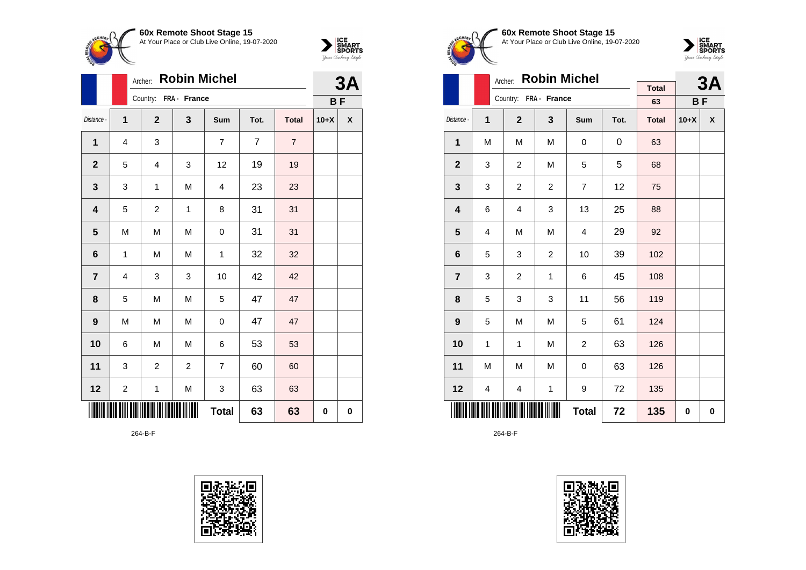



|                 | Archer:                 | 3A             |                       |                |                |                |        |           |  |
|-----------------|-------------------------|----------------|-----------------------|----------------|----------------|----------------|--------|-----------|--|
|                 |                         |                | Country: FRA - France |                |                |                |        | <b>BF</b> |  |
| Distance -      | 1                       | $\overline{2}$ | 3                     | Sum            | Tot.           | <b>Total</b>   | $10+X$ | χ         |  |
| 1               | 4                       | 3              |                       | 7              | $\overline{7}$ | $\overline{7}$ |        |           |  |
| $\mathbf{2}$    | 5                       | 4              | 3                     | 12             | 19             | 19             |        |           |  |
| 3               | 3                       | $\mathbf 1$    | M                     | $\overline{4}$ | 23             | 23             |        |           |  |
| 4               | 5                       | $\overline{c}$ | 1                     | 8              | 31             | 31             |        |           |  |
| 5               | M                       | M              | M                     | 0              | 31             | 31             |        |           |  |
| $6\phantom{1}6$ | 1                       | M              | M                     | 1              | 32             | 32             |        |           |  |
| $\overline{7}$  | 4                       | 3              | 3                     | 10             | 42             | 42             |        |           |  |
| 8               | 5                       | M              | M                     | 5              | 47             | 47             |        |           |  |
| 9               | M                       | M              | M                     | 0              | 47             | 47             |        |           |  |
| 10              | 6                       | M              | M                     | 6              | 53             | 53             |        |           |  |
| 11              | 3                       | $\overline{c}$ | $\overline{c}$        | 7              | 60             | 60             |        |           |  |
| 12              | $\overline{\mathbf{c}}$ | 1              | ${\sf M}$             | 3              | 63             | 63             |        |           |  |
|                 |                         |                |                       | <b>Total</b>   | 63             | 63             | 0      | $\bf{0}$  |  |

264-B-F





**60x Remote Shoot Stage 15** At Your Place or Club Live Online, 19-07-2020



|                         | Archer: |                       |                |                | 3A   |                    |        |           |
|-------------------------|---------|-----------------------|----------------|----------------|------|--------------------|--------|-----------|
|                         |         | Country: FRA - France |                |                |      | <b>Total</b><br>63 |        | <b>BF</b> |
|                         |         |                       |                |                |      |                    |        |           |
| Distance -              | 1       | $\overline{2}$        | $\mathbf{3}$   | Sum            | Tot. | <b>Total</b>       | $10+X$ | X         |
| 1                       | M       | M                     | M              | 0              | 0    | 63                 |        |           |
| $\mathbf{2}$            | 3       | $\overline{c}$        | M              | 5              | 5    | 68                 |        |           |
| 3                       | 3       | $\overline{c}$        | $\overline{2}$ | $\overline{7}$ | 12   | 75                 |        |           |
| $\overline{\mathbf{4}}$ | 6       | 4                     | 3              | 13             | 25   | 88                 |        |           |
| 5                       | 4       | M                     | M              | 4              | 29   | 92                 |        |           |
| 6                       | 5       | 3                     | $\overline{c}$ | 10             | 39   | 102                |        |           |
| $\overline{7}$          | 3       | $\overline{c}$        | $\mathbf 1$    | 6              | 45   | 108                |        |           |
| 8                       | 5       | 3                     | 3              | 11             | 56   | 119                |        |           |
| $\boldsymbol{9}$        | 5       | M                     | M              | 5              | 61   | 124                |        |           |
| 10                      | 1       | 1                     | M              | $\overline{c}$ | 63   | 126                |        |           |
| 11                      | M       | M                     | M              | 0              | 63   | 126                |        |           |
| 12                      | 4       | 4                     | $\mathbf{1}$   | 9              | 72   | 135                |        |           |
|                         |         |                       |                | <b>Total</b>   | 72   | 135                | 0      | 0         |

264-B-F

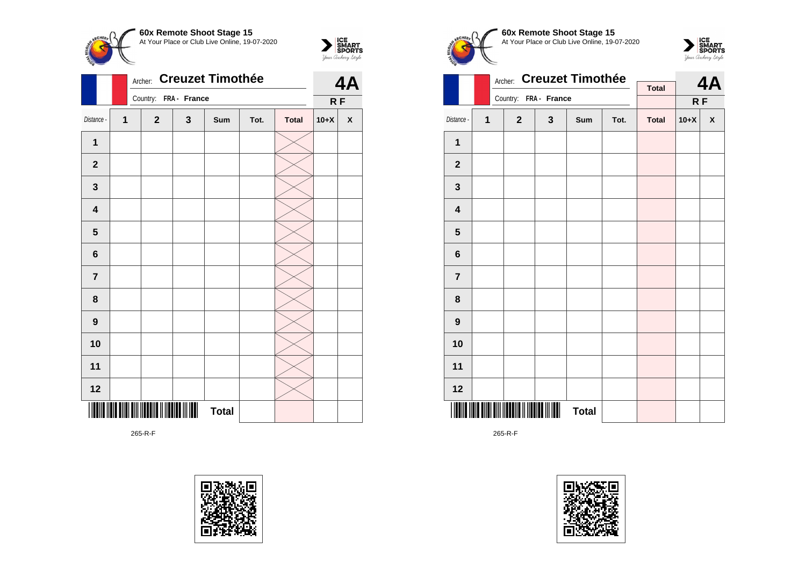



|                         |              | <b>Creuzet Timothée</b><br>Archer: |              |                       |              |      |              |        |                    |  |
|-------------------------|--------------|------------------------------------|--------------|-----------------------|--------------|------|--------------|--------|--------------------|--|
|                         |              |                                    |              | Country: FRA - France |              |      |              | RF     |                    |  |
| Distance -              | $\mathbf{1}$ |                                    | $\mathbf{2}$ | 3                     | Sum          | Tot. | <b>Total</b> | $10+X$ | $\pmb{\mathsf{X}}$ |  |
| 1                       |              |                                    |              |                       |              |      |              |        |                    |  |
| $\overline{\mathbf{2}}$ |              |                                    |              |                       |              |      |              |        |                    |  |
| 3                       |              |                                    |              |                       |              |      |              |        |                    |  |
| 4                       |              |                                    |              |                       |              |      |              |        |                    |  |
| $\overline{\mathbf{5}}$ |              |                                    |              |                       |              |      |              |        |                    |  |
| 6                       |              |                                    |              |                       |              |      |              |        |                    |  |
| $\overline{7}$          |              |                                    |              |                       |              |      |              |        |                    |  |
| 8                       |              |                                    |              |                       |              |      |              |        |                    |  |
| 9                       |              |                                    |              |                       |              |      |              |        |                    |  |
| 10                      |              |                                    |              |                       |              |      |              |        |                    |  |
| 11                      |              |                                    |              |                       |              |      |              |        |                    |  |
| 12                      |              |                                    |              |                       |              |      |              |        |                    |  |
|                         |              |                                    |              |                       | <b>Total</b> |      |              |        |                    |  |

265-R-F







|                         |   | Archer:      |                       | <b>Creuzet Timothée</b> |      |              |        | 4A                 |
|-------------------------|---|--------------|-----------------------|-------------------------|------|--------------|--------|--------------------|
|                         |   |              | Country: FRA - France |                         |      | <b>Total</b> |        |                    |
|                         |   |              |                       |                         |      |              |        | RF                 |
| Distance -              | 1 | $\mathbf{2}$ | $\mathbf{3}$          | Sum                     | Tot. | <b>Total</b> | $10+X$ | $\pmb{\mathsf{X}}$ |
| $\mathbf 1$             |   |              |                       |                         |      |              |        |                    |
| $\mathbf 2$             |   |              |                       |                         |      |              |        |                    |
| 3                       |   |              |                       |                         |      |              |        |                    |
| $\overline{\mathbf{4}}$ |   |              |                       |                         |      |              |        |                    |
| 5                       |   |              |                       |                         |      |              |        |                    |
| 6                       |   |              |                       |                         |      |              |        |                    |
| $\overline{7}$          |   |              |                       |                         |      |              |        |                    |
| 8                       |   |              |                       |                         |      |              |        |                    |
| $\boldsymbol{9}$        |   |              |                       |                         |      |              |        |                    |
| 10                      |   |              |                       |                         |      |              |        |                    |
| 11                      |   |              |                       |                         |      |              |        |                    |
| 12                      |   |              |                       |                         |      |              |        |                    |
| IIII                    |   |              | Ш                     | <b>Total</b>            |      |              |        |                    |

265-R-F

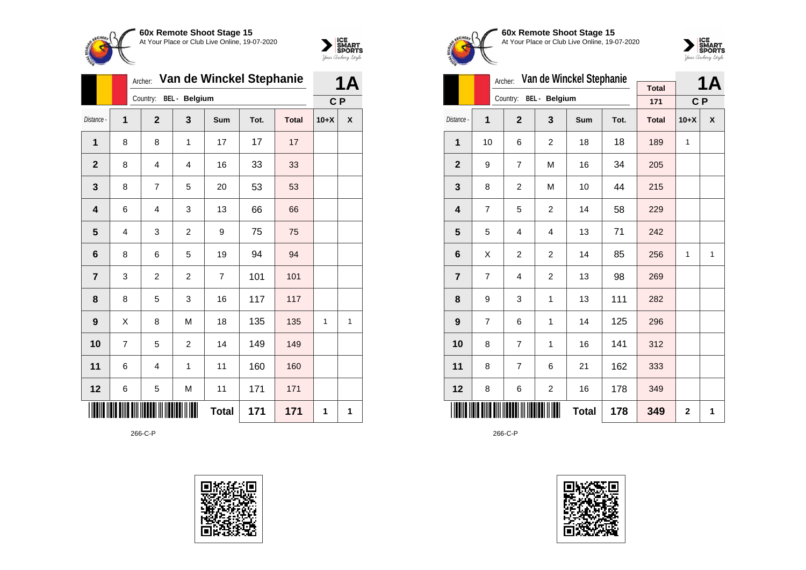

## **60x Remote Shoot Stage 15** At Your Place or Club Live Online, 19-07-2020



|              |                | Van de Winckel Stephanie<br>Archer: |                |              |      |              |        | 1Α             |  |
|--------------|----------------|-------------------------------------|----------------|--------------|------|--------------|--------|----------------|--|
|              |                | Country:                            | BEL - Belgium  |              |      |              |        | C P            |  |
| Distance -   | $\overline{1}$ | $\overline{2}$                      | 3              | Sum          | Tot. | <b>Total</b> | $10+X$ | χ              |  |
| 1            | 8              | 8                                   | 1              | 17           | 17   | 17           |        |                |  |
| $\mathbf{2}$ | 8              | 4                                   | 4              | 16           | 33   | 33           |        |                |  |
| 3            | 8              | $\overline{7}$                      | 5              | 20           | 53   | 53           |        |                |  |
| 4            | 6              | 4                                   | 3              | 13           | 66   | 66           |        |                |  |
| 5            | 4              | 3                                   | $\overline{c}$ | 9            | 75   | 75           |        |                |  |
| 6            | 8              | 6                                   | 5              | 19           | 94   | 94           |        |                |  |
| 7            | 3              | 2                                   | $\overline{c}$ | 7            | 101  | 101          |        |                |  |
| 8            | 8              | 5                                   | 3              | 16           | 117  | 117          |        |                |  |
| 9            | X              | 8                                   | M              | 18           | 135  | 135          | 1      | $\overline{1}$ |  |
| 10           | $\overline{7}$ | 5                                   | $\overline{c}$ | 14           | 149  | 149          |        |                |  |
| 11           | 6              | 4                                   | 1              | 11           | 160  | 160          |        |                |  |
| 12           | 6              | 5                                   | M              | 11           | 171  | 171          |        |                |  |
|              |                |                                     |                | <b>Total</b> | 171  | 171          | 1      | 1              |  |

266-C-P





## **60x Remote Shoot Stage 15** At Your Place or Club Live Online, 19-07-2020



|                         |    | Archer:        |                | Van de Winckel Stephanie |      |              |                | <b>1A</b> |
|-------------------------|----|----------------|----------------|--------------------------|------|--------------|----------------|-----------|
|                         |    | Country:       | BEL - Belgium  |                          |      | <b>Total</b> |                |           |
|                         |    |                |                |                          |      | 171          | C <sub>P</sub> |           |
| Distance -              | 1  | $\overline{2}$ | 3              | Sum                      | Tot. | <b>Total</b> | $10+X$         | X         |
| $\mathbf{1}$            | 10 | 6              | $\overline{2}$ | 18                       | 18   | 189          | $\mathbf{1}$   |           |
| $\mathbf{2}$            | 9  | 7              | M              | 16                       | 34   | 205          |                |           |
| 3                       | 8  | $\overline{2}$ | M              | 10                       | 44   | 215          |                |           |
| $\overline{\mathbf{4}}$ | 7  | 5              | $\overline{c}$ | 14                       | 58   | 229          |                |           |
| 5                       | 5  | 4              | 4              | 13                       | 71   | 242          |                |           |
| 6                       | Χ  | $\overline{c}$ | $\overline{c}$ | 14                       | 85   | 256          | $\mathbf{1}$   | 1         |
| $\overline{7}$          | 7  | 4              | $\overline{c}$ | 13                       | 98   | 269          |                |           |
| 8                       | 9  | 3              | 1              | 13                       | 111  | 282          |                |           |
| 9                       | 7  | 6              | 1              | 14                       | 125  | 296          |                |           |
| 10                      | 8  | $\overline{7}$ | $\mathbf{1}$   | 16                       | 141  | 312          |                |           |
| 11                      | 8  | 7              | 6              | 21                       | 162  | 333          |                |           |
| 12                      | 8  | 6              | 2              | 16                       | 178  | 349          |                |           |
|                         |    |                |                | <b>Total</b>             | 178  | 349          | $\overline{2}$ | 1         |

266-C-P